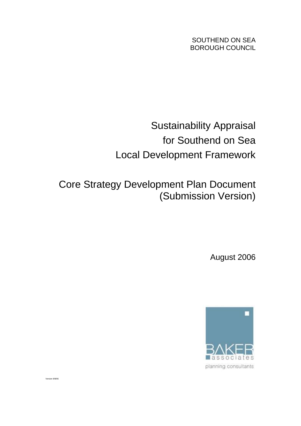SOUTHEND ON SEA BOROUGH COUNCIL

# Sustainability Appraisal for Southend on Sea Local Development Framework

Core Strategy Development Plan Document (Submission Version)

August 2006



Version 9/8/06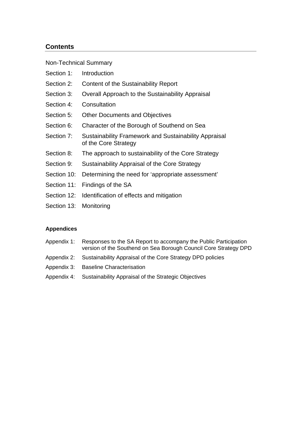# **Contents**

Non-Technical Summary

- Section 1: Introduction
- Section 2: Content of the Sustainability Report
- Section 3: Overall Approach to the Sustainability Appraisal
- Section 4: Consultation
- Section 5: Other Documents and Objectives
- Section 6: Character of the Borough of Southend on Sea
- Section 7: Sustainability Framework and Sustainability Appraisal of the Core Strategy
- Section 8: The approach to sustainability of the Core Strategy
- Section 9: Sustainability Appraisal of the Core Strategy
- Section 10: Determining the need for 'appropriate assessment'
- Section 11: Findings of the SA
- Section 12: Identification of effects and mitigation
- Section 13: Monitoring

#### **Appendices**

- Appendix 1: Responses to the SA Report to accompany the Public Participation version of the Southend on Sea Borough Council Core Strategy DPD
- Appendix 2: Sustainability Appraisal of the Core Strategy DPD policies
- Appendix 3: Baseline Characterisation
- Appendix 4: Sustainability Appraisal of the Strategic Objectives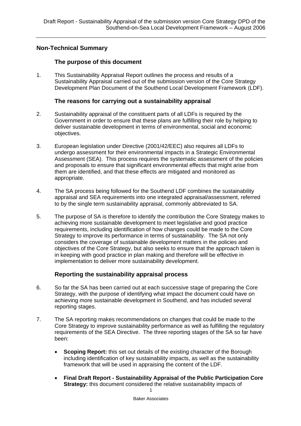# **Non-Technical Summary**

## **The purpose of this document**

1. This Sustainability Appraisal Report outlines the process and results of a Sustainability Appraisal carried out of the submission version of the Core Strategy Development Plan Document of the Southend Local Development Framework (LDF).

# **The reasons for carrying out a sustainability appraisal**

- 2. Sustainability appraisal of the constituent parts of all LDFs is required by the Government in order to ensure that these plans are fulfilling their role by helping to deliver sustainable development in terms of environmental, social and economic objectives.
- 3. European legislation under Directive (2001/42/EEC) also requires all LDFs to undergo assessment for their environmental impacts in a Strategic Environmental Assessment (SEA). This process requires the systematic assessment of the policies and proposals to ensure that significant environmental effects that might arise from them are identified, and that these effects are mitigated and monitored as appropriate.
- 4. The SA process being followed for the Southend LDF combines the sustainability appraisal and SEA requirements into one integrated appraisal/assessment, referred to by the single term sustainability appraisal, commonly abbreviated to SA.
- 5. The purpose of SA is therefore to identify the contribution the Core Strategy makes to achieving more sustainable development to meet legislative and good practice requirements, including identification of how changes could be made to the Core Strategy to improve its performance in terms of sustainability. The SA not only considers the coverage of sustainable development matters in the policies and objectives of the Core Strategy, but also seeks to ensure that the approach taken is in keeping with good practice in plan making and therefore will be effective in implementation to deliver more sustainability development.

# **Reporting the sustainability appraisal process**

- 6. So far the SA has been carried out at each successive stage of preparing the Core Strategy, with the purpose of identifying what impact the document could have on achieving more sustainable development in Southend, and has included several reporting stages.
- 7. The SA reporting makes recommendations on changes that could be made to the Core Strategy to improve sustainability performance as well as fulfilling the regulatory requirements of the SEA Directive. The three reporting stages of the SA so far have been:
	- **Scoping Report:** this set out details of the existing character of the Borough including identification of key sustainability impacts, as well as the sustainability framework that will be used in appraising the content of the LDF.
	- 1 • **Final Draft Report - Sustainability Appraisal of the Public Participation Core Strategy:** this document considered the relative sustainability impacts of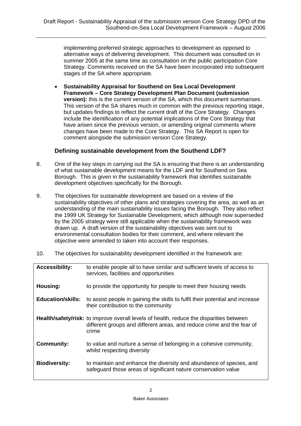implementing preferred strategic approaches to development as opposed to alternative ways of delivering development. This document was consulted on in summer 2005 at the same time as consultation on the public participation Core Strategy. Comments received on the SA have been incorporated into subsequent stages of the SA where appropriate.

• **Sustainability Appraisal for Southend on Sea Local Development Framework – Core Strategy Development Plan Document (submission version):** this is the current version of the SA, which this document summarises. This version of the SA shares much in common with the previous reporting stage, but updates findings to reflect the current draft of the Core Strategy. Changes include the identification of any potential implications of the Core Strategy that have arisen since the previous version, or amending original comments where changes have been made to the Core Strategy. This SA Report is open for comment alongside the submission version Core Strategy.

# **Defining sustainable development from the Southend LDF?**

- 8. One of the key steps in carrying out the SA is ensuring that there is an understanding of what sustainable development means for the LDF and for Southend on Sea Borough. This is given in the sustainability framework that identifies sustainable development objectives specifically for the Borough.
- 9. The objectives for sustainable development are based on a review of the sustainability objectives of other plans and strategies covering the area, as well as an understanding of the main sustainability issues facing the Borough. They also reflect the 1999 UK Strategy for Sustainable Development, which although now superseded by the 2005 strategy were still applicable when the sustainability framework was drawn up. A draft version of the sustainability objectives was sent out to environmental consultation bodies for their comment, and where relevant the objective were amended to taken into account their responses.
- 10. The objectives for sustainability development identified in the framework are:

| <b>Accessibility:</b>    | to enable people all to have similar and sufficient levels of access to<br>services, facilities and opportunities                                                                 |
|--------------------------|-----------------------------------------------------------------------------------------------------------------------------------------------------------------------------------|
| Housing:                 | to provide the opportunity for people to meet their housing needs                                                                                                                 |
| <b>Education/skills:</b> | to assist people in gaining the skills to fulfil their potential and increase<br>their contribution to the community                                                              |
|                          | <b>Health/safety/risk:</b> to improve overall levels of health, reduce the disparities between<br>different groups and different areas, and reduce crime and the fear of<br>crime |
| <b>Community:</b>        | to value and nurture a sense of belonging in a cohesive community,<br>whilst respecting diversity                                                                                 |
| <b>Biodiversity:</b>     | to maintain and enhance the diversity and abundance of species, and<br>safeguard those areas of significant nature conservation value                                             |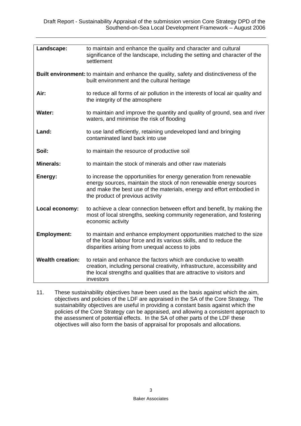| Landscape:              | to maintain and enhance the quality and character and cultural<br>significance of the landscape, including the setting and character of the<br>settlement                                                                                             |
|-------------------------|-------------------------------------------------------------------------------------------------------------------------------------------------------------------------------------------------------------------------------------------------------|
|                         | <b>Built environment:</b> to maintain and enhance the quality, safety and distinctiveness of the<br>built environment and the cultural heritage                                                                                                       |
| Air:                    | to reduce all forms of air pollution in the interests of local air quality and<br>the integrity of the atmosphere                                                                                                                                     |
| <b>Water:</b>           | to maintain and improve the quantity and quality of ground, sea and river<br>waters, and minimise the risk of flooding                                                                                                                                |
| Land:                   | to use land efficiently, retaining undeveloped land and bringing<br>contaminated land back into use                                                                                                                                                   |
| Soil:                   | to maintain the resource of productive soil                                                                                                                                                                                                           |
| <b>Minerals:</b>        | to maintain the stock of minerals and other raw materials                                                                                                                                                                                             |
| Energy:                 | to increase the opportunities for energy generation from renewable<br>energy sources, maintain the stock of non renewable energy sources<br>and make the best use of the materials, energy and effort embodied in<br>the product of previous activity |
| Local economy:          | to achieve a clear connection between effort and benefit, by making the<br>most of local strengths, seeking community regeneration, and fostering<br>economic activity                                                                                |
| <b>Employment:</b>      | to maintain and enhance employment opportunities matched to the size<br>of the local labour force and its various skills, and to reduce the<br>disparities arising from unequal access to jobs                                                        |
| <b>Wealth creation:</b> | to retain and enhance the factors which are conducive to wealth<br>creation, including personal creativity, infrastructure, accessibility and<br>the local strengths and qualities that are attractive to visitors and<br>investors                   |

11. These sustainability objectives have been used as the basis against which the aim, objectives and policies of the LDF are appraised in the SA of the Core Strategy. The sustainability objectives are useful in providing a constant basis against which the policies of the Core Strategy can be appraised, and allowing a consistent approach to the assessment of potential effects. In the SA of other parts of the LDF these objectives will also form the basis of appraisal for proposals and allocations.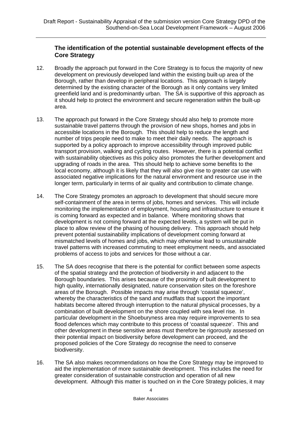# **The identification of the potential sustainable development effects of the Core Strategy**

- 12. Broadly the approach put forward in the Core Strategy is to focus the majority of new development on previously developed land within the existing built-up area of the Borough, rather than develop in peripheral locations. This approach is largely determined by the existing character of the Borough as it only contains very limited greenfield land and is predominantly urban. The SA is supportive of this approach as it should help to protect the environment and secure regeneration within the built-up area.
- 13. The approach put forward in the Core Strategy should also help to promote more sustainable travel patterns through the provision of new shops, homes and jobs in accessible locations in the Borough. This should help to reduce the length and number of trips people need to make to meet their daily needs. The approach is supported by a policy approach to improve accessibility through improved public transport provision, walking and cycling routes. However, there is a potential conflict with sustainability objectives as this policy also promotes the further development and upgrading of roads in the area. This should help to achieve some benefits to the local economy, although it is likely that they will also give rise to greater car use with associated negative implications for the natural environment and resource use in the longer term, particularly in terms of air quality and contribution to climate change.
- 14. The Core Strategy promotes an approach to development that should secure more self-containment of the area in terms of jobs, homes and services. This will include monitoring the implementation of employment, housing and infrastructure to ensure it is coming forward as expected and in balance. Where monitoring shows that development is not coming forward at the expected levels, a system will be put in place to allow review of the phasing of housing delivery. This approach should help prevent potential sustainability implications of development coming forward at mismatched levels of homes and jobs, which may otherwise lead to unsustainable travel patterns with increased commuting to meet employment needs, and associated problems of access to jobs and services for those without a car.
- 15. The SA does recognise that there is the potential for conflict between some aspects of the spatial strategy and the protection of biodiversity in and adjacent to the Borough boundaries. This arises because of the proximity of built development to high quality, internationally designated, nature conservation sites on the foreshore areas of the Borough. Possible impacts may arise through 'coastal squeeze', whereby the characteristics of the sand and mudflats that support the important habitats become altered through interruption to the natural physical processes, by a combination of built development on the shore coupled with sea level rise. In particular development in the Shoeburyness area may require improvements to sea flood defences which may contribute to this process of 'coastal squeeze'. This and other development in these sensitive areas must therefore be rigorously assessed on their potential impact on biodiversity before development can proceed, and the proposed policies of the Core Strategy do recognise the need to conserve biodiversity.
- 16. The SA also makes recommendations on how the Core Strategy may be improved to aid the implementation of more sustainable development. This includes the need for greater consideration of sustainable construction and operation of all new development. Although this matter is touched on in the Core Strategy policies, it may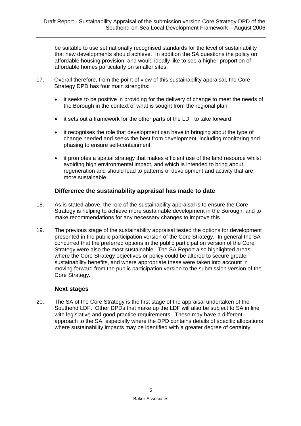be suitable to use set nationally recognised standards for the level of sustainability that new developments should achieve. In addition the SA questions the policy on affordable housing provision, and would ideally like to see a higher proportion of affordable homes particularly on smaller sites.

- 17. Overall therefore, from the point of view of this sustainability appraisal, the Core Strategy DPD has four main strengths:
	- it seeks to be positive in providing for the delivery of change to meet the needs of the Borough in the context of what is sought from the regional plan
	- it sets out a framework for the other parts of the LDF to take forward
	- it recognises the role that development can have in bringing about the type of change needed and seeks the best from development, including monitoring and phasing to ensure self-containment
	- it promotes a spatial strategy that makes efficient use of the land resource whilst avoiding high environmental impact, and which is intended to bring about regeneration and should lead to patterns of development and activity that are more sustainable.

## **Difference the sustainability appraisal has made to date**

- 18. As is stated above, the role of the sustainability appraisal is to ensure the Core Strategy is helping to achieve more sustainable development in the Borough, and to make recommendations for any necessary changes to improve this.
- 19. The previous stage of the sustainability appraisal tested the options for development presented in the public participation version of the Core Strategy. In general the SA concurred that the preferred options in the public participation version of the Core Strategy were also the most sustainable. The SA Report also highlighted areas where the Core Strategy objectives or policy could be altered to secure greater sustainability benefits, and where appropriate these were taken into account in moving forward from the public participation version to the submission version of the Core Strategy.

#### **Next stages**

20. The SA of the Core Strategy is the first stage of the appraisal undertaken of the Southend LDF. Other DPDs that make up the LDF will also be subject to SA in line with legislative and good practice requirements. These may have a different approach to the SA, especially where the DPD contains details of specific allocations where sustainability impacts may be identified with a greater degree of certainty.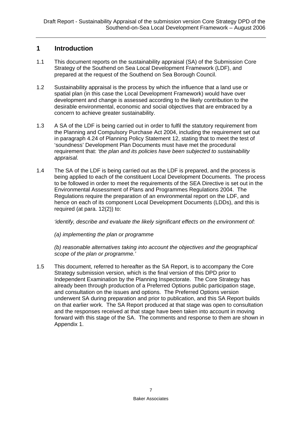# **1 Introduction**

- 1.1 This document reports on the sustainability appraisal (SA) of the Submission Core Strategy of the Southend on Sea Local Development Framework (LDF), and prepared at the request of the Southend on Sea Borough Council.
- 1.2 Sustainability appraisal is the process by which the influence that a land use or spatial plan (in this case the Local Development Framework) would have over development and change is assessed according to the likely contribution to the desirable environmental, economic and social objectives that are embraced by a concern to achieve greater sustainability.
- 1.3 A SA of the LDF is being carried out in order to fulfil the statutory requirement from the Planning and Compulsory Purchase Act 2004, including the requirement set out in paragraph 4.24 of Planning Policy Statement 12, stating that to meet the test of 'soundness' Development Plan Documents must have met the procedural requirement that: *'the plan and its policies have been subjected to sustainability appraisal.*
- 1.4 The SA of the LDF is being carried out as the LDF is prepared, and the process is being applied to each of the constituent Local Development Documents. The process to be followed in order to meet the requirements of the SEA Directive is set out in the Environmental Assessment of Plans and Programmes Regulations 2004. The Regulations require the preparation of an environmental report on the LDF, and hence on each of its component Local Development Documents (LDDs), and this is required (at para. 12(2)) to:

*'identify, describe and evaluate the likely significant effects on the environment of:* 

*(a) implementing the plan or programme* 

*(b) reasonable alternatives taking into account the objectives and the geographical scope of the plan or programme.'*

1.5 This document, referred to hereafter as the SA Report, is to accompany the Core Strategy submission version, which is the final version of this DPD prior to Independent Examination by the Planning Inspectorate. The Core Strategy has already been through production of a Preferred Options public participation stage, and consultation on the issues and options. The Preferred Options version underwent SA during preparation and prior to publication, and this SA Report builds on that earlier work. The SA Report produced at that stage was open to consultation and the responses received at that stage have been taken into account in moving forward with this stage of the SA. The comments and response to them are shown in Appendix 1.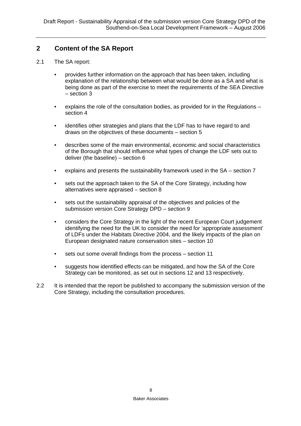# **2 Content of the SA Report**

- 2.1 The SA report:
	- provides further information on the approach that has been taken, including explanation of the relationship between what would be done as a SA and what is being done as part of the exercise to meet the requirements of the SEA Directive – section 3
	- explains the role of the consultation bodies, as provided for in the Regulations section 4
	- identifies other strategies and plans that the LDF has to have regard to and draws on the objectives of these documents – section 5
	- describes some of the main environmental, economic and social characteristics of the Borough that should influence what types of change the LDF sets out to deliver (the baseline) – section 6
	- explains and presents the sustainability framework used in the SA section 7
	- sets out the approach taken to the SA of the Core Strategy, including how alternatives were appraised – section 8
	- sets out the sustainability appraisal of the objectives and policies of the submission version Core Strategy DPD – section 9
	- considers the Core Strategy in the light of the recent European Court judgement identifying the need for the UK to consider the need for 'appropriate assessment' of LDFs under the Habitats Directive 2004, and the likely impacts of the plan on European designated nature conservation sites – section 10
	- sets out some overall findings from the process section 11
	- suggests how identified effects can be mitigated, and how the SA of the Core Strategy can be monitored, as set out in sections 12 and 13 respectively.
- 2.2 It is intended that the report be published to accompany the submission version of the Core Strategy, including the consultation procedures.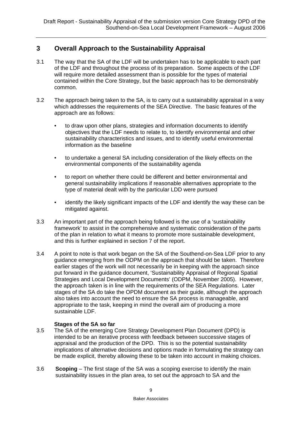# **3 Overall Approach to the Sustainability Appraisal**

- 3.1 The way that the SA of the LDF will be undertaken has to be applicable to each part of the LDF and throughout the process of its preparation. Some aspects of the LDF will require more detailed assessment than is possible for the types of material contained within the Core Strategy, but the basic approach has to be demonstrably common.
- 3.2 The approach being taken to the SA, is to carry out a sustainability appraisal in a way which addresses the requirements of the SEA Directive. The basic features of the approach are as follows:
	- to draw upon other plans, strategies and information documents to identify objectives that the LDF needs to relate to, to identify environmental and other sustainability characteristics and issues, and to identify useful environmental information as the baseline
	- to undertake a general SA including consideration of the likely effects on the environmental components of the sustainability agenda
	- to report on whether there could be different and better environmental and general sustainability implications if reasonable alternatives appropriate to the type of material dealt with by the particular LDD were pursued
	- identify the likely significant impacts of the LDF and identify the way these can be mitigated against.
- 3.3 An important part of the approach being followed is the use of a 'sustainability framework' to assist in the comprehensive and systematic consideration of the parts of the plan in relation to what it means to promote more sustainable development, and this is further explained in section 7 of the report.
- 3.4 A point to note is that work began on the SA of the Southend-on-Sea LDF prior to any guidance emerging from the ODPM on the approach that should be taken. Therefore earlier stages of the work will not necessarily be in keeping with the approach since put forward in the guidance document, 'Sustainability Appraisal of Regional Spatial Strategies and Local Development Documents' (ODPM, November 2005). However, the approach taken is in line with the requirements of the SEA Regulations. Later stages of the SA do take the OPDM document as their guide, although the approach also takes into account the need to ensure the SA process is manageable, and appropriate to the task, keeping in mind the overall aim of producing a more sustainable LDF.

#### **Stages of the SA so far**

- 3.5 The SA of the emerging Core Strategy Development Plan Document (DPD) is intended to be an iterative process with feedback between successive stages of appraisal and the production of the DPD. This is so the potential sustainability implications of alternative decisions and options made in formulating the strategy can be made explicit, thereby allowing these to be taken into account in making choices.
- 3.6 **Scoping** The first stage of the SA was a scoping exercise to identify the main sustainability issues in the plan area, to set out the approach to SA and the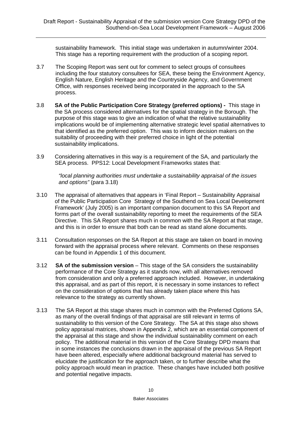sustainability framework. This initial stage was undertaken in autumn/winter 2004. This stage has a reporting requirement with the production of a scoping report.

- 3.7 The Scoping Report was sent out for comment to select groups of consultees including the four statutory consultees for SEA, these being the Environment Agency, English Nature, English Heritage and the Countryside Agency, and Government Office, with responses received being incorporated in the approach to the SA process.
- 3.8 **SA of the Public Participation Core Strategy (preferred options)** This stage in the SA process considered alternatives for the spatial strategy in the Borough. The purpose of this stage was to give an indication of what the relative sustainability implications would be of implementing alternative strategic level spatial alternatives to that identified as the preferred option. This was to inform decision makers on the suitability of proceeding with their preferred choice in light of the potential sustainability implications.
- 3.9 Considering alternatives in this way is a requirement of the SA, and particularly the SEA process. PPS12: Local Development Frameworks states that:

*"local planning authorities must undertake a sustainability appraisal of the issues and options"* (para 3.18)

- 3.10 The appraisal of alternatives that appears in 'Final Report Sustainability Appraisal of the Public Participation Core Strategy of the Southend on Sea Local Development Framework' (July 2005) is an important companion document to this SA Report and forms part of the overall sustainability reporting to meet the requirements of the SEA Directive. This SA Report shares much in common with the SA Report at that stage, and this is in order to ensure that both can be read as stand alone documents.
- 3.11 Consultation responses on the SA Report at this stage are taken on board in moving forward with the appraisal process where relevant. Comments on these responses can be found in Appendix 1 of this document.
- 3.12 **SA of the submission version** This stage of the SA considers the sustainability performance of the Core Strategy as it stands now, with all alternatives removed from consideration and only a preferred approach included. However, in undertaking this appraisal, and as part of this report, it is necessary in some instances to reflect on the consideration of options that has already taken place where this has relevance to the strategy as currently shown.
- 3.13 The SA Report at this stage shares much in common with the Preferred Options SA, as many of the overall findings of that appraisal are still relevant in terms of sustainability to this version of the Core Strategy. The SA at this stage also shows policy appraisal matrices, shown in Appendix 2, which are an essential component of the appraisal at this stage and show the individual sustainability comment on each policy. The additional material in this version of the Core Strategy DPD means that in some instances the conclusions drawn in the appraisal of the previous SA Report have been altered, especially where additional background material has served to elucidate the justification for the approach taken, or to further describe what the policy approach would mean in practice. These changes have included both positive and potential negative impacts.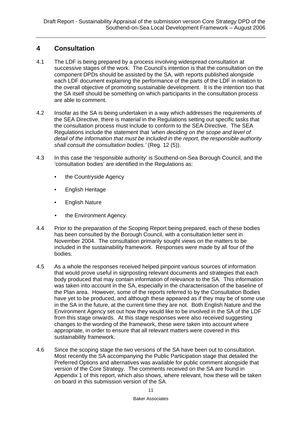# **4 Consultation**

- 4.1 The LDF is being prepared by a process involving widespread consultation at successive stages of the work. The Council's intention is that the consultation on the component DPDs should be assisted by the SA, with reports published alongside each LDF document explaining the performance of the parts of the LDF in relation to the overall objective of promoting sustainable development. It is the intention too that the SA itself should be something on which participants in the consultation process are able to comment.
- 4.2 Insofar as the SA is being undertaken in a way which addresses the requirements of the SEA Directive, there is material in the Regulations setting out specific tasks that the consultation process must include to conform to the SEA Directive. The SEA Regulations include the statement that *'when deciding on the scope and level of detail of the information that must be included in the report, the responsible authority shall consult the consultation bodies.'* (Reg. 12 (5)).
- 4.3 In this case the 'responsible authority' is Southend-on-Sea Borough Council, and the 'consultation bodies' are identified in the Regulations as:
	- the Countryside Agency
	- English Heritage
	- English Nature
	- the Environment Agency.
- 4.4 Prior to the preparation of the Scoping Report being prepared, each of these bodies has been consulted by the Borough Council, with a consultation letter sent in November 2004. The consultation primarily sought views on the matters to be included in the sustainability framework. Responses were made by all four of the bodies.
- 4.5 As a whole the responses received helped pinpoint various sources of information that would prove useful in signposting relevant documents and strategies that each body produced that may contain information of relevance to the SA. This information was taken into account in the SA, especially in the characterisation of the baseline of the Plan area. However, some of the reports referred to by the Consultation Bodies have yet to be produced, and although these appeared as if they may be of some use in the SA in the future, at the current time they are not. Both English Nature and the Environment Agency set out how they would like to be involved in the SA of the LDF from this stage onwards. At this stage responses were also received suggesting changes to the wording of the framework, these were taken into account where appropriate, in order to ensure that all relevant matters were covered in this sustainability framework.
- 4.6 Since the scoping stage the two versions of the SA have been out to consultation. Most recently the SA accompanying the Public Participation stage that detailed the Preferred Options and alternatives was available for public comment alongside that version of the Core Strategy. The comments received on the SA are found in Appendix 1 of this report, which also shows, where relevant, how these will be taken on board in this submission version of the SA.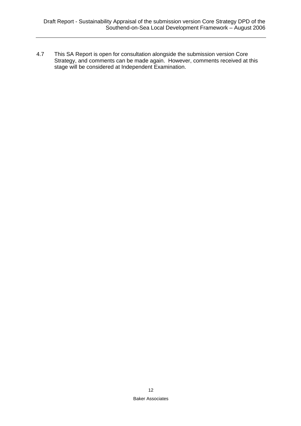4.7 This SA Report is open for consultation alongside the submission version Core Strategy, and comments can be made again. However, comments received at this stage will be considered at Independent Examination.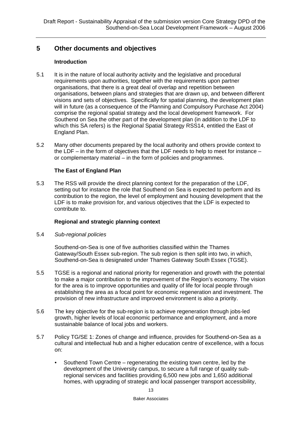# **5 Other documents and objectives**

#### **Introduction**

- 5.1 It is in the nature of local authority activity and the legislative and procedural requirements upon authorities, together with the requirements upon partner organisations, that there is a great deal of overlap and repetition between organisations, between plans and strategies that are drawn up, and between different visions and sets of objectives. Specifically for spatial planning, the development plan will in future (as a consequence of the Planning and Compulsory Purchase Act 2004) comprise the regional spatial strategy and the local development framework. For Southend on Sea the other part of the development plan (in addition to the LDF to which this SA refers) is the Regional Spatial Strategy RSS14, entitled the East of England Plan.
- 5.2 Many other documents prepared by the local authority and others provide context to the LDF – in the form of objectives that the LDF needs to help to meet for instance – or complementary material – in the form of policies and programmes.

## **The East of England Plan**

5.3 The RSS will provide the direct planning context for the preparation of the LDF, setting out for instance the role that Southend on Sea is expected to perform and its contribution to the region, the level of employment and housing development that the LDF is to make provision for, and various objectives that the LDF is expected to contribute to.

#### **Regional and strategic planning context**

#### 5.4 *Sub-regional policies*

Southend-on-Sea is one of five authorities classified within the Thames Gateway/South Essex sub-region. The sub region is then split into two, in which, Southend-on-Sea is designated under Thames Gateway South Essex (TGSE).

- 5.5 TGSE is a regional and national priority for regeneration and growth with the potential to make a major contribution to the improvement of the Region's economy. The vision for the area is to improve opportunities and quality of life for local people through establishing the area as a focal point for economic regeneration and investment. The provision of new infrastructure and improved environment is also a priority.
- 5.6 The key objective for the sub-region is to achieve regeneration through jobs-led growth, higher levels of local economic performance and employment, and a more sustainable balance of local jobs and workers.
- 5.7 Policy TG/SE 1: Zones of change and influence, provides for Southend-on-Sea as a cultural and intellectual hub and a higher education centre of excellence, with a focus on:
	- Southend Town Centre regenerating the existing town centre, led by the development of the University campus, to secure a full range of quality subregional services and facilities providing 6,500 new jobs and 1,650 additional homes, with upgrading of strategic and local passenger transport accessibility,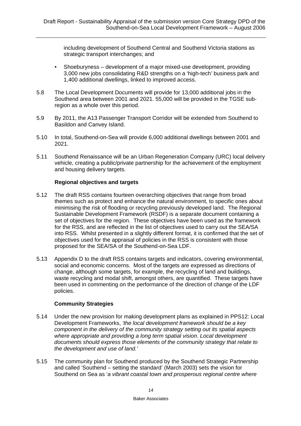including development of Southend Central and Southend Victoria stations as strategic transport interchanges; and

- Shoeburyness development of a major mixed-use development, providing 3,000 new jobs consolidating R&D strengths on a 'high-tech' business park and 1,400 additional dwellings, linked to improved access.
- 5.8 The Local Development Documents will provide for 13,000 additional jobs in the Southend area between 2001 and 2021. 55,000 will be provided in the TGSE subregion as a whole over this period.
- 5.9 By 2011, the A13 Passenger Transport Corridor will be extended from Southend to Basildon and Canvey Island.
- 5.10 In total, Southend-on-Sea will provide 6,000 additional dwellings between 2001 and 2021.
- 5.11 Southend Renaissance will be an Urban Regeneration Company (URC) local delivery vehicle, creating a public/private partnership for the achievement of the employment and housing delivery targets.

## **Regional objectives and targets**

- 5.12 The draft RSS contains fourteen overarching objectives that range from broad themes such as protect and enhance the natural environment, to specific ones about minimising the risk of flooding or recycling previously developed land. The Regional Sustainable Development Framework (RSDF) is a separate document containing a set of objectives for the region. These objectives have been used as the framework for the RSS, and are reflected in the list of objectives used to carry out the SEA/SA into RSS. Whilst presented in a slightly different format, it is confirmed that the set of objectives used for the appraisal of policies in the RSS is consistent with those proposed for the SEA/SA of the Southend-on-Sea LDF.
- 5.13 Appendix D to the draft RSS contains targets and indicators, covering environmental, social and economic concerns. Most of the targets are expressed as directions of change, although some targets, for example, the recycling of land and buildings, waste recycling and modal shift, amongst others, are quantified. These targets have been used in commenting on the performance of the direction of change of the LDF policies.

#### **Community Strategies**

- 5.14 Under the new provision for making development plans as explained in PPS12: Local Development Frameworks, *'the local development framework should be a key component in the delivery of the community strategy setting out its spatial aspects where appropriate and providing a long term spatial vision. Local development documents should express those elements of the community strategy that relate to the development and use of land.'*
- 5.15 The community plan for Southend produced by the Southend Strategic Partnership and called 'Southend – setting the standard' (March 2003) sets the vision for Southend on Sea as '*a vibrant coastal town and prosperous regional centre where*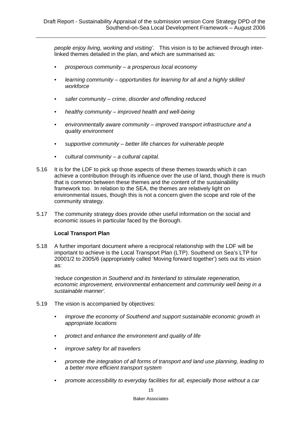*people enjoy living, working and visiting'*. This vision is to be achieved through interlinked themes detailed in the plan, and which are summarised as:

- *prosperous community a prosperous local economy*
- *learning community opportunities for learning for all and a highly skilled workforce*
- *safer community crime, disorder and offending reduced*
- *healthy community improved health and well-being*
- *environmentally aware community improved transport infrastructure and a quality environment*
- *supportive community better life chances for vulnerable people*
- *cultural community a cultural capital.*
- 5.16 It is for the LDF to pick up those aspects of these themes towards which it can achieve a contribution through its influence over the use of land, though there is much that is common between these themes and the content of the sustainability framework too. In relation to the SEA, the themes are relatively light on environmental issues, though this is not a concern given the scope and role of the community strategy.
- 5.17 The community strategy does provide other useful information on the social and economic issues in particular faced by the Borough.

#### **Local Transport Plan**

5.18 A further important document where a reciprocal relationship with the LDF will be important to achieve is the Local Transport Plan (LTP). Southend on Sea's LTP for 20001/2 to 2005/6 (appropriately called 'Moving forward together') sets out its vision as:

*'reduce congestion in Southend and its hinterland to stimulate regeneration, economic improvement, environmental enhancement and community well being in a sustainable manner'.* 

- 5.19 The vision is accompanied by objectives:
	- *improve the economy of Southend and support sustainable economic growth in appropriate locations*
	- *protect and enhance the environment and quality of life*
	- *improve safety for all travellers*
	- *promote the integration of all forms of transport and land use planning, leading to a better more efficient transport system*
	- *promote accessibility to everyday facilities for all, especially those without a car*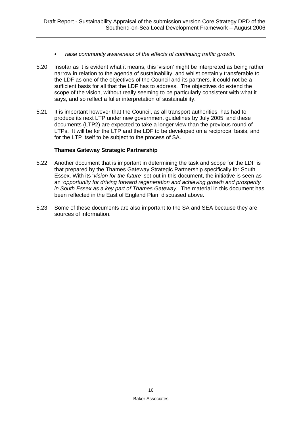- *raise community awareness of the effects of continuing traffic growth.*
- 5.20 Insofar as it is evident what it means, this 'vision' might be interpreted as being rather narrow in relation to the agenda of sustainability, and whilst certainly transferable to the LDF as one of the objectives of the Council and its partners, it could not be a sufficient basis for all that the LDF has to address. The objectives do extend the scope of the vision, without really seeming to be particularly consistent with what it says, and so reflect a fuller interpretation of sustainability.
- 5.21 It is important however that the Council, as all transport authorities, has had to produce its next LTP under new government guidelines by July 2005, and these documents (LTP2) are expected to take a longer view than the previous round of LTPs. It will be for the LTP and the LDF to be developed on a reciprocal basis, and for the LTP itself to be subject to the process of SA.

#### **Thames Gateway Strategic Partnership**

- 5.22 Another document that is important in determining the task and scope for the LDF is that prepared by the Thames Gateway Strategic Partnership specifically for South Essex. With its '*vision for the future'* set out in this document, the initiative is seen as an *'opportunity for driving forward regeneration and achieving growth and prosperity in South Essex as a key part of Thames Gateway.* The material in this document has been reflected in the East of England Plan, discussed above.
- 5.23 Some of these documents are also important to the SA and SEA because they are sources of information.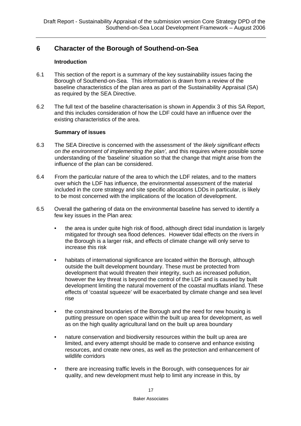# **6 Character of the Borough of Southend-on-Sea**

#### **Introduction**

- 6.1 This section of the report is a summary of the key sustainability issues facing the Borough of Southend-on-Sea. This information is drawn from a review of the baseline characteristics of the plan area as part of the Sustainability Appraisal (SA) as required by the SEA Directive.
- 6.2 The full text of the baseline characterisation is shown in Appendix 3 of this SA Report, and this includes consideration of how the LDF could have an influence over the existing characteristics of the area.

#### **Summary of issues**

- 6.3 The SEA Directive is concerned with the assessment of *'the likely significant effects on the environment of implementing the plan',* and this requires where possible some understanding of the 'baseline' situation so that the change that might arise from the influence of the plan can be considered.
- 6.4 From the particular nature of the area to which the LDF relates, and to the matters over which the LDF has influence, the environmental assessment of the material included in the core strategy and site specific allocations LDDs in particular, is likely to be most concerned with the implications of the location of development.
- 6.5 Overall the gathering of data on the environmental baseline has served to identify a few key issues in the Plan area:
	- the area is under quite high risk of flood, although direct tidal inundation is largely mitigated for through sea flood defences. However tidal effects on the rivers in the Borough is a larger risk, and effects of climate change will only serve to increase this risk
	- habitats of international significance are located within the Borough, although outside the built development boundary. These must be protected from development that would threaten their integrity, such as increased pollution, however the key threat is beyond the control of the LDF and is caused by built development limiting the natural movement of the coastal mudflats inland. These effects of 'coastal squeeze' will be exacerbated by climate change and sea level rise
	- the constrained boundaries of the Borough and the need for new housing is putting pressure on open space within the built up area for development, as well as on the high quality agricultural land on the built up area boundary
	- nature conservation and biodiversity resources within the built up area are limited, and every attempt should be made to conserve and enhance existing resources, and create new ones, as well as the protection and enhancement of wildlife corridors
	- there are increasing traffic levels in the Borough, with consequences for air quality, and new development must help to limit any increase in this, by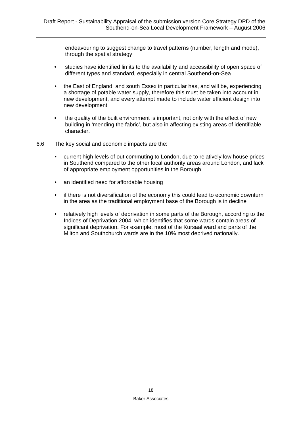endeavouring to suggest change to travel patterns (number, length and mode), through the spatial strategy

- studies have identified limits to the availability and accessibility of open space of different types and standard, especially in central Southend-on-Sea
- the East of England, and south Essex in particular has, and will be, experiencing a shortage of potable water supply, therefore this must be taken into account in new development, and every attempt made to include water efficient design into new development
- the quality of the built environment is important, not only with the effect of new building in 'mending the fabric', but also in affecting existing areas of identifiable character.
- 6.6 The key social and economic impacts are the:
	- current high levels of out commuting to London, due to relatively low house prices in Southend compared to the other local authority areas around London, and lack of appropriate employment opportunities in the Borough
	- an identified need for affordable housing
	- if there is not diversification of the economy this could lead to economic downturn in the area as the traditional employment base of the Borough is in decline
	- relatively high levels of deprivation in some parts of the Borough, according to the Indices of Deprivation 2004, which identifies that some wards contain areas of significant deprivation. For example, most of the Kursaal ward and parts of the Milton and Southchurch wards are in the 10% most deprived nationally.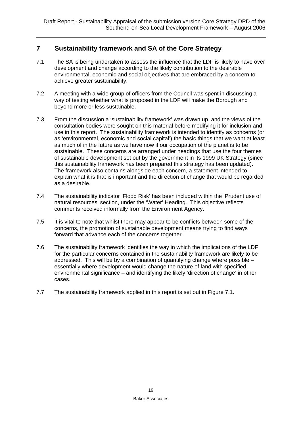# **7 Sustainability framework and SA of the Core Strategy**

- 7.1 The SA is being undertaken to assess the influence that the LDF is likely to have over development and change according to the likely contribution to the desirable environmental, economic and social objectives that are embraced by a concern to achieve greater sustainability.
- 7.2 A meeting with a wide group of officers from the Council was spent in discussing a way of testing whether what is proposed in the LDF will make the Borough and beyond more or less sustainable.
- 7.3 From the discussion a 'sustainability framework' was drawn up, and the views of the consultation bodies were sought on this material before modifying it for inclusion and use in this report. The sustainability framework is intended to identify as concerns (or as 'environmental, economic and social capital') the basic things that we want at least as much of in the future as we have now if our occupation of the planet is to be sustainable. These concerns are arranged under headings that use the four themes of sustainable development set out by the government in its 1999 UK Strategy (since this sustainability framework has been prepared this strategy has been updated). The framework also contains alongside each concern, a statement intended to explain what it is that is important and the direction of change that would be regarded as a desirable.
- 7.4 The sustainability indicator 'Flood Risk' has been included within the 'Prudent use of natural resources' section, under the 'Water' Heading. This objective reflects comments received informally from the Environment Agency.
- 7.5 It is vital to note that whilst there may appear to be conflicts between some of the concerns, the promotion of sustainable development means trying to find ways forward that advance each of the concerns together.
- 7.6 The sustainability framework identifies the way in which the implications of the LDF for the particular concerns contained in the sustainability framework are likely to be addressed. This will be by a combination of quantifying change where possible – essentially where development would change the nature of land with specified environmental significance – and identifying the likely 'direction of change' in other cases.
- 7.7 The sustainability framework applied in this report is set out in Figure 7.1.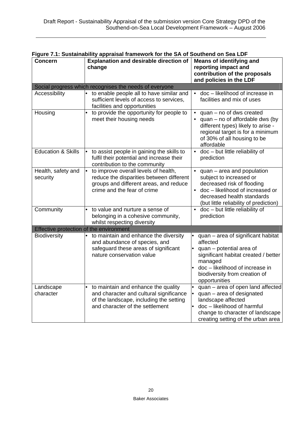| Figure 7.1: Sustainability appraisal framework for the SA of Southend on Sea LDF |                                                                                                                                                                   |                                                                                                                                                                                                                                      |  |  |
|----------------------------------------------------------------------------------|-------------------------------------------------------------------------------------------------------------------------------------------------------------------|--------------------------------------------------------------------------------------------------------------------------------------------------------------------------------------------------------------------------------------|--|--|
| <b>Concern</b>                                                                   | <b>Explanation and desirable direction of</b><br>change                                                                                                           | <b>Means of identifying and</b><br>reporting impact and<br>contribution of the proposals<br>and policies in the LDF                                                                                                                  |  |  |
|                                                                                  | Social progress which recognises the needs of everyone                                                                                                            |                                                                                                                                                                                                                                      |  |  |
| Accessibility                                                                    | to enable people all to have similar and<br>$\bullet$<br>sufficient levels of access to services,<br>facilities and opportunities                                 | • doc - likelihood of increase in<br>facilities and mix of uses                                                                                                                                                                      |  |  |
| Housing                                                                          | to provide the opportunity for people to<br>meet their housing needs                                                                                              | quan - no of dws created<br>quan – no of affordable dws (by<br>different types) likely to arise -<br>regional target is for a minimum<br>of 30% of all housing to be<br>affordable                                                   |  |  |
| <b>Education &amp; Skills</b>                                                    | to assist people in gaining the skills to<br>$\bullet$<br>fulfil their potential and increase their<br>contribution to the community                              | • doc - but little reliability of<br>prediction                                                                                                                                                                                      |  |  |
| Health, safety and<br>security                                                   | to improve overall levels of health,<br>lo<br>reduce the disparities between different<br>groups and different areas, and reduce<br>crime and the fear of crime   | quan - area and population<br>$\bullet$<br>subject to increased or<br>decreased risk of flooding<br>doc - likelihood of increased or<br>$\bullet$<br>decreased health standards<br>(but little reliability of prediction)            |  |  |
| Community                                                                        | to value and nurture a sense of<br>$\bullet$<br>belonging in a cohesive community,<br>whilst respecting diversity                                                 | • doc - but little reliability of<br>prediction                                                                                                                                                                                      |  |  |
| Effective protection of the environment                                          |                                                                                                                                                                   |                                                                                                                                                                                                                                      |  |  |
| <b>Biodiversity</b>                                                              | to maintain and enhance the diversity<br>and abundance of species, and<br>safeguard these areas of significant<br>nature conservation value                       | quan - area of significant habitat<br>affected<br>quan - potential area of<br>$\bullet$<br>significant habitat created / better<br>managed<br>doc - likelihood of increase in<br>biodiversity from creation of<br>opportunities      |  |  |
| Landscape<br>character                                                           | to maintain and enhance the quality<br>٠<br>and character and cultural significance<br>of the landscape, including the setting<br>and character of the settlement | quan - area of open land affected<br>$\bullet$<br>quan - area of designated<br>$\bullet$<br>landscape affected<br>doc - likelihood of harmful<br>$\bullet$<br>change to character of landscape<br>creating setting of the urban area |  |  |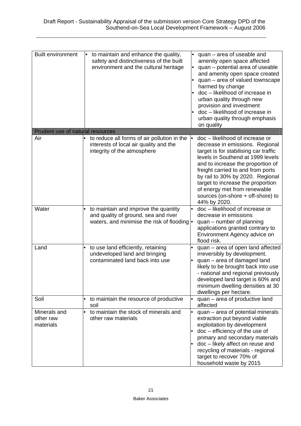| <b>Built environment</b>               | to maintain and enhance the quality,<br>safety and distinctiveness of the built<br>environment and the cultural heritage     | quan – area of useable and<br>amenity open space affected<br>quan - potential area of useable<br>$\bullet$<br>and amenity open space created<br>quan - area of valued townscape<br>harmed by change<br>doc - likelihood of increase in<br>urban quality through new<br>provision and investment<br>doc - likelihood of increase in<br>urban quality through emphasis<br>on quality       |
|----------------------------------------|------------------------------------------------------------------------------------------------------------------------------|------------------------------------------------------------------------------------------------------------------------------------------------------------------------------------------------------------------------------------------------------------------------------------------------------------------------------------------------------------------------------------------|
| Prudent use of natural resources       |                                                                                                                              |                                                                                                                                                                                                                                                                                                                                                                                          |
| Air                                    | to reduce all forms of air pollution in the<br>interests of local air quality and the<br>integrity of the atmosphere         | doc - likelihood of increase or<br>decrease in emissions. Regional<br>target is for stabilising car traffic<br>levels in Southend at 1999 levels<br>and to increase the proportion of<br>freight carried to and from ports<br>by rail to 30% by 2020. Regional<br>target to increase the proportion<br>of energy met from renewable<br>sources (on-shore + off-shore) to<br>44% by 2020. |
| Water                                  | to maintain and improve the quantity<br>and quality of ground, sea and river<br>waters, and minimise the risk of flooding  . | doc - likelihood of increase or<br>decrease in emissions<br>quan – number of planning<br>applications granted contrary to<br>Environment Agency advice on<br>flood risk.                                                                                                                                                                                                                 |
| Land                                   | to use land efficiently, retaining<br>undeveloped land and bringing<br>contaminated land back into use                       | quan – area of open land affected<br>irreversibly by development.<br>quan - area of damaged land<br>likely to be brought back into use<br>- national and regional previously<br>developed land target is 60% and<br>minimum dwelling densities at 30<br>dwellings per hectare.                                                                                                           |
| Soil                                   | to maintain the resource of productive<br>$\bullet$<br>soil                                                                  | quan - area of productive land<br>affected                                                                                                                                                                                                                                                                                                                                               |
| Minerals and<br>other raw<br>materials | to maintain the stock of minerals and<br>other raw materials                                                                 | quan - area of potential minerals<br>extraction put beyond viable<br>exploitation by development<br>doc - efficiency of the use of<br>primary and secondary materials<br>doc - likely affect on reuse and<br>recycling of materials - regional<br>target to recover 70% of<br>household waste by 2015                                                                                    |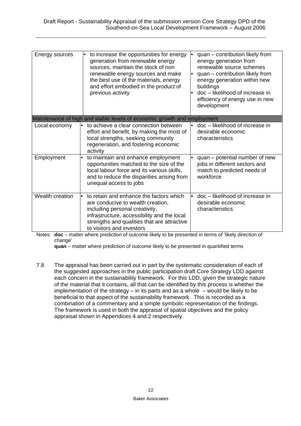| Energy sources                                                          | to increase the opportunities for energy<br>generation from renewable energy<br>sources, maintain the stock of non<br>renewable energy sources and make<br>the best use of the materials, energy<br>and effort embodied in the product of<br>previous activity | quan – contribution likely from<br>energy generation from<br>renewable source schemes<br>quan - contribution likely from<br>energy generation within new<br>buildings<br>doc - likelihood of increase in<br>$\bullet$<br>efficiency of energy use in new<br>development |  |  |
|-------------------------------------------------------------------------|----------------------------------------------------------------------------------------------------------------------------------------------------------------------------------------------------------------------------------------------------------------|-------------------------------------------------------------------------------------------------------------------------------------------------------------------------------------------------------------------------------------------------------------------------|--|--|
| Maintenance of high and stable levels of economic growth and employment |                                                                                                                                                                                                                                                                |                                                                                                                                                                                                                                                                         |  |  |
| Local economy                                                           | to achieve a clear connection between<br>effort and benefit, by making the most of<br>local strengths, seeking community<br>regeneration, and fostering economic<br>activity                                                                                   | doc - likelihood of increase in<br>desirable economic<br>characteristics                                                                                                                                                                                                |  |  |
| Employment                                                              | to maintain and enhance employment<br>$\bullet$<br>opportunities matched to the size of the<br>local labour force and its various skills,<br>and to reduce the disparities arising from<br>unequal access to jobs                                              | quan – potential number of new<br>jobs in different sectors and<br>match to predicted needs of<br>workforce                                                                                                                                                             |  |  |
| Wealth creation                                                         | to retain and enhance the factors which<br>are conducive to wealth creation,<br>including personal creativity,<br>infrastructure, accessibility and the local<br>strengths and qualities that are attractive<br>to visitors and investors                      | doc - likelihood of increase in<br>$\bullet$<br>desirable economic<br>characteristics                                                                                                                                                                                   |  |  |

Notes: **doc** – matter where prediction of outcome likely to be presented in terms of 'likely direction of change'

**quan** – matter where prediction of outcome likely to be presented in quantified terms

7.8 The appraisal has been carried out in part by the systematic consideration of each of the suggested approaches in the public participation draft Core Strategy LDD against each concern in the sustainability framework. For this LDD, given the strategic nature of the material that it contains, all that can be identified by this process is whether the implementation of the strategy – in its parts and as a whole – would be likely to be beneficial to that aspect of the sustainability framework. This is recorded as a combination of a commentary and a simple symbolic representation of the findings. The framework is used in both the appraisal of spatial objectives and the policy appraisal shown in Appendices 4 and 2 respectively.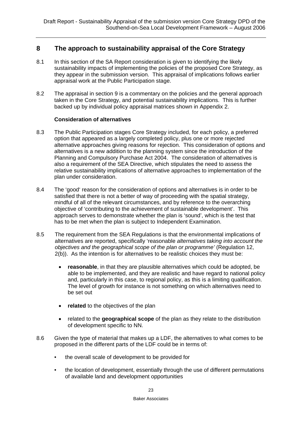# **8 The approach to sustainability appraisal of the Core Strategy**

- 8.1 In this section of the SA Report consideration is given to identifying the likely sustainability impacts of implementing the policies of the proposed Core Strategy, as they appear in the submission version. This appraisal of implications follows earlier appraisal work at the Public Participation stage.
- 8.2 The appraisal in section 9 is a commentary on the policies and the general approach taken in the Core Strategy, and potential sustainability implications. This is further backed up by individual policy appraisal matrices shown in Appendix 2.

## **Consideration of alternatives**

- 8.3 The Public Participation stages Core Strategy included, for each policy, a preferred option that appeared as a largely completed policy, plus one or more rejected alternative approaches giving reasons for rejection. This consideration of options and alternatives is a new addition to the planning system since the introduction of the Planning and Compulsory Purchase Act 2004. The consideration of alternatives is also a requirement of the SEA Directive, which stipulates the need to assess the relative sustainability implications of alternative approaches to implementation of the plan under consideration.
- 8.4 The 'good' reason for the consideration of options and alternatives is in order to be satisfied that there is not a better of way of proceeding with the spatial strategy, mindful of all of the relevant circumstances, and by reference to the overarching objective of 'contributing to the achievement of sustainable development'. This approach serves to demonstrate whether the plan is 'sound', which is the test that has to be met when the plan is subject to Independent Examination.
- 8.5 The requirement from the SEA Regulations is that the environmental implications of alternatives are reported, specifically 'reasonable *alternatives taking into account the objectives and the geographical scope of the plan or programme'* (Regulation 12, 2(b)). As the intention is for alternatives to be realistic choices they must be:
	- **reasonable**, in that they are plausible alternatives which could be adopted, be able to be implemented, and they are realistic and have regard to national policy and, particularly in this case, to regional policy, as this is a limiting qualification. The level of growth for instance is not something on which alternatives need to be set out
	- **related** to the objectives of the plan
	- related to the **geographical scope** of the plan as they relate to the distribution of development specific to NN.
- 8.6 Given the type of material that makes up a LDF, the alternatives to what comes to be proposed in the different parts of the LDF could be in terms of:
	- the overall scale of development to be provided for
	- the location of development, essentially through the use of different permutations of available land and development opportunities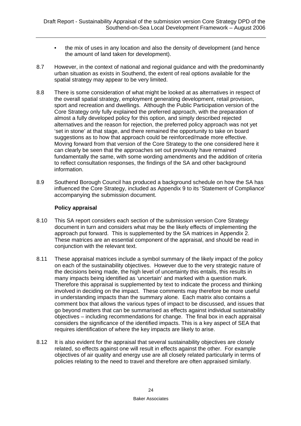- the mix of uses in any location and also the density of development (and hence the amount of land taken for development).
- 8.7 However, in the context of national and regional guidance and with the predominantly urban situation as exists in Southend, the extent of real options available for the spatial strategy may appear to be very limited.
- 8.8 There is some consideration of what might be looked at as alternatives in respect of the overall spatial strategy, employment generating development, retail provision, sport and recreation and dwellings. Although the Public Participation version of the Core Strategy only fully explained the preferred approach, with the preparation of almost a fully developed policy for this option, and simply described rejected alternatives and the reason for rejection, the preferred policy approach was not yet 'set in stone' at that stage, and there remained the opportunity to take on board suggestions as to how that approach could be reinforced/made more effective. Moving forward from that version of the Core Strategy to the one considered here it can clearly be seen that the approaches set out previously have remained fundamentally the same, with some wording amendments and the addition of criteria to reflect consultation responses, the findings of the SA and other background information.
- 8.9 Southend Borough Council has produced a background schedule on how the SA has influenced the Core Strategy, included as Appendix 9 to its 'Statement of Compliance' accompanying the submission document.

## **Policy appraisal**

- 8.10 This SA report considers each section of the submission version Core Strategy document in turn and considers what may be the likely effects of implementing the approach put forward. This is supplemented by the SA matrices in Appendix 2. These matrices are an essential component of the appraisal, and should be read in conjunction with the relevant text.
- 8.11 These appraisal matrices include a symbol summary of the likely impact of the policy on each of the sustainability objectives. However due to the very strategic nature of the decisions being made, the high level of uncertainty this entails, this results in many impacts being identified as 'uncertain' and marked with a question mark. Therefore this appraisal is supplemented by text to indicate the process and thinking involved in deciding on the impact. These comments may therefore be more useful in understanding impacts than the summary alone. Each matrix also contains a comment box that allows the various types of impact to be discussed, and issues that go beyond matters that can be summarised as effects against individual sustainability objectives – including recommendations for change. The final box in each appraisal considers the significance of the identified impacts. This is a key aspect of SEA that requires identification of where the key impacts are likely to arise.
- 8.12 It is also evident for the appraisal that several sustainability objectives are closely related, so effects against one will result in effects against the other. For example objectives of air quality and energy use are all closely related particularly in terms of policies relating to the need to travel and therefore are often appraised similarly.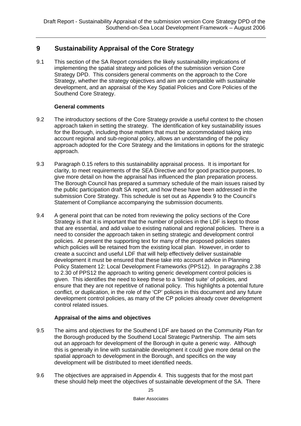# **9 Sustainability Appraisal of the Core Strategy**

9.1 This section of the SA Report considers the likely sustainability implications of implementing the spatial strategy and policies of the submission version Core Strategy DPD. This considers general comments on the approach to the Core Strategy, whether the strategy objectives and aim are compatible with sustainable development, and an appraisal of the Key Spatial Policies and Core Policies of the Southend Core Strategy.

## **General comments**

- 9.2 The introductory sections of the Core Strategy provide a useful context to the chosen approach taken in setting the strategy. The identification of key sustainability issues for the Borough, including those matters that must be accommodated taking into account regional and sub-regional policy, allows an understanding of the policy approach adopted for the Core Strategy and the limitations in options for the strategic approach.
- 9.3 Paragraph 0.15 refers to this sustainability appraisal process. It is important for clarity, to meet requirements of the SEA Directive and for good practice purposes, to give more detail on how the appraisal has influenced the plan preparation process. The Borough Council has prepared a summary schedule of the main issues raised by the public participation draft SA report, and how these have been addressed in the submission Core Strategy. This schedule is set out as Appendix 9 to the Council's Statement of Compliance accompanying the submission documents.
- 9.4 A general point that can be noted from reviewing the policy sections of the Core Strategy is that it is important that the number of policies in the LDF is kept to those that are essential, and add value to existing national and regional policies. There is a need to consider the approach taken in setting strategic and development control policies. At present the supporting text for many of the proposed policies states which policies will be retained from the existing local plan. However, in order to create a succinct and useful LDF that will help effectively deliver sustainable development it must be ensured that these take into account advice in Planning Policy Statement 12: Local Development Frameworks (PPS12). In paragraphs 2.38 to 2.30 of PPS12 the approach to writing generic development control policies is given. This identifies the need to keep these to a 'limited suite' of policies, and ensure that they are not repetitive of national policy. This highlights a potential future conflict, or duplication, in the role of the 'CP' policies in this document and any future development control policies, as many of the CP policies already cover development control related issues.

# **Appraisal of the aims and objectives**

- 9.5 The aims and objectives for the Southend LDF are based on the Community Plan for the Borough produced by the Southend Local Strategic Partnership. The aim sets out an approach for development of the Borough in quite a generic way. Although this is generally in line with sustainable development it could give more detail on the spatial approach to development in the Borough, and specifics on the way development will be distributed to meet identified needs.
- 9.6 The objectives are appraised in Appendix 4. This suggests that for the most part these should help meet the objectives of sustainable development of the SA. There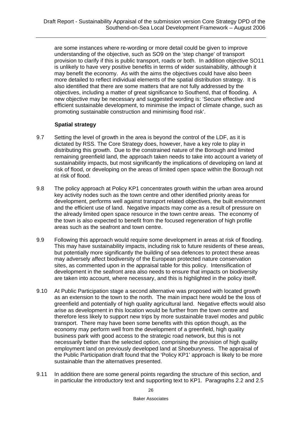are some instances where re-wording or more detail could be given to improve understanding of the objective, such as SO9 on the 'step change' of transport provision to clarify if this is public transport, roads or both. In addition objective SO11 is unlikely to have very positive benefits in terms of wider sustainability, although it may benefit the economy. As with the aims the objectives could have also been more detailed to reflect individual elements of the spatial distribution strategy. It is also identified that there are some matters that are not fully addressed by the objectives, including a matter of great significance to Southend, that of flooding. A new objective may be necessary and suggested wording is: 'Secure effective and efficient sustainable development, to minimise the impact of climate change, such as promoting sustainable construction and minimising flood risk'.

## **Spatial strategy**

- 9.7 Setting the level of growth in the area is beyond the control of the LDF, as it is dictated by RSS. The Core Strategy does, however, have a key role to play in distributing this growth. Due to the constrained nature of the Borough and limited remaining greenfield land, the approach taken needs to take into account a variety of sustainability impacts, but most significantly the implications of developing on land at risk of flood, or developing on the areas of limited open space within the Borough not at risk of flood.
- 9.8 The policy approach at Policy KP1 concentrates growth within the urban area around key activity nodes such as the town centre and other identified priority areas for development, performs well against transport related objectives, the built environment and the efficient use of land. Negative impacts may come as a result of pressure on the already limited open space resource in the town centre areas. The economy of the town is also expected to benefit from the focused regeneration of high profile areas such as the seafront and town centre.
- 9.9 Following this approach would require some development in areas at risk of flooding. This may have sustainability impacts, including risk to future residents of these areas, but potentially more significantly the building of sea defences to protect these areas may adversely affect biodiversity of the European protected nature conservation sites, as commented upon in the appraisal table for this policy. Intensification of development in the seafront area also needs to ensure that impacts on biodiversity are taken into account, where necessary, and this is highlighted in the policy itself.
- 9.10 At Public Participation stage a second alternative was proposed with located growth as an extension to the town to the north. The main impact here would be the loss of greenfield and potentially of high quality agricultural land. Negative effects would also arise as development in this location would be further from the town centre and therefore less likely to support new trips by more sustainable travel modes and public transport. There may have been some benefits with this option though, as the economy may perform well from the development of a greenfield, high quality business park with good access to the strategic road network, but this is not necessarily better than the selected option, comprising the provision of high quality employment land on previously developed land at Shoeburyness. The appraisal of the Public Participation draft found that the 'Policy KP1' approach is likely to be more sustainable than the alternatives presented.
- 9.11 In addition there are some general points regarding the structure of this section, and in particular the introductory text and supporting text to KP1. Paragraphs 2.2 and 2.5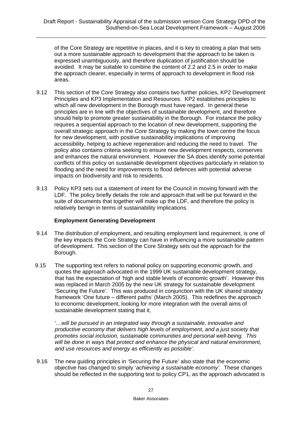of the Core Strategy are repetitive in places, and it is key to creating a plan that sets out a more sustainable approach to development that the approach to be taken is expressed unambiguously, and therefore duplication of justification should be avoided. It may be suitable to combine the content of 2.2 and 2.5 in order to make the approach clearer, especially in terms of approach to development in flood risk areas.

- 9.12 This section of the Core Strategy also contains two further policies, KP2 Development Principles and KP3 Implementation and Resources. KP2 establishes principles to which all new development in the Borough must have regard. In general these principles are in line with the objectives of sustainable development, and therefore should help to promote greater sustainability in the Borough. For instance the policy requires a sequential approach to the location of new development, supporting the overall strategic approach in the Core Strategy by making the town centre the focus for new development, with positive sustainability implications of improving accessibility, helping to achieve regeneration and reducing the need to travel. The policy also contains criteria seeking to ensure new development respects, conserves and enhances the natural environment. However the SA does identify some potential conflicts of this policy on sustainable development objectives particularly in relation to flooding and the need for improvements to flood defences with potential adverse impacts on biodiversity and risk to residents.
- 9.13 Policy KP3 sets out a statement of intent for the Council in moving forward with the LDF. The policy briefly details the role and approach that will be put forward in the suite of documents that together will make up the LDF, and therefore the policy is relatively benign in terms of sustainability implications.

# **Employment Generating Development**

- 9.14 The distribution of employment, and resulting employment land requirement, is one of the key impacts the Core Strategy can have in influencing a more sustainable pattern of development. This section of the Core Strategy sets out the approach for the Borough.
- 9.15 The supporting text refers to national policy on supporting economic growth, and quotes the approach advocated in the 1999 UK sustainable development strategy, that has the expectation of 'high and stable levels of economic growth'. However this was replaced in March 2005 by the new UK strategy for sustainable development 'Securing the Future'. This was produced in conjunction with the UK shared strategy framework 'One future – different paths' (March 2005). This redefines the approach to economic development, looking for more integration with the overall aims of sustainable development stating that it,

*'…will be pursued in an integrated way through a sustainable, innovative and productive economy that delivers high levels of employment, and a just society that promotes social inclusion, sustainable communities and personal well-being. This will be done in ways that protect and enhance the physical and natural environment, and use resources and energy as efficiently as possible'.* 

9.16 The new guiding principles in 'Securing the Future' also state that the economic objective has changed to simply '*achieving a sustainable economy'.* These changes should be reflected in the supporting text to policy CP1, as the approach advocated is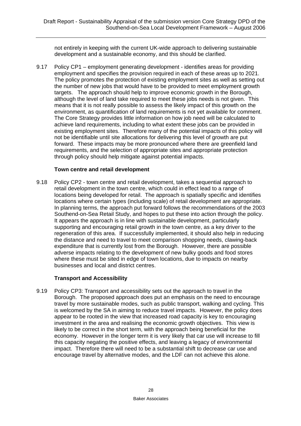not entirely in keeping with the current UK-wide approach to delivering sustainable development and a sustainable economy, and this should be clarified.

9.17 Policy CP1 – employment generating development - identifies areas for providing employment and specifies the provision required in each of these areas up to 2021. The policy promotes the protection of existing employment sites as well as setting out the number of new jobs that would have to be provided to meet employment growth targets. The approach should help to improve economic growth in the Borough, although the level of land take required to meet these jobs needs is not given. This means that it is not really possible to assess the likely impact of this growth on the environment, as quantification of land requirements is not yet available for comment. The Core Strategy provides little information on how job need will be calculated to achieve land requirements, including to what extent these jobs can be provided in existing employment sites. Therefore many of the potential impacts of this policy will not be identifiable until site allocations for delivering this level of growth are put forward. These impacts may be more pronounced where there are greenfield land requirements, and the selection of appropriate sites and appropriate protection through policy should help mitigate against potential impacts.

#### **Town centre and retail development**

9.18 Policy CP2 - town centre and retail development, takes a sequential approach to retail development in the town centre, which could in effect lead to a range of locations being developed for retail. The approach is spatially specific and identifies locations where certain types (including scale) of retail development are appropriate. In planning terms, the approach put forward follows the recommendations of the 2003 Southend-on-Sea Retail Study, and hopes to put these into action through the policy. It appears the approach is in line with sustainable development, particularly supporting and encouraging retail growth in the town centre, as a key driver to the regeneration of this area. If successfully implemented, it should also help in reducing the distance and need to travel to meet comparison shopping needs, clawing-back expenditure that is currently lost from the Borough. However, there are possible adverse impacts relating to the development of new bulky goods and food stores where these must be sited in edge of town locations, due to impacts on nearby businesses and local and district centres.

#### **Transport and Accessibility**

9.19 Policy CP3: Transport and accessibility sets out the approach to travel in the Borough. The proposed approach does put an emphasis on the need to encourage travel by more sustainable modes, such as public transport, walking and cycling. This is welcomed by the SA in aiming to reduce travel impacts. However, the policy does appear to be rooted in the view that increased road capacity is key to encouraging investment in the area and realising the economic growth objectives. This view is likely to be correct in the short term, with the approach being beneficial for the economy. However in the longer term it is very likely that car use will increase to fill this capacity negating the positive effects, and leaving a legacy of environmental impact. Therefore there will need to be a substantial shift to decrease car use and encourage travel by alternative modes, and the LDF can not achieve this alone.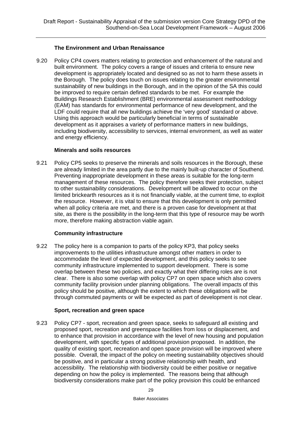# **The Environment and Urban Renaissance**

9.20 Policy CP4 covers matters relating to protection and enhancement of the natural and built environment. The policy covers a range of issues and criteria to ensure new development is appropriately located and designed so as not to harm these assets in the Borough. The policy does touch on issues relating to the greater environmental sustainability of new buildings in the Borough, and in the opinion of the SA this could be improved to require certain defined standards to be met. For example the Buildings Research Establishment (BRE) environmental assessment methodology (EAM) has standards for environmental performance of new development, and the LDF could require that all new buildings achieve the 'very good' standard or above. Using this approach would be particularly beneficial in terms of sustainable development as it appraises a variety of performance matters in new buildings, including biodiversity, accessibility to services, internal environment, as well as water and energy efficiency.

#### **Minerals and soils resources**

9.21 Policy CP5 seeks to preserve the minerals and soils resources in the Borough, these are already limited in the area partly due to the mainly built-up character of Southend. Preventing inappropriate development in these areas is suitable for the long-term management of these resources. The policy therefore seeks their protection, subject to other sustainability considerations. Development will be allowed to occur on the limited brickearth resources as it is not financially viable, at the current time, to exploit the resource. However, it is vital to ensure that this development is only permitted when all policy criteria are met, and there is a proven case for development at that site, as there is the possibility in the long-term that this type of resource may be worth more, therefore making abstraction viable again.

#### **Community infrastructure**

9.22 The policy here is a companion to parts of the policy KP3, that policy seeks improvements to the utilities infrastructure amongst other matters in order to accommodate the level of expected development, and this policy seeks to see community infrastructure implemented to support development. There is some overlap between these two policies, and exactly what their differing roles are is not clear. There is also some overlap with policy CP7 on open space which also covers community facility provision under planning obligations. The overall impacts of this policy should be positive, although the extent to which these obligations will be through commuted payments or will be expected as part of development is not clear.

#### **Sport, recreation and green space**

9.23 Policy CP7 - sport, recreation and green space, seeks to safeguard all existing and proposed sport, recreation and greenspace facilities from loss or displacement, and to enhance that provision in accordance with the level of new housing and population development, with specific types of additional provision proposed. In addition, the quality of existing sport, recreation and open space provision will be improved where possible. Overall, the impact of the policy on meeting sustainability objectives should be positive, and in particular a strong positive relationship with health, and accessibility. The relationship with biodiversity could be either positive or negative depending on how the policy is implemented. The reasons being that although biodiversity considerations make part of the policy provision this could be enhanced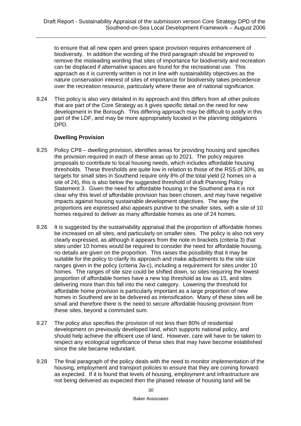to ensure that all new open and green space provision requires enhancement of biodiversity. In addition the wording of the third paragraph should be improved to remove the misleading wording that sites of importance for biodiversity and recreation can be displaced if alternative spaces are found for the recreational use. This approach as it is currently written is not in line with sustainability objectives as the nature conservation interest of sites of importance for biodiversity takes precedence over the recreation resource, particularly where these are of national significance.

9.24 This policy is also very detailed in its approach and this differs from all other polices that are part of the Core Strategy as it gives specific detail on the need for new development in the Borough. This differing approach may be difficult to justify in this part of the LDF, and may be more appropriately located in the planning obligations DPD.

#### **Dwelling Provision**

- 9.25 Policy CP8 dwelling provision, identifies areas for providing housing and specifies the provision required in each of these areas up to 2021. The policy requires proposals to contribute to local housing needs, which includes affordable housing thresholds. These thresholds are quite low in relation to those of the RSS of 30%, as targets for small sites in Southend require only 8% of the total yield (2 homes on a site of 24), this is also below the suggested threshold of draft Planning Policy Statement 3. Given the need for affordable housing in the Southend area it is not clear why this level of affordable provision has been chosen, and may have negative impacts against housing sustainable development objectives. The way the proportions are expressed also appears punitive to the smaller sites, with a site of 10 homes required to deliver as many affordable homes as one of 24 homes.
- 9.26 It is suggested by the sustainability appraisal that the proportion of affordable homes be increased on all sites, and particularly on smaller sites. The policy is also not very clearly expressed, as although it appears from the note in brackets (criteria 3) that sites under 10 homes would be required to consider the need for affordable housing, no details are given on the proportion. This raises the possibility that it may be suitable for the policy to clarify its approach and make adjustments to the site size ranges given in the policy (criteria 3a-c), including a requirement for sites under 10 homes. The ranges of site size could be shifted down, so sites requiring the lowest proportion of affordable homes have a new top threshold as low as 15, and sites delivering more than this fall into the next category. Lowering the threshold for affordable home provision is particularly important as a large proportion of new homes in Southend are to be delivered as intensification. Many of these sites will be small and therefore there is the need to secure affordable housing provision from these sites, beyond a commuted sum.
- 9.27 The policy also specifies the provision of not less than 80% of residential development on previously developed land, which supports national policy, and should help achieve the efficient use of land. However, care will have to be taken to respect any ecological significance of these sites that may have become established since the site became redundant.
- 9.28 The final paragraph of the policy deals with the need to monitor implementation of the housing, employment and transport policies to ensure that they are coming forward as expected. If it is found that levels of housing, employment and infrastructure are not being delivered as expected then the phased release of housing land will be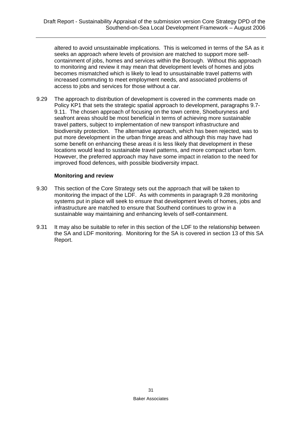altered to avoid unsustainable implications. This is welcomed in terms of the SA as it seeks an approach where levels of provision are matched to support more selfcontainment of jobs, homes and services within the Borough. Without this approach to monitoring and review it may mean that development levels of homes and jobs becomes mismatched which is likely to lead to unsustainable travel patterns with increased commuting to meet employment needs, and associated problems of access to jobs and services for those without a car.

9.29 The approach to distribution of development is covered in the comments made on Policy KP1 that sets the strategic spatial approach to development, paragraphs 9.7- 9.11. The chosen approach of focusing on the town centre, Shoeburyness and seafront areas should be most beneficial in terms of achieving more sustainable travel patters, subject to implementation of new transport infrastructure and biodiversity protection. The alternative approach, which has been rejected, was to put more development in the urban fringe areas and although this may have had some benefit on enhancing these areas it is less likely that development in these locations would lead to sustainable travel patterns, and more compact urban form. However, the preferred approach may have some impact in relation to the need for improved flood defences, with possible biodiversity impact.

#### **Monitoring and review**

- 9.30 This section of the Core Strategy sets out the approach that will be taken to monitoring the impact of the LDF. As with comments in paragraph 9.28 monitoring systems put in place will seek to ensure that development levels of homes, jobs and infrastructure are matched to ensure that Southend continues to grow in a sustainable way maintaining and enhancing levels of self-containment.
- 9.31 It may also be suitable to refer in this section of the LDF to the relationship between the SA and LDF monitoring. Monitoring for the SA is covered in section 13 of this SA Report.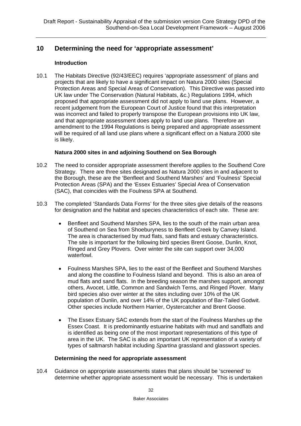# **10 Determining the need for 'appropriate assessment'**

#### **Introduction**

10.1 The Habitats Directive (92/43/EEC) requires 'appropriate assessment' of plans and projects that are likely to have a significant impact on Natura 2000 sites (Special Protection Areas and Special Areas of Conservation). This Directive was passed into UK law under The Conservation (Natural Habitats, &c.) Regulations 1994, which proposed that appropriate assessment did not apply to land use plans. However, a recent judgement from the European Court of Justice found that this interpretation was incorrect and failed to properly transpose the European provisions into UK law, and that appropriate assessment does apply to land use plans. Therefore an amendment to the 1994 Regulations is being prepared and appropriate assessment will be required of all land use plans where a significant effect on a Natura 2000 site is likely.

## **Natura 2000 sites in and adjoining Southend on Sea Borough**

- 10.2 The need to consider appropriate assessment therefore applies to the Southend Core Strategy. There are three sites designated as Natura 2000 sites in and adjacent to the Borough, these are the 'Benfleet and Southend Marshes' and 'Foulness' Special Protection Areas (SPA) and the 'Essex Estuaries' Special Area of Conservation (SAC), that coincides with the Foulness SPA at Southend.
- 10.3 The completed 'Standards Data Forms' for the three sites give details of the reasons for designation and the habitat and species characteristics of each site. These are:
	- Benfleet and Southend Marshes SPA, lies to the south of the main urban area of Southend on Sea from Shoeburyness to Benfleet Creek by Canvey Island. The area is characterised by mud flats, sand flats and estuary characteristics. The site is important for the following bird species Brent Goose, Dunlin, Knot, Ringed and Grey Plovers. Over winter the site can support over 34,000 waterfowl.
	- Foulness Marshes SPA, lies to the east of the Benfleet and Southend Marshes and along the coastline to Foulness Island and beyond. This is also an area of mud flats and sand flats. In the breeding season the marshes support, amongst others, Avocet, Little, Common and Sandwich Terns, and Ringed Plover. Many bird species also over winter at the sites including over 10% of the UK population of Dunlin, and over 14% of the UK population of Bar-Tailed Godwit. Other species include Northern Harrier, Oystercatcher and Brent Goose.
	- The Essex Estuary SAC extends from the start of the Foulness Marshes up the Essex Coast. It is predominantly estuarine habitats with mud and sandflats and is identified as being one of the most important representations of this type of area in the UK. The SAC is also an important UK representation of a variety of types of saltmarsh habitat including *Spartina* grassland and glasswort species.

#### **Determining the need for appropriate assessment**

10.4 Guidance on appropriate assessments states that plans should be 'screened' to determine whether appropriate assessment would be necessary. This is undertaken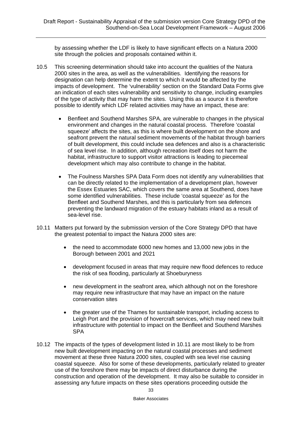by assessing whether the LDF is likely to have significant effects on a Natura 2000 site through the policies and proposals contained within it.

- 10.5 This screening determination should take into account the qualities of the Natura 2000 sites in the area, as well as the vulnerabilities. Identifying the reasons for designation can help determine the extent to which it would be affected by the impacts of development. The 'vulnerability' section on the Standard Data Forms give an indication of each sites vulnerability and sensitivity to change, including examples of the type of activity that may harm the sites. Using this as a source it is therefore possible to identify which LDF related activities may have an impact, these are:
	- Benfleet and Southend Marshes SPA, are vulnerable to changes in the physical environment and changes in the natural coastal process. Therefore 'coastal squeeze' affects the sites, as this is where built development on the shore and seafront prevent the natural sediment movements of the habitat through barriers of built development, this could include sea defences and also is a characteristic of sea level rise. In addition, although recreation itself does not harm the habitat, infrastructure to support visitor attractions is leading to piecemeal development which may also contribute to change in the habitat.
	- The Foulness Marshes SPA Data Form does not identify any vulnerabilities that can be directly related to the implementation of a development plan, however the Essex Estuaries SAC, which covers the same area at Southend, does have some identified vulnerabilities. These include 'coastal squeeze' as for the Benfleet and Southend Marshes, and this is particularly from sea defences preventing the landward migration of the estuary habitats inland as a result of sea-level rise.
- 10.11 Matters put forward by the submission version of the Core Strategy DPD that have the greatest potential to impact the Natura 2000 sites are:
	- the need to accommodate 6000 new homes and 13,000 new jobs in the Borough between 2001 and 2021
	- development focused in areas that may require new flood defences to reduce the risk of sea flooding, particularly at Shoeburyness
	- new development in the seafront area, which although not on the foreshore may require new infrastructure that may have an impact on the nature conservation sites
	- the greater use of the Thames for sustainable transport, including access to Leigh Port and the provision of hovercraft services, which may need new built infrastructure with potential to impact on the Benfleet and Southend Marshes SPA
- 10.12 The impacts of the types of development listed in 10.11 are most likely to be from new built development impacting on the natural coastal processes and sediment movement at these three Natura 2000 sites, coupled with sea level rise causing coastal squeeze. Also for some of these developments, particularly related to greater use of the foreshore there may be impacts of direct disturbance during the construction and operation of the development. It may also be suitable to consider in assessing any future impacts on these sites operations proceeding outside the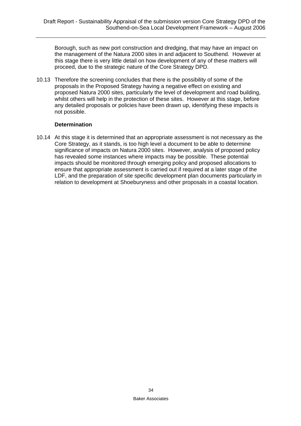Borough, such as new port construction and dredging, that may have an impact on the management of the Natura 2000 sites in and adjacent to Southend. However at this stage there is very little detail on how development of any of these matters will proceed, due to the strategic nature of the Core Strategy DPD.

10.13 Therefore the screening concludes that there is the possibility of some of the proposals in the Proposed Strategy having a negative effect on existing and proposed Natura 2000 sites, particularly the level of development and road building, whilst others will help in the protection of these sites. However at this stage, before any detailed proposals or policies have been drawn up, identifying these impacts is not possible.

#### **Determination**

10.14 At this stage it is determined that an appropriate assessment is not necessary as the Core Strategy, as it stands, is too high level a document to be able to determine significance of impacts on Natura 2000 sites. However, analysis of proposed policy has revealed some instances where impacts may be possible. These potential impacts should be monitored through emerging policy and proposed allocations to ensure that appropriate assessment is carried out if required at a later stage of the LDF, and the preparation of site specific development plan documents particularly in relation to development at Shoeburyness and other proposals in a coastal location.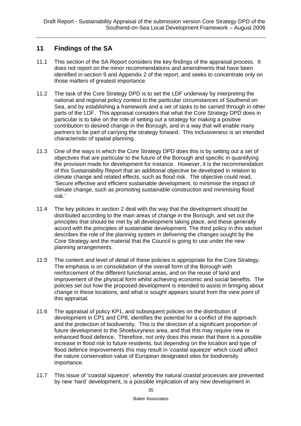## **11 Findings of the SA**

- 11.1 This section of the SA Report considers the key findings of the appraisal process. It does not report on the minor recommendations and amendments that have been identified in section 9 and Appendix 2 of the report, and seeks to concentrate only on those matters of greatest importance.
- 11.2 The task of the Core Strategy DPD is to set the LDF underway by interpreting the national and regional policy context to the particular circumstances of Southend on Sea, and by establishing a framework and a set of tasks to be carried through in other parts of the LDF. This appraisal considers that what the Core Strategy DPD does in particular is to take on the role of setting out a strategy for making a positive contribution to desired change in the Borough, and in a way that will enable many partners to be part of carrying the strategy forward. This inclusiveness is an intended characteristic of spatial planning.
- 11.3 One of the ways in which the Core Strategy DPD does this is by setting out a set of objectives that are particular to the future of the Borough and specific in quantifying the provision made for development for instance. However, it is the recommendation of this Sustainability Report that an additional objective be developed in relation to climate change and related effects, such as flood risk. The objective could read, 'Secure effective and efficient sustainable development, to minimise the impact of climate change, such as promoting sustainable construction and minimising flood risk.'
- 11.4 The key policies in section 2 deal with the way that the development should be distributed according to the main areas of change in the Borough, and set out the principles that should be met by all development taking place, and these generally accord with the principles of sustainable development. The third policy in this section describes the role of the planning system in delivering the changes sought by the Core Strategy and the material that the Council is going to use under the new planning arrangements.
- 11.5 The content and level of detail of these policies is appropriate for the Core Strategy. The emphasis is on consolidation of the overall form of the Borough with reinforcement of the different functional areas, and on the reuse of land and improvement of the physical form whilst achieving economic and social benefits. The policies set out how the proposed development is intended to assist in bringing about change in these locations, and what is sought appears sound from the view point of this appraisal.
- 11.6 The appraisal of policy KP1, and subsequent policies on the distribution of development in CP1 and CP8, identifies the potential for a conflict of the approach and the protection of biodiversity. This is the direction of a significant proportion of future development to the Shoeburyness area, and that this may require new or enhanced flood defence. Therefore, not only does this mean that there is a possible increase in flood risk to future residents, but depending on the location and type of flood defence improvements this may result in 'coastal squeeze' which could affect the nature conservation value of European designated sites for biodiversity importance.
- 11.7 This issue of 'coastal squeeze', whereby the natural coastal processes are prevented by new 'hard' development, is a possible implication of any new development in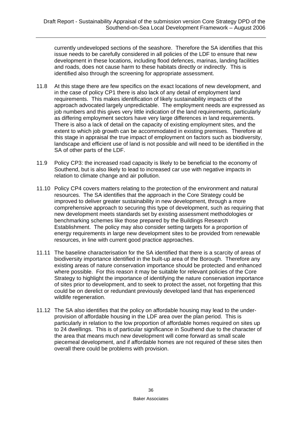currently undeveloped sections of the seashore. Therefore the SA identifies that this issue needs to be carefully considered in all policies of the LDF to ensure that new development in these locations, including flood defences, marinas, landing facilities and roads, does not cause harm to these habitats directly or indirectly. This is identified also through the screening for appropriate assessment.

- 11.8 At this stage there are few specifics on the exact locations of new development, and in the case of policy CP1 there is also lack of any detail of employment land requirements. This makes identification of likely sustainability impacts of the approach advocated largely unpredictable. The employment needs are expressed as job numbers and this gives very little indication of the land requirements, particularly as differing employment sectors have very large differences in land requirements. There is also a lack of detail on the capacity of existing employment sites, and the extent to which job growth can be accommodated in existing premises. Therefore at this stage in appraisal the true impact of employment on factors such as biodiversity, landscape and efficient use of land is not possible and will need to be identified in the SA of other parts of the LDF.
- 11.9 Policy CP3: the increased road capacity is likely to be beneficial to the economy of Southend, but is also likely to lead to increased car use with negative impacts in relation to climate change and air pollution.
- 11.10 Policy CP4 covers matters relating to the protection of the environment and natural resources. The SA identifies that the approach in the Core Strategy could be improved to deliver greater sustainability in new development, through a more comprehensive approach to securing this type of development, such as requiring that new development meets standards set by existing assessment methodologies or benchmarking schemes like those prepared by the Buildings Research Establishment. The policy may also consider setting targets for a proportion of energy requirements in large new development sites to be provided from renewable resources, in line with current good practice approaches.
- 11.11 The baseline characterisation for the SA identified that there is a scarcity of areas of biodiversity importance identified in the built-up area of the Borough. Therefore any existing areas of nature conservation importance should be protected and enhanced where possible. For this reason it may be suitable for relevant policies of the Core Strategy to highlight the importance of identifying the nature conservation importance of sites prior to development, and to seek to protect the asset, not forgetting that this could be on derelict or redundant previously developed land that has experienced wildlife regeneration.
- 11.12 The SA also identifies that the policy on affordable housing may lead to the underprovision of affordable housing in the LDF area over the plan period. This is particularly in relation to the low proportion of affordable homes required on sites up to 24 dwellings. This is of particular significance in Southend due to the character of the area that means much new development will come forward as small scale piecemeal development, and if affordable homes are not required of these sites then overall there could be problems with provision.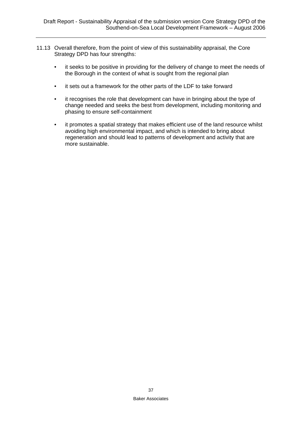- 11.13 Overall therefore, from the point of view of this sustainability appraisal, the Core Strategy DPD has four strengths:
	- it seeks to be positive in providing for the delivery of change to meet the needs of the Borough in the context of what is sought from the regional plan
	- it sets out a framework for the other parts of the LDF to take forward
	- it recognises the role that development can have in bringing about the type of change needed and seeks the best from development, including monitoring and phasing to ensure self-containment
	- it promotes a spatial strategy that makes efficient use of the land resource whilst avoiding high environmental impact, and which is intended to bring about regeneration and should lead to patterns of development and activity that are more sustainable.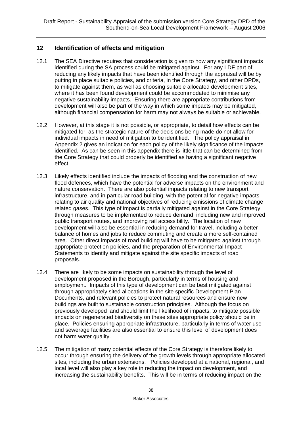## **12 Identification of effects and mitigation**

- 12.1 The SEA Directive requires that consideration is given to how any significant impacts identified during the SA process could be mitigated against. For any LDF part of reducing any likely impacts that have been identified through the appraisal will be by putting in place suitable policies, and criteria, in the Core Strategy, and other DPDs, to mitigate against them, as well as choosing suitable allocated development sites, where it has been found development could be accommodated to minimise any negative sustainability impacts. Ensuring there are appropriate contributions from development will also be part of the way in which some impacts may be mitigated, although financial compensation for harm may not always be suitable or achievable.
- 12.2 However, at this stage it is not possible, or appropriate, to detail how effects can be mitigated for, as the strategic nature of the decisions being made do not allow for individual impacts in need of mitigation to be identified. The policy appraisal in Appendix 2 gives an indication for each policy of the likely significance of the impacts identified. As can be seen in this appendix there is little that can be determined from the Core Strategy that could properly be identified as having a significant negative effect.
- 12.3 Likely effects identified include the impacts of flooding and the construction of new flood defences, which have the potential for adverse impacts on the environment and nature conservation. There are also potential impacts relating to new transport infrastructure, and in particular road building, with the potential for negative impacts relating to air quality and national objectives of reducing emissions of climate change related gases. This type of impact is partially mitigated against in the Core Strategy through measures to be implemented to reduce demand, including new and improved public transport routes, and improving rail accessibility. The location of new development will also be essential in reducing demand for travel, including a better balance of homes and jobs to reduce commuting and create a more self-contained area. Other direct impacts of road building will have to be mitigated against through appropriate protection policies, and the preparation of Environmental Impact Statements to identify and mitigate against the site specific impacts of road proposals.
- 12.4 There are likely to be some impacts on sustainability through the level of development proposed in the Borough, particularly in terms of housing and employment. Impacts of this type of development can be best mitigated against through appropriately sited allocations in the site specific Development Plan Documents, and relevant policies to protect natural resources and ensure new buildings are built to sustainable construction principles. Although the focus on previously developed land should limit the likelihood of impacts, to mitigate possible impacts on regenerated biodiversity on these sites appropriate policy should be in place. Policies ensuring appropriate infrastructure, particularly in terms of water use and sewerage facilities are also essential to ensure this level of development does not harm water quality.
- 12.5 The mitigation of many potential effects of the Core Strategy is therefore likely to occur through ensuring the delivery of the growth levels through appropriate allocated sites, including the urban extensions. Policies developed at a national, regional, and local level will also play a key role in reducing the impact on development, and increasing the sustainability benefits. This will be in terms of reducing impact on the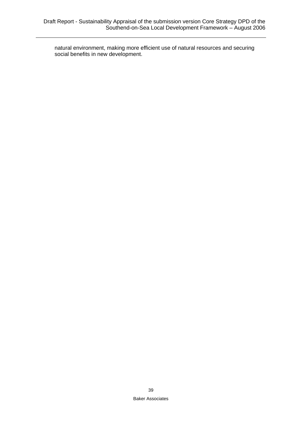natural environment, making more efficient use of natural resources and securing social benefits in new development.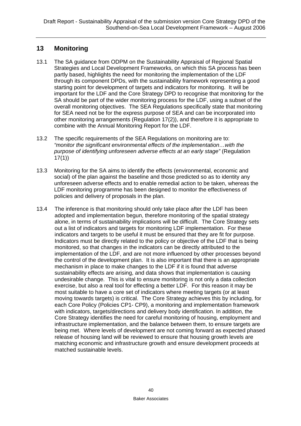# **13 Monitoring**

- 13.1 The SA guidance from ODPM on the Sustainability Appraisal of Regional Spatial Strategies and Local Development Frameworks, on which this SA process has been partly based, highlights the need for monitoring the implementation of the LDF through its component DPDs, with the sustainability framework representing a good starting point for development of targets and indicators for monitoring. It will be important for the LDF and the Core Strategy DPD to recognise that monitoring for the SA should be part of the wider monitoring process for the LDF, using a subset of the overall monitoring objectives. The SEA Regulations specifically state that monitoring for SEA need not be for the express purpose of SEA and can be incorporated into other monitoring arrangements (Regulation 17(2)), and therefore it is appropriate to combine with the Annual Monitoring Report for the LDF.
- 13.2 The specific requirements of the SEA Regulations on monitoring are to: *"monitor the significant environmental effects of the implementation…with the purpose of identifying unforeseen adverse effects at an early stage"* (Regulation 17(1))
- 13.3 Monitoring for the SA aims to identify the effects (environmental, economic and social) of the plan against the baseline and those predicted so as to identity any unforeseen adverse effects and to enable remedial action to be taken, whereas the LDF monitoring programme has been designed to monitor the effectiveness of policies and delivery of proposals in the plan.
- 13.4 The inference is that monitoring should only take place after the LDF has been adopted and implementation begun, therefore monitoring of the spatial strategy alone, in terms of sustainability implications will be difficult. The Core Strategy sets out a list of indicators and targets for monitoring LDF implementation. For these indicators and targets to be useful it must be ensured that they are fit for purpose. Indicators must be directly related to the policy or objective of the LDF that is being monitored, so that changes in the indicators can be directly attributed to the implementation of the LDF, and are not more influenced by other processes beyond the control of the development plan. It is also important that there is an appropriate mechanism in place to make changes to the LDF if it is found that adverse sustainability effects are arising, and data shows that implementation is causing undesirable change. This is vital to ensure monitoring is not only a data collection exercise, but also a real tool for effecting a better LDF. For this reason it may be most suitable to have a core set of indicators where meeting targets (or at least moving towards targets) is critical. The Core Strategy achieves this by including, for each Core Policy (Policies CP1- CP9), a monitoring and implementation framework with indicators, targets/directions and delivery body identification. In addition, the Core Strategy identifies the need for careful monitoring of housing, employment and infrastructure implementation, and the balance between them, to ensure targets are being met. Where levels of development are not coming forward as expected phased release of housing land will be reviewed to ensure that housing growth levels are matching economic and infrastructure growth and ensure development proceeds at matched sustainable levels.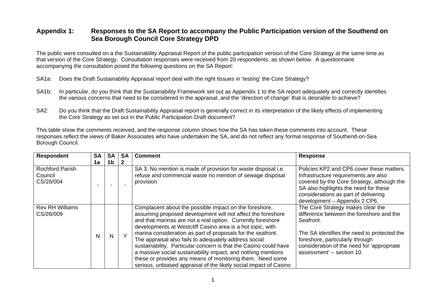## **Appendix 1: Responses to the SA Report to accompany the Public Participation version of the Southend on Sea Borough Council Core Strategy DPD**

The public were consulted on a the Sustainability Appraisal Report of the public participation version of the Core Strategy at the same time as that version of the Core Strategy. Consultation responses were received from 20 respondents, as shown below. A questionnaire accompanying the consultation posed the following questions on the SA Report:

- SA1a: Does the Draft Sustainability Appraisal report deal with the right tissues in 'testing' the Core Strategy?
- SA1b: In particular, do you think that the Sustainability Framework set out as Appendix 1 to the SA report adequately and correctly identifies the various concerns that need to be considered in the appraisal, and the 'direction of change' that is desirable to achieve?
- SA2: Do you think that the Draft Sustainability Appraisal report is generally correct in its interpretation of the likely effects of implementing the Core Strategy as set out in the Public Participation Draft document?

This table show the comments received, and the response column shows how the SA has taken these comments into account. These responses reflect the views of Baker Associates who have undertaken the SA, and do not reflect any formal response of Southend-on-Sea Borough Council.

| <b>Respondent</b>                              | <b>SA</b> | <b>SA</b>      | <b>SA</b> | <b>Comment</b>                                                                                                                                                                                                                                                                                                                                                                                                                                                                                                                                                                                                                                   | <b>Response</b>                                                                                                                                                                                                                                         |  |
|------------------------------------------------|-----------|----------------|-----------|--------------------------------------------------------------------------------------------------------------------------------------------------------------------------------------------------------------------------------------------------------------------------------------------------------------------------------------------------------------------------------------------------------------------------------------------------------------------------------------------------------------------------------------------------------------------------------------------------------------------------------------------------|---------------------------------------------------------------------------------------------------------------------------------------------------------------------------------------------------------------------------------------------------------|--|
|                                                | 1a        | 1 <sub>b</sub> |           |                                                                                                                                                                                                                                                                                                                                                                                                                                                                                                                                                                                                                                                  |                                                                                                                                                                                                                                                         |  |
| <b>Rochford Parish</b><br>Council<br>CS/26/004 |           |                |           | SA 3: No mention is made of provision for waste disposal i.e.<br>refuse and commercial waste no mention of sewage disposal<br>provision                                                                                                                                                                                                                                                                                                                                                                                                                                                                                                          | Policies KP2 and CP6 cover these matters.<br>Infrastructure requirements are also<br>covered by the Core Strategy, although the<br>SA also highlights the need for these<br>considerations as part of delivering<br>development - Appendix 2 CP6.       |  |
| <b>Rev RH Williams</b><br>CS/26/009            | N         | N              | $\vee$    | Complacent about the possible impact on the foreshore,<br>assuming proposed development will not affect the foreshore<br>and that marinas are not a real option. Currently foreshore<br>developments at Westcliff Casino area is a hot topic, with<br>marina consideration as part of proposals for the seafront.<br>The appraisal also fails to adequately address social<br>sustainability. Particular concern is that the Casino could have<br>a massive social sustainability impact, and nothing mentions<br>these or provides any means of monitoring them. Need some<br>serious, unbiased appraisal of the likely social impact of Casino | The Core Strategy makes clear the<br>difference between the foreshore and the<br>Seafront.<br>The SA identifies the need to protected the<br>foreshore, particularly through<br>consideration of the need for 'appropriate<br>assessment' - section 10. |  |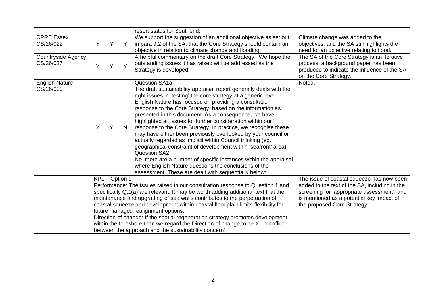|                                    |   |                |   | resort status for Southend.                                                                                                                                                                                                                                                                                                                                                                                                                                                                                                                                                                                                                                                                                                                                                                                                                                                               |                                                                                                                                                                                                                       |
|------------------------------------|---|----------------|---|-------------------------------------------------------------------------------------------------------------------------------------------------------------------------------------------------------------------------------------------------------------------------------------------------------------------------------------------------------------------------------------------------------------------------------------------------------------------------------------------------------------------------------------------------------------------------------------------------------------------------------------------------------------------------------------------------------------------------------------------------------------------------------------------------------------------------------------------------------------------------------------------|-----------------------------------------------------------------------------------------------------------------------------------------------------------------------------------------------------------------------|
| <b>CPRE Essex</b><br>CS/26/022     | Y | Y              | Y | We support the suggestion of an additional objective as set out<br>in para 9.2 of the SA, that the Core Strategy should contain an<br>objective in relation to climate change and flooding.                                                                                                                                                                                                                                                                                                                                                                                                                                                                                                                                                                                                                                                                                               | Climate change was added to the<br>objectives, and the SA still highlights the<br>need for an objective relating to flood.                                                                                            |
| Countryside Agency<br>CS/26/027    | Y | Y              | Y | A helpful commentary on the draft Core Strategy. We hope the<br>outstanding issues it has raised will be addressed as the<br>Strategy is developed.                                                                                                                                                                                                                                                                                                                                                                                                                                                                                                                                                                                                                                                                                                                                       | The SA of the Core Strategy is an iterative<br>process, a background paper has been<br>produced to indicate the influence of the SA<br>on the Core Strategy.                                                          |
| <b>English Nature</b><br>CS/26/030 | Υ | Y              | N | Question SA1a:<br>The draft sustainability appraisal report generally deals with the<br>right issues in 'testing' the core strategy at a generic level.<br>English Nature has focused on providing a consultation<br>response to the Core Strategy, based on the information as<br>presented in this document. As a consequence, we have<br>highlighted all issues for further consideration within our<br>response to the Core Strategy. In practice, we recognise these<br>may have either been previously overlooked by your council or<br>actually regarded as implicit within Council thinking (eg.<br>geographical constraint of development within 'seafront' area).<br><b>Question SA2:</b><br>No, there are a number of specific instances within the appraisal<br>where English Nature questions the conclusions of the<br>assessment. These are dealt with sequentially below: | Noted.                                                                                                                                                                                                                |
|                                    |   | KP1 - Option 1 |   | Performance: The issues raised in our consultation response to Question 1 and<br>specifically Q.1(a) are relevant. It may be worth adding additional text that the<br>maintenance and upgrading of sea walls contributes to the perpetuation of<br>coastal squeeze and development within coastal floodplain limits flexibility for<br>future managed realignment options.<br>Direction of change: If the spatial regeneration strategy promotes development<br>within the foreshore then we regard the Direction of change to be $X - 'conflict$<br>between the approach and the sustainability concern'                                                                                                                                                                                                                                                                                 | The issue of coastal squeeze has now been<br>added to the text of the SA, including in the<br>screening for 'appropriate assessment', and<br>is mentioned as a potential key impact of<br>the proposed Core Strategy. |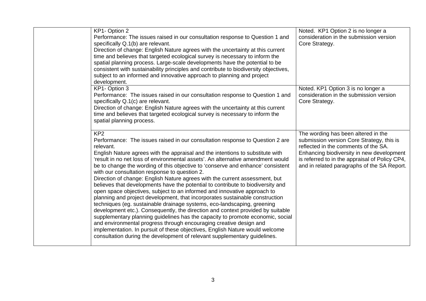| KP1- Option 2<br>Performance: The issues raised in our consultation response to Question 1 and<br>specifically Q.1(b) are relevant.<br>Direction of change: English Nature agrees with the uncertainty at this current<br>time and believes that targeted ecological survey is necessary to inform the<br>spatial planning process. Large-scale developments have the potential to be<br>consistent with sustainability principles and contribute to biodiversity objectives,<br>subject to an informed and innovative approach to planning and project<br>development.                                                                                                                                                                                                                                                                                                                                                                                                                                                                                                                                                                                                                                                                 | Noted. KP1 Option 2 is no longer a<br>consideration in the submission version<br>Core Strategy.                                                                                                                                                                        |
|-----------------------------------------------------------------------------------------------------------------------------------------------------------------------------------------------------------------------------------------------------------------------------------------------------------------------------------------------------------------------------------------------------------------------------------------------------------------------------------------------------------------------------------------------------------------------------------------------------------------------------------------------------------------------------------------------------------------------------------------------------------------------------------------------------------------------------------------------------------------------------------------------------------------------------------------------------------------------------------------------------------------------------------------------------------------------------------------------------------------------------------------------------------------------------------------------------------------------------------------|------------------------------------------------------------------------------------------------------------------------------------------------------------------------------------------------------------------------------------------------------------------------|
| KP1-Option 3<br>Performance: The issues raised in our consultation response to Question 1 and<br>specifically Q.1(c) are relevant.<br>Direction of change: English Nature agrees with the uncertainty at this current<br>time and believes that targeted ecological survey is necessary to inform the<br>spatial planning process.                                                                                                                                                                                                                                                                                                                                                                                                                                                                                                                                                                                                                                                                                                                                                                                                                                                                                                      | Noted. KP1 Option 3 is no longer a<br>consideration in the submission version<br>Core Strategy.                                                                                                                                                                        |
| KP <sub>2</sub><br>Performance: The issues raised in our consultation response to Question 2 are<br>relevant.<br>English Nature agrees with the appraisal and the intentions to substitute with<br>'result in no net loss of environmental assets'. An alternative amendment would<br>be to change the wording of this objective to 'conserve and enhance' consistent<br>with our consultation response to question 2.<br>Direction of change: English Nature agrees with the current assessment, but<br>believes that developments have the potential to contribute to biodiversity and<br>open space objectives, subject to an informed and innovative approach to<br>planning and project development, that incorporates sustainable construction<br>techniques (eg. sustainable drainage systems, eco-landscaping, greening<br>development etc.). Consequently, the direction and context provided by suitable<br>supplementary planning guidelines has the capacity to promote economic, social<br>and environmental progress through encouraging creative design and<br>implementation. In pursuit of these objectives, English Nature would welcome<br>consultation during the development of relevant supplementary guidelines. | The wording has been altered in the<br>submission version Core Strategy, this is<br>reflected in the comments of the SA.<br>Enhancing biodiversity in new development<br>is referred to in the appraisal of Policy CP4,<br>and in related paragraphs of the SA Report. |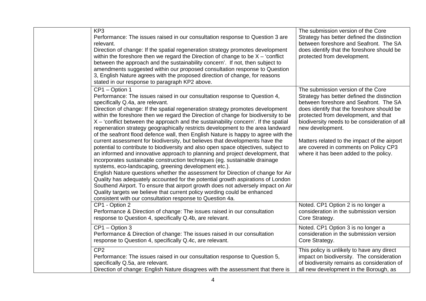| KP <sub>3</sub><br>Performance: The issues raised in our consultation response to Question 3 are<br>relevant.<br>Direction of change: If the spatial regeneration strategy promotes development<br>within the foreshore then we regard the Direction of change to be $X - 'conflict$<br>between the approach and the sustainability concern'. If not, then subject to<br>amendments suggested within our proposed consultation response to Question<br>3, English Nature agrees with the proposed direction of change, for reasons<br>stated in our response to paragraph KP2 above.                                                                                                                                                                                                                                                                                                                                                                                                                                                                                                                                                                                                                                                                                                                                                                                       | The submission version of the Core<br>Strategy has better defined the distinction<br>between foreshore and Seafront. The SA<br>does identify that the foreshore should be<br>protected from development.                                                                                                                                                                                                                  |
|----------------------------------------------------------------------------------------------------------------------------------------------------------------------------------------------------------------------------------------------------------------------------------------------------------------------------------------------------------------------------------------------------------------------------------------------------------------------------------------------------------------------------------------------------------------------------------------------------------------------------------------------------------------------------------------------------------------------------------------------------------------------------------------------------------------------------------------------------------------------------------------------------------------------------------------------------------------------------------------------------------------------------------------------------------------------------------------------------------------------------------------------------------------------------------------------------------------------------------------------------------------------------------------------------------------------------------------------------------------------------|---------------------------------------------------------------------------------------------------------------------------------------------------------------------------------------------------------------------------------------------------------------------------------------------------------------------------------------------------------------------------------------------------------------------------|
| CP1 - Option 1<br>Performance: The issues raised in our consultation response to Question 4,<br>specifically Q.4a, are relevant.<br>Direction of change: If the spatial regeneration strategy promotes development<br>within the foreshore then we regard the Direction of change for biodiversity to be<br>$X - 'conflict$ between the approach and the sustainability concern'. If the spatial<br>regeneration strategy geographically restricts development to the area landward<br>of the seafront flood defence wall, then English Nature is happy to agree with the<br>current assessment for biodiversity, but believes that developments have the<br>potential to contribute to biodiversity and also open space objectives, subject to<br>an informed and innovative approach to planning and project development, that<br>incorporates sustainable construction techniques (eg. sustainable drainage<br>systems, eco-landscaping, greening development etc.).<br>English Nature questions whether the assessment for Direction of change for Air<br>Quality has adequately accounted for the potential growth aspirations of London<br>Southend Airport. To ensure that airport growth does not adversely impact on Air<br>Quality targets we believe that current policy wording could be enhanced<br>consistent with our consultation response to Question 4a. | The submission version of the Core<br>Strategy has better defined the distinction<br>between foreshore and Seafront. The SA<br>does identify that the foreshore should be<br>protected from development, and that<br>biodiversity needs to be consideration of all<br>new development.<br>Matters related to the impact of the airport<br>are covered in comments on Policy CP3<br>where it has been added to the policy. |
| CP1 - Option 2<br>Performance & Direction of change: The issues raised in our consultation<br>response to Question 4, specifically Q.4b, are relevant.                                                                                                                                                                                                                                                                                                                                                                                                                                                                                                                                                                                                                                                                                                                                                                                                                                                                                                                                                                                                                                                                                                                                                                                                                     | Noted. CP1 Option 2 is no longer a<br>consideration in the submission version<br>Core Strategy.                                                                                                                                                                                                                                                                                                                           |
| CP1 - Option 3<br>Performance & Direction of change: The issues raised in our consultation<br>response to Question 4, specifically Q.4c, are relevant.                                                                                                                                                                                                                                                                                                                                                                                                                                                                                                                                                                                                                                                                                                                                                                                                                                                                                                                                                                                                                                                                                                                                                                                                                     | Noted. CP1 Option 3 is no longer a<br>consideration in the submission version<br>Core Strategy.                                                                                                                                                                                                                                                                                                                           |
| CP <sub>2</sub><br>Performance: The issues raised in our consultation response to Question 5,<br>specifically Q.5a, are relevant.<br>Direction of change: English Nature disagrees with the assessment that there is                                                                                                                                                                                                                                                                                                                                                                                                                                                                                                                                                                                                                                                                                                                                                                                                                                                                                                                                                                                                                                                                                                                                                       | This policy is unlikely to have any direct<br>impact on biodiversity. The consideration<br>of biodiversity remains as consideration of<br>all new development in the Borough, as                                                                                                                                                                                                                                          |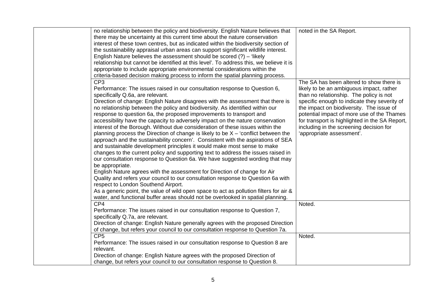| no relationship between the policy and biodiversity. English Nature believes that                                                                    | noted in the SA Report.                        |
|------------------------------------------------------------------------------------------------------------------------------------------------------|------------------------------------------------|
| there may be uncertainty at this current time about the nature conservation                                                                          |                                                |
| interest of these town centres, but as indicated within the biodiversity section of                                                                  |                                                |
| the sustainability appraisal urban areas can support significant wildlife interest.                                                                  |                                                |
| English Nature believes the assessment should be scored $(?) - 'likely'$                                                                             |                                                |
| relationship but cannot be identified at this level'. To address this, we believe it is                                                              |                                                |
| appropriate to include appropriate environmental considerations within the                                                                           |                                                |
| criteria-based decision making process to inform the spatial planning process.                                                                       |                                                |
| CP <sub>3</sub>                                                                                                                                      | The SA has been altered to show there is       |
| Performance: The issues raised in our consultation response to Question 6,                                                                           | likely to be an ambiguous impact, rather       |
| specifically Q.6a, are relevant.                                                                                                                     | than no relationship. The policy is not        |
| Direction of change: English Nature disagrees with the assessment that there is                                                                      | specific enough to indicate they severity of   |
|                                                                                                                                                      | the impact on biodiversity. The issue of       |
| no relationship between the policy and biodiversity. As identified within our<br>response to question 6a, the proposed improvements to transport and | potential impact of more use of the Thames     |
|                                                                                                                                                      |                                                |
| accessibility have the capacity to adversely impact on the nature conservation                                                                       | for transport is highlighted in the SA Report, |
| interest of the Borough. Without due consideration of these issues within the                                                                        | including in the screening decision for        |
| planning process the Direction of change is likely to be $X - '$ conflict between the                                                                | 'appropriate assessment'.                      |
| approach and the sustainability concern'. Consistent with the aspirations of SEA                                                                     |                                                |
| and sustainable development principles it would make most sense to make                                                                              |                                                |
| changes to the current policy and supporting text to address the issues raised in                                                                    |                                                |
| our consultation response to Question 6a. We have suggested wording that may                                                                         |                                                |
| be appropriate.                                                                                                                                      |                                                |
| English Nature agrees with the assessment for Direction of change for Air                                                                            |                                                |
| Quality and refers your council to our consultation response to Question 6a with                                                                     |                                                |
| respect to London Southend Airport.                                                                                                                  |                                                |
| As a generic point, the value of wild open space to act as pollution filters for air &                                                               |                                                |
| water, and functional buffer areas should not be overlooked in spatial planning.                                                                     |                                                |
| CP4                                                                                                                                                  | Noted.                                         |
| Performance: The issues raised in our consultation response to Question 7,                                                                           |                                                |
| specifically Q.7a, are relevant.                                                                                                                     |                                                |
| Direction of change: English Nature generally agrees with the proposed Direction                                                                     |                                                |
| of change, but refers your council to our consultation response to Question 7a.                                                                      |                                                |
| CP <sub>5</sub>                                                                                                                                      | Noted.                                         |
| Performance: The issues raised in our consultation response to Question 8 are                                                                        |                                                |
| relevant.                                                                                                                                            |                                                |
| Direction of change: English Nature agrees with the proposed Direction of                                                                            |                                                |
| change, but refers your council to our consultation response to Question 8.                                                                          |                                                |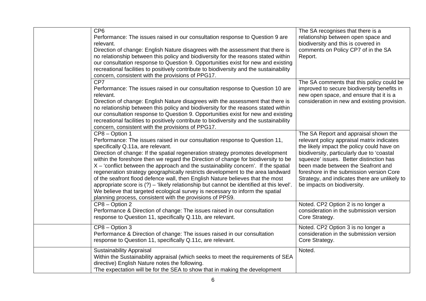| CP <sub>6</sub><br>Performance: The issues raised in our consultation response to Question 9 are<br>relevant.<br>Direction of change: English Nature disagrees with the assessment that there is<br>no relationship between this policy and biodiversity for the reasons stated within<br>our consultation response to Question 9. Opportunities exist for new and existing<br>recreational facilities to positively contribute to biodiversity and the sustainability<br>concern, consistent with the provisions of PPG17.                                                                                                                                                                                                                                                                                         | The SA recognises that there is a<br>relationship between open space and<br>biodiversity and this is covered in<br>comments on Policy CP7 of in the SA<br>Report.                                                                                                                                                                                                                            |
|---------------------------------------------------------------------------------------------------------------------------------------------------------------------------------------------------------------------------------------------------------------------------------------------------------------------------------------------------------------------------------------------------------------------------------------------------------------------------------------------------------------------------------------------------------------------------------------------------------------------------------------------------------------------------------------------------------------------------------------------------------------------------------------------------------------------|----------------------------------------------------------------------------------------------------------------------------------------------------------------------------------------------------------------------------------------------------------------------------------------------------------------------------------------------------------------------------------------------|
| CP7<br>Performance: The issues raised in our consultation response to Question 10 are<br>relevant.<br>Direction of change: English Nature disagrees with the assessment that there is<br>no relationship between this policy and biodiversity for the reasons stated within<br>our consultation response to Question 9. Opportunities exist for new and existing<br>recreational facilities to positively contribute to biodiversity and the sustainability<br>concern, consistent with the provisions of PPG17.                                                                                                                                                                                                                                                                                                    | The SA comments that this policy could be<br>improved to secure biodiversity benefits in<br>new open space, and ensure that it is a<br>consideration in new and existing provision.                                                                                                                                                                                                          |
| CP8 - Option 1<br>Performance: The issues raised in our consultation response to Question 11,<br>specifically Q.11a, are relevant.<br>Direction of change: If the spatial regeneration strategy promotes development<br>within the foreshore then we regard the Direction of change for biodiversity to be<br>$X - 'conflict$ between the approach and the sustainability concern'. If the spatial<br>regeneration strategy geographically restricts development to the area landward<br>of the seafront flood defence wall, then English Nature believes that the most<br>appropriate score is $(?)$ – 'likely relationship but cannot be identified at this level'.<br>We believe that targeted ecological survey is necessary to inform the spatial<br>planning process, consistent with the provisions of PPS9. | The SA Report and appraisal shown the<br>relevant policy appraisal matrix indicates<br>the likely impact the policy could have on<br>biodiversity, particularly due to 'coastal<br>squeeze' issues. Better distinction has<br>been made between the Seafront and<br>foreshore in the submission version Core<br>Strategy, and indicates there are unlikely to<br>be impacts on biodiversity. |
| CP8 - Option 2<br>Performance & Direction of change: The issues raised in our consultation<br>response to Question 11, specifically Q.11b, are relevant.                                                                                                                                                                                                                                                                                                                                                                                                                                                                                                                                                                                                                                                            | Noted. CP2 Option 2 is no longer a<br>consideration in the submission version<br>Core Strategy.                                                                                                                                                                                                                                                                                              |
| CP8 - Option 3<br>Performance & Direction of change: The issues raised in our consultation<br>response to Question 11, specifically Q.11c, are relevant.                                                                                                                                                                                                                                                                                                                                                                                                                                                                                                                                                                                                                                                            | Noted. CP2 Option 3 is no longer a<br>consideration in the submission version<br>Core Strategy.                                                                                                                                                                                                                                                                                              |
| <b>Sustainability Appraisal</b><br>Within the Sustainability appraisal (which seeks to meet the requirements of SEA<br>directive) English Nature notes the following.<br>The expectation will be for the SEA to show that in making the development                                                                                                                                                                                                                                                                                                                                                                                                                                                                                                                                                                 | Noted.                                                                                                                                                                                                                                                                                                                                                                                       |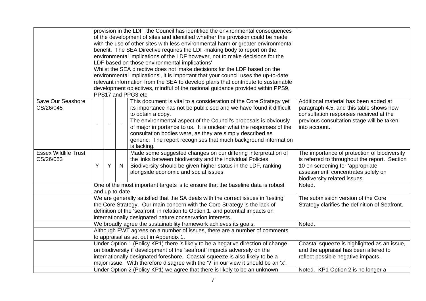|                                |                                                                                                                    |                                                                             |    | provision in the LDF, the Council has identified the environmental consequences                                                                                    |                                                                                   |  |
|--------------------------------|--------------------------------------------------------------------------------------------------------------------|-----------------------------------------------------------------------------|----|--------------------------------------------------------------------------------------------------------------------------------------------------------------------|-----------------------------------------------------------------------------------|--|
|                                |                                                                                                                    |                                                                             |    | of the development of sites and identified whether the provision could be made                                                                                     |                                                                                   |  |
|                                |                                                                                                                    |                                                                             |    | with the use of other sites with less environmental harm or greater environmental                                                                                  |                                                                                   |  |
|                                |                                                                                                                    |                                                                             |    | benefit. The SEA Directive requires the LDF-making body to report on the                                                                                           |                                                                                   |  |
|                                |                                                                                                                    |                                                                             |    | environmental implications of the LDF however, not to make decisions for the                                                                                       |                                                                                   |  |
|                                |                                                                                                                    |                                                                             |    | LDF based on those environmental implications'                                                                                                                     |                                                                                   |  |
|                                |                                                                                                                    |                                                                             |    | Whilst the SEA directive does not 'make decisions for the LDF based on the                                                                                         |                                                                                   |  |
|                                |                                                                                                                    |                                                                             |    | environmental implications', it is important that your council uses the up-to-date                                                                                 |                                                                                   |  |
|                                |                                                                                                                    |                                                                             |    | relevant information from the SEA to develop plans that contribute to sustainable                                                                                  |                                                                                   |  |
|                                |                                                                                                                    |                                                                             |    | development objectives, mindful of the national guidance provided within PPS9,                                                                                     |                                                                                   |  |
|                                |                                                                                                                    |                                                                             |    | PPS17 and PPG3 etc                                                                                                                                                 |                                                                                   |  |
| Save Our Seashore<br>CS/26/045 |                                                                                                                    |                                                                             |    | This document is vital to a consideration of the Core Strategy yet                                                                                                 | Additional material has been added at                                             |  |
|                                |                                                                                                                    |                                                                             |    | its importance has not be publicised and we have found it difficult<br>to obtain a copy.                                                                           | paragraph 4.5, and this table shows how<br>consultation responses received at the |  |
|                                |                                                                                                                    |                                                                             |    | The environmental aspect of the Council's proposals is obviously                                                                                                   | previous consultation stage will be taken                                         |  |
|                                |                                                                                                                    |                                                                             |    | of major importance to us. It is unclear what the responses of the                                                                                                 | into account.                                                                     |  |
|                                |                                                                                                                    |                                                                             |    | consultation bodies were, as they are simply described as                                                                                                          |                                                                                   |  |
|                                |                                                                                                                    |                                                                             |    | generic. The report recognises that much background information                                                                                                    |                                                                                   |  |
|                                |                                                                                                                    |                                                                             |    | is lacking.                                                                                                                                                        |                                                                                   |  |
| <b>Essex Wildlife Trust</b>    |                                                                                                                    |                                                                             |    | Made some suggested changes on our differing interpretation of                                                                                                     | The importance of protection of biodiversity                                      |  |
| CS/26/053                      |                                                                                                                    |                                                                             |    | the links between biodiversity and the individual Policies.                                                                                                        | is referred to throughout the report. Section                                     |  |
|                                | Y                                                                                                                  | Y                                                                           | N. | Biodiversity should be given higher status in the LDF, ranking                                                                                                     | 10 on screening for 'appropriate                                                  |  |
|                                |                                                                                                                    |                                                                             |    | alongside economic and social issues.                                                                                                                              | assessment' concentrates solely on                                                |  |
|                                |                                                                                                                    |                                                                             |    |                                                                                                                                                                    | biodiversity related issues.                                                      |  |
|                                |                                                                                                                    |                                                                             |    | One of the most important targets is to ensure that the baseline data is robust                                                                                    | Noted.                                                                            |  |
|                                |                                                                                                                    | and up-to-date                                                              |    |                                                                                                                                                                    |                                                                                   |  |
|                                |                                                                                                                    |                                                                             |    | We are generally satisfied that the SA deals with the correct issues in 'testing'                                                                                  | The submission version of the Core                                                |  |
|                                |                                                                                                                    |                                                                             |    | the Core Strategy. Our main concern with the Core Strategy is the lack of                                                                                          | Strategy clarifies the definition of Seafront.                                    |  |
|                                |                                                                                                                    |                                                                             |    | definition of the 'seafront' in relation to Option 1, and potential impacts on                                                                                     |                                                                                   |  |
|                                |                                                                                                                    |                                                                             |    | internationally designated nature conservation interests.                                                                                                          |                                                                                   |  |
|                                |                                                                                                                    | We broadly agree the sustainability framework achieves its goals.<br>Noted. |    |                                                                                                                                                                    |                                                                                   |  |
|                                |                                                                                                                    | Although EWT agrees on a number of issues, there are a number of comments   |    |                                                                                                                                                                    |                                                                                   |  |
|                                |                                                                                                                    |                                                                             |    | to appraisal as set out in Appendix 1.                                                                                                                             |                                                                                   |  |
|                                |                                                                                                                    |                                                                             |    | Under Option 1 (Policy KP1) there is likely to be a negative direction of change                                                                                   | Coastal squeeze is highlighted as an issue,                                       |  |
|                                | on biodiversity if development of the 'seafront' impacts adversely on the<br>and the appraisal has been altered to |                                                                             |    |                                                                                                                                                                    |                                                                                   |  |
|                                |                                                                                                                    |                                                                             |    |                                                                                                                                                                    |                                                                                   |  |
|                                |                                                                                                                    |                                                                             |    | internationally designated foreshore. Coastal squeeze is also likely to be a<br>major issue. With therefore disagree with the '?' in our view it should be an 'x'. | reflect possible negative impacts.                                                |  |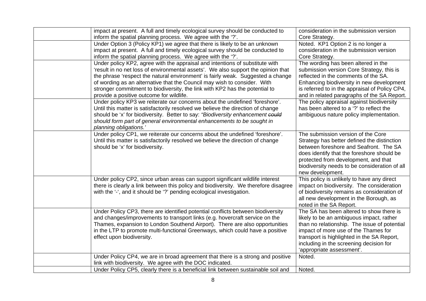| impact at present. A full and timely ecological survey should be conducted to       | consideration in the submission version        |
|-------------------------------------------------------------------------------------|------------------------------------------------|
| inform the spatial planning process. We agree with the '?'.                         | Core Strategy.                                 |
| Under Option 3 (Policy KP1) we agree that there is likely to be an unknown          | Noted. KP1 Option 2 is no longer a             |
|                                                                                     | consideration in the submission version        |
| impact at present. A full and timely ecological survey should be conducted to       |                                                |
| inform the spatial planning process. We agree with the '?'.                         | Core Strategy.                                 |
| Under policy KP2, agree with the appraisal and intentions of substitute with        | The wording has been altered in the            |
| 'result in no net loss of environmental assets'. We also support the opinion that   | submission version Core Strategy, this is      |
| the phrase 'respect the natural environment' is fairly weak. Suggested a change     | reflected in the comments of the SA.           |
| of wording as an alternative that the Council may wish to consider. With            | Enhancing biodiversity in new development      |
| stronger commitment to biodiversity, the link with KP2 has the potential to         | is referred to in the appraisal of Policy CP4, |
| provide a positive outcome for wildlife.                                            | and in related paragraphs of the SA Report.    |
| Under policy KP3 we reiterate our concerns about the undefined 'foreshore'.         | The policy appraisal against biodiversity      |
| Until this matter is satisfactorily resolved we believe the direction of change     | has been altered to a '?' to reflect the       |
| should be 'x' for biodiversity. Better to say: "Biodiversity enhancement could      | ambiguous nature policy implementation.        |
| should form part of general environmental enhancements to be sought in              |                                                |
| planning obligations.'                                                              |                                                |
| Under policy CP1, we reiterate our concerns about the undefined 'foreshore'.        | The submission version of the Core             |
| Until this matter is satisfactorily resolved we believe the direction of change     | Strategy has better defined the distinction    |
| should be 'x' for biodiversity.                                                     | between foreshore and Seafront. The SA         |
|                                                                                     | does identify that the foreshore should be     |
|                                                                                     | protected from development, and that           |
|                                                                                     | biodiversity needs to be consideration of all  |
|                                                                                     | new development.                               |
| Under policy CP2, since urban areas can support significant wildlife interest       | This policy is unlikely to have any direct     |
| there is clearly a link between this policy and biodiversity. We therefore disagree | impact on biodiversity. The consideration      |
| with the '-', and it should be '?' pending ecological investigation.                | of biodiversity remains as consideration of    |
|                                                                                     | all new development in the Borough, as         |
|                                                                                     | noted in the SA Report.                        |
| Under Policy CP3, there are identified potential conflicts between biodiversity     | The SA has been altered to show there is       |
|                                                                                     |                                                |
| and changes/improvements to transport links (e.g. hovercraft service on the         | likely to be an ambiguous impact, rather       |
| Thames, expansion to London Southend Airport). There are also opportunities         | than no relationship. The issue of potential   |
| in the LTP to promote multi-functional Greenways, which could have a positive       | impact of more use of the Thames for           |
| effect upon biodiversity.                                                           | transport is highlighted in the SA Report,     |
|                                                                                     | including in the screening decision for        |
|                                                                                     | 'appropriate assessment'.                      |
| Under Policy CP4, we are in broad agreement that there is a strong and positive     | Noted.                                         |
| link with biodiversity. We agree with the DOC indicated.                            |                                                |
| Under Policy CP5, clearly there is a beneficial link between sustainable soil and   | Noted.                                         |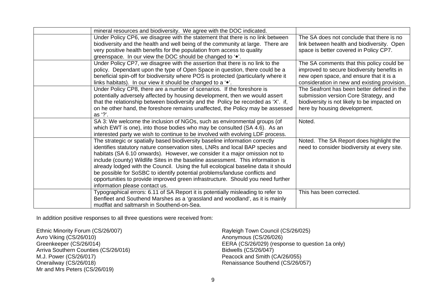| mineral resources and biodiversity. We agree with the DOC indicated.               |                                              |
|------------------------------------------------------------------------------------|----------------------------------------------|
| Under Policy CP6, we disagree with the statement that there is no link between     | The SA does not conclude that there is no    |
| biodiversity and the health and well being of the community at large. There are    | link between health and biodiversity. Open   |
| very positive health benefits for the population from access to quality            | space is better covered in Policy CP7.       |
| greenspace. In our view the DOC should be changed to '.                            |                                              |
| Under Policy CP7, we disagree with the assertion that there is no link to the      | The SA comments that this policy could be    |
| policy. Dependant upon the type of Open Space in question, there could be a        | improved to secure biodiversity benefits in  |
| beneficial spin-off for biodiversity where POS is protected (particularly where it | new open space, and ensure that it is a      |
| links habitats). In our view it should be changed to a '                           | consideration in new and existing provision. |
| Under Policy CP8, there are a number of scenarios. If the foreshore is             | The Seafront has been better defined in the  |
| potentially adversely affected by housing development, then we would assert        | submission version Core Strategy, and        |
| that the relationship between biodiversity and the Policy be recorded as 'X'. if,  | biodiversity is not likely to be impacted on |
| on he other hand, the foreshore remains unaffected, the Policy may be assessed     | here by housing development.                 |
| as '?'.                                                                            |                                              |
| SA 3: We welcome the inclusion of NGOs, such as environmental groups (of           | Noted.                                       |
| which EWT is one), into those bodies who may be consulted (SA 4.6). As an          |                                              |
| interested party we wish to continue to be involved with evolving LDF process.     |                                              |
| The strategic or spatially based biodiversity baseline information correctly       | Noted. The SA Report does highlight the      |
| identifies statutory nature conservation sites, LNRs and local BAP species and     | need to consider biodiversity at every site. |
| habitats (SA 6.10 onwards). However, we consider it a major omission not to        |                                              |
| include (county) Wildlife Sites in the baseline assessment. This information is    |                                              |
| already lodged with the Council. Using the full ecological baseline data it should |                                              |
| be possible for SoSBC to identify potential problems/landuse conflicts and         |                                              |
| opportunities to provide improved green infrastructure. Should you need further    |                                              |
| information please contact us.                                                     |                                              |
| Typographical errors: 6.11 of SA Report it is potentially misleading to refer to   | This has been corrected.                     |
| Benfleet and Southend Marshes as a 'grassland and woodland', as it is mainly       |                                              |
| mudflat and saltmarsh in Southend-on-Sea.                                          |                                              |

In addition positive responses to all three questions were received from:

Ethnic Minority Forum (CS/26/007) Avro Viking (CS/26/010) Greenkeeper (CS/26/014) Arriva Southern Counties (CS/26/016) M.J. Power (CS/26/017) Onerailway (CS/26/018) Mr and Mrs Peters (CS/26/019)

Rayleigh Town Council (CS/26/025) Anonymous (CS/26/026) EERA (CS/26/029) (response to question 1a only) Bidwells (CS/26/047) Peacock and Smith (CA/26/055) Renaissance Southend (CS/26/057)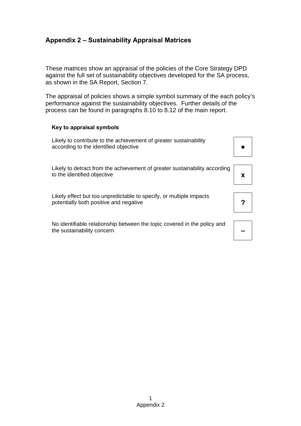# **Appendix 2 – Sustainability Appraisal Matrices**

These matrices show an appraisal of the policies of the Core Strategy DPD against the full set of sustainability objectives developed for the SA process, as shown in the SA Report, Section 7.

The appraisal of policies shows a simple symbol summary of the each policy's performance against the sustainability objectives. Further details of the process can be found in paragraphs 8.10 to 8.12 of the main report.

#### **Key to appraisal symbols**

Likely to contribute to the achievement of greater sustainability according to the identified objective

Likely to detract from the achievement of greater sustainability according to the identified objective **x x** 

Likely effect but too unpredictable to specify, or multiple impacts potentially both positive and negative **Participal in the set of Participal intervalse in the Participal interval in Participal interval in Participal interval in Participal interval in Participal interval in Participal in** 

No identifiable relationship between the topic covered in the policy and the sustainability concern **–** 



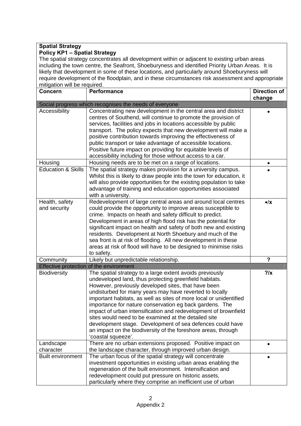| <b>Spatial Strategy</b><br><b>Policy KP1 - Spatial Strategy</b>                                                                   |                                                                                                                                                                                                                                                                                                                                                                                                                                                                                                                                                                                                                                                      |                      |  |  |  |  |  |
|-----------------------------------------------------------------------------------------------------------------------------------|------------------------------------------------------------------------------------------------------------------------------------------------------------------------------------------------------------------------------------------------------------------------------------------------------------------------------------------------------------------------------------------------------------------------------------------------------------------------------------------------------------------------------------------------------------------------------------------------------------------------------------------------------|----------------------|--|--|--|--|--|
|                                                                                                                                   |                                                                                                                                                                                                                                                                                                                                                                                                                                                                                                                                                                                                                                                      |                      |  |  |  |  |  |
| The spatial strategy concentrates all development within or adjacent to existing urban areas                                      |                                                                                                                                                                                                                                                                                                                                                                                                                                                                                                                                                                                                                                                      |                      |  |  |  |  |  |
| including the town centre, the Seafront, Shoeburyness and identified Priority Urban Areas. It is                                  |                                                                                                                                                                                                                                                                                                                                                                                                                                                                                                                                                                                                                                                      |                      |  |  |  |  |  |
| likely that development in some of these locations, and particularly around Shoeburyness will                                     |                                                                                                                                                                                                                                                                                                                                                                                                                                                                                                                                                                                                                                                      |                      |  |  |  |  |  |
| require development of the floodplain, and in these circumstances risk assessment and appropriate<br>mitigation will be required. |                                                                                                                                                                                                                                                                                                                                                                                                                                                                                                                                                                                                                                                      |                      |  |  |  |  |  |
|                                                                                                                                   | <b>Performance</b>                                                                                                                                                                                                                                                                                                                                                                                                                                                                                                                                                                                                                                   | <b>Direction of</b>  |  |  |  |  |  |
| <b>Concern</b>                                                                                                                    |                                                                                                                                                                                                                                                                                                                                                                                                                                                                                                                                                                                                                                                      | change               |  |  |  |  |  |
|                                                                                                                                   | Social progress which recognises the needs of everyone                                                                                                                                                                                                                                                                                                                                                                                                                                                                                                                                                                                               |                      |  |  |  |  |  |
| Accessibility                                                                                                                     | Concentrating new development in the central area and district<br>centres of Southend, will continue to promote the provision of<br>services, facilities and jobs in locations accessible by public<br>transport. The policy expects that new development will make a<br>positive contribution towards improving the effectiveness of<br>public transport or take advantage of accessible locations.<br>Positive future impact on providing for equitable levels of<br>accessibility including for those without access to a car.                                                                                                                    |                      |  |  |  |  |  |
| Housing                                                                                                                           | Housing needs are to be met on a range of locations.                                                                                                                                                                                                                                                                                                                                                                                                                                                                                                                                                                                                 | $\bullet$            |  |  |  |  |  |
| <b>Education &amp; Skills</b>                                                                                                     | The spatial strategy makes provision for a university campus.                                                                                                                                                                                                                                                                                                                                                                                                                                                                                                                                                                                        |                      |  |  |  |  |  |
|                                                                                                                                   | Whilst this is likely to draw people into the town for education, it<br>will also provide opportunities for the existing population to take<br>advantage of training and education opportunities associated<br>with a university.                                                                                                                                                                                                                                                                                                                                                                                                                    |                      |  |  |  |  |  |
| Health, safety<br>and security                                                                                                    | Redevelopment of large central areas and around local centres<br>could provide the opportunity to improve areas susceptible to<br>crime. Impacts on heath and safety difficult to predict.<br>Development in areas of high flood risk has the potential for<br>significant impact on health and safety of both new and existing<br>residents. Development at North Shoebury and much of the<br>sea front is at risk of flooding. All new development in these<br>areas at risk of flood will have to be designed to minimise risks<br>to safety.                                                                                                     | $\bullet/\mathsf{X}$ |  |  |  |  |  |
| Community                                                                                                                         | Likely but unpredictable relationship.                                                                                                                                                                                                                                                                                                                                                                                                                                                                                                                                                                                                               | ?                    |  |  |  |  |  |
|                                                                                                                                   | Effective protection of the environment                                                                                                                                                                                                                                                                                                                                                                                                                                                                                                                                                                                                              |                      |  |  |  |  |  |
| <b>Biodiversity</b>                                                                                                               | The spatial strategy to a large extent avoids previously<br>undeveloped land, thus protecting greenfield habitats.<br>However, previously developed sites, that have been<br>undisturbed for many years may have reverted to locally<br>important habitats, as well as sites of more local or unidentified<br>importance for nature conservation eg back gardens. The<br>impact of urban intensification and redevelopment of brownfield<br>sites would need to be examined at the detailed site<br>development stage. Development of sea defences could have<br>an impact on the biodiversity of the foreshore areas, through<br>'coastal squeeze'. | $?$ / $\times$       |  |  |  |  |  |
| Landscape<br>character                                                                                                            | There are no urban extensions proposed. Positive impact on<br>the landscape character, through improved urban design.                                                                                                                                                                                                                                                                                                                                                                                                                                                                                                                                |                      |  |  |  |  |  |
| <b>Built environment</b>                                                                                                          | The urban focus of the spatial strategy will concentrate<br>investment opportunities in existing urban areas enabling the<br>regeneration of the built environment. Intensification and<br>redevelopment could put pressure on historic assets,<br>particularly where they comprise an inefficient use of urban                                                                                                                                                                                                                                                                                                                                      |                      |  |  |  |  |  |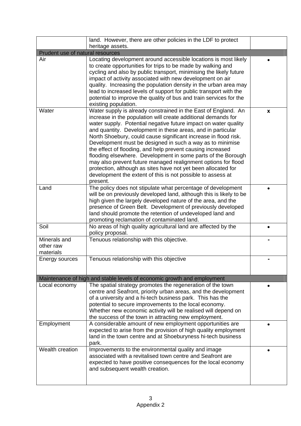|                                        | land. However, there are other policies in the LDF to protect<br>heritage assets.                                                                                                                                                                                                                                                                                                                                                                                                                                                                                                                                                                                                                                                            |   |
|----------------------------------------|----------------------------------------------------------------------------------------------------------------------------------------------------------------------------------------------------------------------------------------------------------------------------------------------------------------------------------------------------------------------------------------------------------------------------------------------------------------------------------------------------------------------------------------------------------------------------------------------------------------------------------------------------------------------------------------------------------------------------------------------|---|
| Prudent use of natural resources       |                                                                                                                                                                                                                                                                                                                                                                                                                                                                                                                                                                                                                                                                                                                                              |   |
| Air                                    | Locating development around accessible locations is most likely<br>to create opportunities for trips to be made by walking and<br>cycling and also by public transport, minimising the likely future<br>impact of activity associated with new development on air<br>quality. Increasing the population density in the urban area may<br>lead to increased levels of support for public transport with the<br>potential to improve the quality of bus and train services for the<br>existing population.                                                                                                                                                                                                                                     |   |
| Water                                  | Water supply is already constrained in the East of England. An<br>increase in the population will create additional demands for<br>water supply. Potential negative future impact on water quality<br>and quantity. Development in these areas, and in particular<br>North Shoebury, could cause significant increase in flood risk.<br>Development must be designed in such a way as to minimise<br>the effect of flooding, and help prevent causing increased<br>flooding elsewhere. Development in some parts of the Borough<br>may also prevent future managed realignment options for flood<br>protection, although as sites have not yet been allocated for<br>development the extent of this is not possible to assess at<br>present. | X |
| Land                                   | The policy does not stipulate what percentage of development<br>will be on previously developed land, although this is likely to be<br>high given the largely developed nature of the area, and the<br>presence of Green Belt. Development of previously developed<br>land should promote the retention of undeveloped land and<br>promoting reclamation of contaminated land.                                                                                                                                                                                                                                                                                                                                                               |   |
| Soil                                   | No areas of high quality agricultural land are affected by the<br>policy proposal.                                                                                                                                                                                                                                                                                                                                                                                                                                                                                                                                                                                                                                                           |   |
| Minerals and<br>other raw<br>materials | Tenuous relationship with this objective.                                                                                                                                                                                                                                                                                                                                                                                                                                                                                                                                                                                                                                                                                                    |   |
| Energy sources                         | Tenuous relationship with this objective                                                                                                                                                                                                                                                                                                                                                                                                                                                                                                                                                                                                                                                                                                     |   |
|                                        | Maintenance of high and stable levels of economic growth and employment                                                                                                                                                                                                                                                                                                                                                                                                                                                                                                                                                                                                                                                                      |   |
| Local economy                          | The spatial strategy promotes the regeneration of the town<br>centre and Seafront, priority urban areas, and the development<br>of a university and a hi-tech business park. This has the<br>potential to secure improvements to the local economy.<br>Whether new economic activity will be realised will depend on<br>the success of the town in attracting new employment.                                                                                                                                                                                                                                                                                                                                                                |   |
| Employment                             | A considerable amount of new employment opportunities are<br>expected to arise from the provision of high quality employment<br>land in the town centre and at Shoeburyness hi-tech business<br>park.                                                                                                                                                                                                                                                                                                                                                                                                                                                                                                                                        |   |
| Wealth creation                        | Improvements to the environmental quality and image<br>associated with a revitalised town centre and Seafront are<br>expected to have positive consequences for the local economy<br>and subsequent wealth creation.                                                                                                                                                                                                                                                                                                                                                                                                                                                                                                                         |   |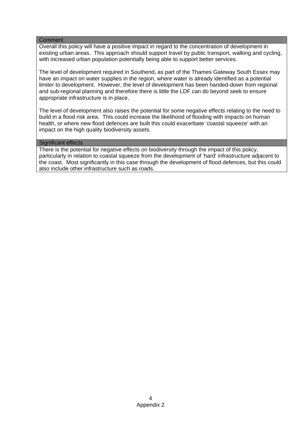#### **Comment**

Overall this policy will have a positive impact in regard to the concentration of development in existing urban areas. This approach should support travel by public transport, walking and cycling, with increased urban population potentially being able to support better services.

The level of development required in Southend, as part of the Thames Gateway South Essex may have an impact on water supplies in the region, where water is already identified as a potential limiter to development. However, the level of development has been handed-down from regional and sub-regional planning and therefore there is little the LDF can do beyond seek to ensure appropriate infrastructure is in place.

The level of development also raises the potential for some negative effects relating to the need to build in a flood risk area. This could increase the likelihood of flooding with impacts on human health, or where new flood defences are built this could exacerbate 'coastal squeeze' with an impact on the high quality biodiversity assets.

#### Significant effects

There is the potential for negative effects on biodiversity through the impact of this policy, particularly in relation to coastal squeeze from the development of 'hard' infrastructure adjacent to the coast. Most significantly in this case through the development of flood defences, but this could also include other infrastructure such as roads.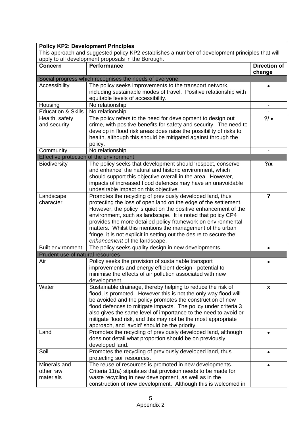| <b>Policy KP2: Development Principles</b>                                                                                                             |                                                                                                                                    |                               |
|-------------------------------------------------------------------------------------------------------------------------------------------------------|------------------------------------------------------------------------------------------------------------------------------------|-------------------------------|
| This approach and suggested policy KP2 establishes a number of development principles that will<br>apply to all development proposals in the Borough. |                                                                                                                                    |                               |
| <b>Concern</b>                                                                                                                                        | <b>Performance</b>                                                                                                                 | <b>Direction of</b><br>change |
|                                                                                                                                                       | Social progress which recognises the needs of everyone                                                                             |                               |
| Accessibility                                                                                                                                         | The policy seeks improvements to the transport network,                                                                            |                               |
|                                                                                                                                                       | including sustainable modes of travel. Positive relationship with                                                                  |                               |
|                                                                                                                                                       | equitable levels of accessibility.                                                                                                 |                               |
| Housing                                                                                                                                               | No relationship                                                                                                                    |                               |
| <b>Education &amp; Skills</b>                                                                                                                         | No relationship                                                                                                                    |                               |
| Health, safety                                                                                                                                        | The policy refers to the need for development to design out                                                                        | 2/                            |
| and security                                                                                                                                          | crime, with positive benefits for safety and security. The need to                                                                 |                               |
|                                                                                                                                                       | develop in flood risk areas does raise the possibility of risks to                                                                 |                               |
|                                                                                                                                                       | health, although this should be mitigated against through the                                                                      |                               |
|                                                                                                                                                       | policy.                                                                                                                            |                               |
| Community                                                                                                                                             | No relationship                                                                                                                    |                               |
|                                                                                                                                                       | Effective protection of the environment                                                                                            |                               |
| <b>Biodiversity</b>                                                                                                                                   | The policy seeks that development should 'respect, conserve                                                                        | 2/x                           |
|                                                                                                                                                       | and enhance' the natural and historic environment, which                                                                           |                               |
|                                                                                                                                                       | should support this objective overall in the area. However,                                                                        |                               |
|                                                                                                                                                       | impacts of increased flood defences may have an unavoidable                                                                        |                               |
|                                                                                                                                                       | undesirable impact on this objective.                                                                                              | ?                             |
| Landscape<br>character                                                                                                                                | Promotes the recycling of previously developed land, thus                                                                          |                               |
|                                                                                                                                                       | protecting the loss of open land on the edge of the settlement.<br>However, the policy is quiet on the positive enhancement of the |                               |
|                                                                                                                                                       | environment, such as landscape. It is noted that policy CP4                                                                        |                               |
|                                                                                                                                                       | provides the more detailed policy framework on environmental                                                                       |                               |
|                                                                                                                                                       | matters. Whilst this mentions the management of the urban                                                                          |                               |
|                                                                                                                                                       | fringe, it is not explicit in setting out the desire to secure the                                                                 |                               |
|                                                                                                                                                       | enhancement of the landscape.                                                                                                      |                               |
| <b>Built environment</b>                                                                                                                              | The policy seeks quality design in new developments.                                                                               |                               |
| Prudent use of natural resources                                                                                                                      |                                                                                                                                    |                               |
| Air                                                                                                                                                   | Policy seeks the provision of sustainable transport                                                                                |                               |
|                                                                                                                                                       | improvements and energy efficient design - potential to                                                                            |                               |
|                                                                                                                                                       | minimise the effects of air pollution associated with new                                                                          |                               |
|                                                                                                                                                       | development.                                                                                                                       |                               |
| Water                                                                                                                                                 | Sustainable drainage, thereby helping to reduce the risk of                                                                        | X                             |
|                                                                                                                                                       | flood, is promoted. However this is not the only way flood will                                                                    |                               |
|                                                                                                                                                       | be avoided and the policy promotes the construction of new                                                                         |                               |
|                                                                                                                                                       | flood defences to mitigate impacts. The policy under criteria 3                                                                    |                               |
|                                                                                                                                                       | also gives the same level of importance to the need to avoid or                                                                    |                               |
|                                                                                                                                                       | mitigate flood risk, and this may not be the most appropriate                                                                      |                               |
|                                                                                                                                                       | approach, and 'avoid' should be the priority.                                                                                      |                               |
| Land                                                                                                                                                  | Promotes the recycling of previously developed land, although                                                                      |                               |
|                                                                                                                                                       | does not detail what proportion should be on previously<br>developed land.                                                         |                               |
| Soil                                                                                                                                                  | Promotes the recycling of previously developed land, thus                                                                          |                               |
|                                                                                                                                                       | protecting soil resources.                                                                                                         |                               |
| Minerals and                                                                                                                                          | The reuse of resources is promoted in new developments.                                                                            |                               |
| other raw                                                                                                                                             | Criteria 11(a) stipulates that provision needs to be made for                                                                      |                               |
| materials                                                                                                                                             | waste recycling in new development, as well as in the                                                                              |                               |
|                                                                                                                                                       | construction of new development. Although this is welcomed in                                                                      |                               |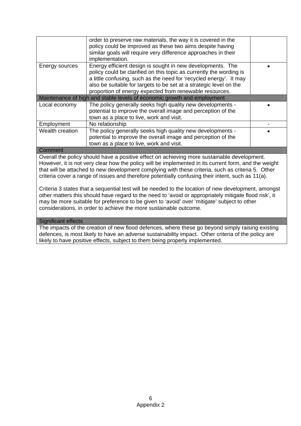|                    | order to preserve raw materials, the way it is covered in the<br>policy could be improved as these two aims despite having |  |
|--------------------|----------------------------------------------------------------------------------------------------------------------------|--|
|                    | similar goals will require very difference approaches in their                                                             |  |
|                    | implementation.                                                                                                            |  |
| Energy sources     | Energy efficient design is sought in new developments. The                                                                 |  |
|                    | policy could be clarified on this topic as currently the wording is                                                        |  |
|                    | a little confusing, such as the need for 'recycled energy'. It may                                                         |  |
|                    | also be suitable for targets to be set at a strategic level on the                                                         |  |
|                    | proportion of energy expected from renewable resources.                                                                    |  |
|                    | Maintenance of high and stable levels of economic growth and employment                                                    |  |
| Local economy      | The policy generally seeks high quality new developments -                                                                 |  |
|                    | potential to improve the overall image and perception of the                                                               |  |
|                    | town as a place to live, work and visit.                                                                                   |  |
| Employment         | No relationship                                                                                                            |  |
| Wealth creation    | The policy generally seeks high quality new developments -                                                                 |  |
|                    | potential to improve the overall image and perception of the                                                               |  |
|                    | town as a place to live, work and visit.                                                                                   |  |
| C <sub>ommon</sub> |                                                                                                                            |  |

#### **Comment**

Overall the policy should have a positive effect on achieving more sustainable development. However, it is not very clear how the policy will be implemented in its current form, and the weight that will be attached to new development complying with these criteria, such as criteria 5. Other criteria cover a range of issues and therefore potentially confusing their intent, such as 11(a).

Criteria 3 states that a sequential test will be needed to the location of new development, amongst other matters this should have regard to the need to 'avoid or appropriately mitigate flood risk', it may be more suitable for preference to be given to 'avoid' over 'mitigate' subject to other considerations, in order to achieve the more sustainable outcome.

#### Significant effects

The impacts of the creation of new flood defences, where these go beyond simply raising existing defences, is most likely to have an adverse sustainability impact. Other criteria of the policy are likely to have positive effects, subject to them being properly implemented.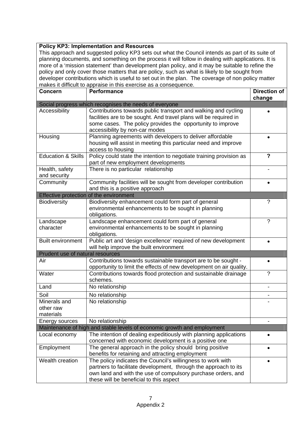## **Policy KP3: Implementation and Resources**

This approach and suggested policy KP3 sets out what the Council intends as part of its suite of planning documents, and something on the process it will follow in dealing with applications. It is more of a 'mission statement' than development plan policy, and it may be suitable to refine the policy and only cover those matters that are policy, such as what is likely to be sought from developer contributions which is useful to set out in the plan. The coverage of non policy matter makes it difficult to appraise in this exercise as a consequence.

| <b>Concern</b>                         | <b>Performance</b>                                                                                                                                                                                                                        | Direction of<br>change  |
|----------------------------------------|-------------------------------------------------------------------------------------------------------------------------------------------------------------------------------------------------------------------------------------------|-------------------------|
|                                        | Social progress which recognises the needs of everyone                                                                                                                                                                                    |                         |
| Accessibility                          | Contributions towards public transport and walking and cycling<br>facilities are to be sought. And travel plans will be required in<br>some cases. The policy provides the opportunity to improve<br>accessibility by non-car modes       |                         |
| Housing                                | Planning agreements with developers to deliver affordable<br>housing will assist in meeting this particular need and improve<br>access to housing                                                                                         |                         |
| <b>Education &amp; Skills</b>          | Policy could state the intention to negotiate training provision as<br>part of new employment developments                                                                                                                                | $\overline{\mathbf{?}}$ |
| Health, safety<br>and security         | There is no particular relationship                                                                                                                                                                                                       |                         |
| Community                              | Community facilities will be sought from developer contribution<br>and this is a positive approach                                                                                                                                        | $\bullet$               |
|                                        | Effective protection of the environment                                                                                                                                                                                                   |                         |
| <b>Biodiversity</b>                    | Biodiversity enhancement could form part of general<br>environmental enhancements to be sought in planning<br>obligations.                                                                                                                | $\tilde{?}$             |
| Landscape<br>character                 | Landscape enhancement could form part of general<br>environmental enhancements to be sought in planning<br>obligations.                                                                                                                   | $\gamma$                |
| <b>Built environment</b>               | Public art and 'design excellence' required of new development<br>will help improve the built environment                                                                                                                                 |                         |
| Prudent use of natural resources       |                                                                                                                                                                                                                                           |                         |
| Air                                    | Contributions towards sustainable transport are to be sought -<br>opportunity to limit the effects of new development on air quality.                                                                                                     | $\bullet$               |
| Water                                  | Contributions towards flood protection and sustainable drainage<br>schemes.                                                                                                                                                               | $\gamma$                |
| Land                                   | No relationship                                                                                                                                                                                                                           |                         |
| Soil                                   | No relationship                                                                                                                                                                                                                           |                         |
| Minerals and<br>other raw<br>materials | No relationship                                                                                                                                                                                                                           |                         |
| Energy sources                         | No relationship                                                                                                                                                                                                                           |                         |
|                                        | Maintenance of high and stable levels of economic growth and employment                                                                                                                                                                   |                         |
| Local economy                          | The intention of dealing expeditiously with planning applications<br>concerned with economic development is a positive one                                                                                                                |                         |
| Employment                             | The general approach in the policy should bring positive<br>benefits for retaining and attracting employment                                                                                                                              |                         |
| Wealth creation                        | The policy indicates the Council's willingness to work with<br>partners to facilitate development, through the approach to its<br>own land and with the use of compulsory purchase orders, and<br>these will be beneficial to this aspect | $\bullet$               |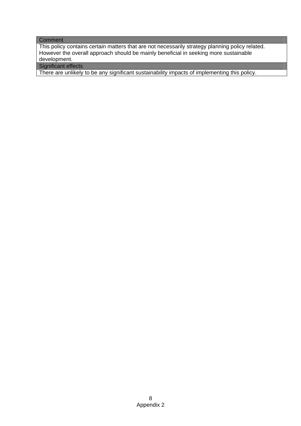#### **Comment**

This policy contains certain matters that are not necessarily strategy planning policy related. However the overall approach should be mainly beneficial in seeking more sustainable development.

Significant effects

There are unlikely to be any significant sustainability impacts of implementing this policy.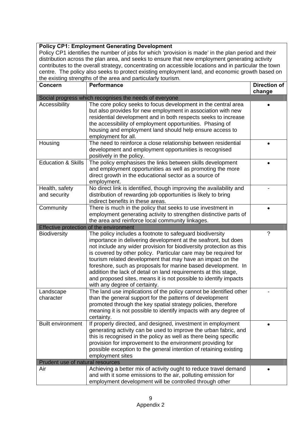## **Policy CP1: Employment Generating Development**

Policy CP1 identifies the number of jobs for which 'provision is made' in the plan period and their distribution across the plan area, and seeks to ensure that new employment generating activity contributes to the overall strategy, concentrating on accessible locations and in particular the town centre. The policy also seeks to protect existing employment land, and economic growth based on the existing strengths of the area and particularly tourism.

| <b>Concern</b>                   | <b>Performance</b>                                                  | <b>Direction of</b> |
|----------------------------------|---------------------------------------------------------------------|---------------------|
|                                  |                                                                     | change              |
|                                  | Social progress which recognises the needs of everyone              |                     |
| Accessibility                    | The core policy seeks to focus development in the central area      |                     |
|                                  | but also provides for new employment in association with new        |                     |
|                                  | residential development and in both respects seeks to increase      |                     |
|                                  | the accessibility of employment opportunities. Phasing of           |                     |
|                                  | housing and employment land should help ensure access to            |                     |
|                                  | employment for all.                                                 |                     |
| Housing                          | The need to reinforce a close relationship between residential      |                     |
|                                  | development and employment opportunities is recognised              |                     |
|                                  | positively in the policy.                                           |                     |
| <b>Education &amp; Skills</b>    | The policy emphasises the links between skills development          |                     |
|                                  | and employment opportunities as well as promoting the more          |                     |
|                                  | direct growth in the educational sector as a source of              |                     |
|                                  | employment.                                                         |                     |
| Health, safety                   | No direct link is identified, though improving the availability and |                     |
| and security                     | distribution of rewarding job opportunities is likely to bring      |                     |
|                                  | indirect benefits in these areas.                                   |                     |
| Community                        | There is much in the policy that seeks to use investment in         |                     |
|                                  | employment generating activity to strengthen distinctive parts of   |                     |
|                                  | the area and reinforce local community linkages.                    |                     |
|                                  | Effective protection of the environment                             |                     |
| <b>Biodiversity</b>              | The policy includes a footnote to safeguard biodiversity            | ?                   |
|                                  | importance in delivering development at the seafront, but does      |                     |
|                                  | not include any wider provision for biodiversity protection as this |                     |
|                                  | is covered by other policy. Particular care may be required for     |                     |
|                                  | tourism related development that may have an impact on the          |                     |
|                                  | foreshore, such as proposals for marine based development. In       |                     |
|                                  | addition the lack of detail on land requirements at this stage,     |                     |
|                                  | and proposed sites, means it is not possible to identify impacts    |                     |
|                                  | with any degree of certainty.                                       |                     |
| Landscape                        | The land use implications of the policy cannot be identified other  |                     |
| character                        | than the general support for the patterns of development            |                     |
|                                  | promoted through the key spatial strategy policies, therefore       |                     |
|                                  | meaning it is not possible to identify impacts with any degree of   |                     |
|                                  | certainty.                                                          |                     |
| <b>Built environment</b>         | If properly directed, and designed, investment in employment        | $\bullet$           |
|                                  | generating activity can be used to improve the urban fabric, and    |                     |
|                                  | this is recognised in the policy as well as there being specific    |                     |
|                                  | provision for improvement to the environment providing for          |                     |
|                                  | possible exception to the general intention of retaining existing   |                     |
|                                  | employment sites                                                    |                     |
| Prudent use of natural resources |                                                                     |                     |
| Air                              | Achieving a better mix of activity ought to reduce travel demand    |                     |
|                                  | and with it some emissions to the air, polluting emission for       |                     |
|                                  | employment development will be controlled through other             |                     |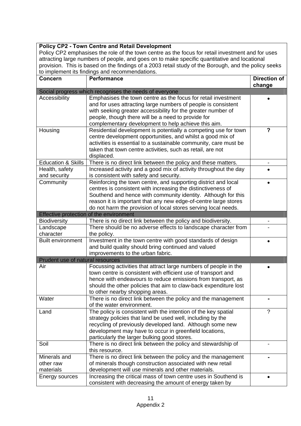| <b>Policy CP2 - Town Centre and Retail Development</b><br>Policy CP2 emphasises the role of the town centre as the focus for retail investment and for uses<br>attracting large numbers of people, and goes on to make specific quantitative and locational<br>provision. This is based on the findings of a 2003 retail study of the Borough, and the policy seeks<br>to implement its findings and recommendations. |                                                                                                                                                                                                                                                                                                                                      |                               |
|-----------------------------------------------------------------------------------------------------------------------------------------------------------------------------------------------------------------------------------------------------------------------------------------------------------------------------------------------------------------------------------------------------------------------|--------------------------------------------------------------------------------------------------------------------------------------------------------------------------------------------------------------------------------------------------------------------------------------------------------------------------------------|-------------------------------|
| Concern                                                                                                                                                                                                                                                                                                                                                                                                               | <b>Performance</b>                                                                                                                                                                                                                                                                                                                   | <b>Direction of</b><br>change |
|                                                                                                                                                                                                                                                                                                                                                                                                                       | Social progress which recognises the needs of everyone                                                                                                                                                                                                                                                                               |                               |
| Accessibility                                                                                                                                                                                                                                                                                                                                                                                                         | Emphasises the town centre as the focus for retail investment<br>and for uses attracting large numbers of people is consistent<br>with seeking greater accessibility for the greater number of<br>people, though there will be a need to provide for<br>complementary development to help achieve this aim.                          |                               |
| Housing                                                                                                                                                                                                                                                                                                                                                                                                               | Residential development is potentially a competing use for town<br>centre development opportunities, and whilst a good mix of<br>activities is essential to a sustainable community, care must be<br>taken that town centre activities, such as retail, are not<br>displaced.                                                        | $\overline{\phantom{a}}$      |
| <b>Education &amp; Skills</b>                                                                                                                                                                                                                                                                                                                                                                                         | There is no direct link between the policy and these matters.                                                                                                                                                                                                                                                                        |                               |
| Health, safety                                                                                                                                                                                                                                                                                                                                                                                                        | Increased activity and a good mix of activity throughout the day                                                                                                                                                                                                                                                                     |                               |
| and security                                                                                                                                                                                                                                                                                                                                                                                                          | is consistent with safety and security.                                                                                                                                                                                                                                                                                              |                               |
| Community                                                                                                                                                                                                                                                                                                                                                                                                             | Reinforcing the town centre, and supporting district and local<br>centres is consistent with increasing the distinctiveness of<br>Southend and hence with community identity. Although for this<br>reason it is important that any new edge-of-centre large stores<br>do not harm the provision of local stores serving local needs. |                               |
|                                                                                                                                                                                                                                                                                                                                                                                                                       | Effective protection of the environment                                                                                                                                                                                                                                                                                              |                               |
| <b>Biodiversity</b>                                                                                                                                                                                                                                                                                                                                                                                                   | There is no direct link between the policy and biodiversity.                                                                                                                                                                                                                                                                         |                               |
| Landscape                                                                                                                                                                                                                                                                                                                                                                                                             | There should be no adverse effects to landscape character from                                                                                                                                                                                                                                                                       |                               |
| character                                                                                                                                                                                                                                                                                                                                                                                                             | the policy.                                                                                                                                                                                                                                                                                                                          |                               |
| <b>Built environment</b>                                                                                                                                                                                                                                                                                                                                                                                              | Investment in the town centre with good standards of design<br>and build quality should bring continued and valued<br>improvements to the urban fabric.                                                                                                                                                                              |                               |
| Prudent use of natural resources                                                                                                                                                                                                                                                                                                                                                                                      |                                                                                                                                                                                                                                                                                                                                      |                               |
| Air                                                                                                                                                                                                                                                                                                                                                                                                                   | Focussing activities that attract large numbers of people in the<br>town centre is consistent with efficient use of transport and<br>hence with endeavours to reduce emissions from transport, as<br>should the other policies that aim to claw-back expenditure lost<br>to other nearby shopping areas.                             |                               |
| Water                                                                                                                                                                                                                                                                                                                                                                                                                 | There is no direct link between the policy and the management<br>of the water environment.                                                                                                                                                                                                                                           |                               |
| Land                                                                                                                                                                                                                                                                                                                                                                                                                  | The policy is consistent with the intention of the key spatial<br>strategy policies that land be used well, including by the<br>recycling of previously developed land. Although some new<br>development may have to occur in greenfield locations,<br>particularly the larger bulking good stores.                                  | $\gamma$                      |
| Soil                                                                                                                                                                                                                                                                                                                                                                                                                  | There is no direct link between the policy and stewardship of<br>this resource.                                                                                                                                                                                                                                                      |                               |
| Minerals and                                                                                                                                                                                                                                                                                                                                                                                                          | There is no direct link between the policy and the management                                                                                                                                                                                                                                                                        |                               |
| other raw                                                                                                                                                                                                                                                                                                                                                                                                             | of minerals though construction associated with new retail                                                                                                                                                                                                                                                                           |                               |
| materials                                                                                                                                                                                                                                                                                                                                                                                                             | development will use minerals and other materials.                                                                                                                                                                                                                                                                                   |                               |
| Energy sources                                                                                                                                                                                                                                                                                                                                                                                                        | Increasing the critical mass of town centre uses in Southend is<br>consistent with decreasing the amount of energy taken by                                                                                                                                                                                                          |                               |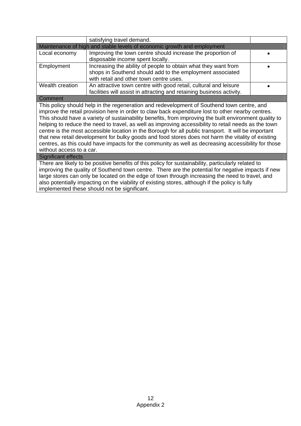|                                                                                                        | satisfying travel demand.                                                                           |  |
|--------------------------------------------------------------------------------------------------------|-----------------------------------------------------------------------------------------------------|--|
| Maintenance of high and stable levels of economic growth and employment                                |                                                                                                     |  |
| Local economy                                                                                          | Improving the town centre should increase the proportion of                                         |  |
|                                                                                                        | disposable income spent locally.                                                                    |  |
| Employment                                                                                             | Increasing the ability of people to obtain what they want from                                      |  |
|                                                                                                        | shops in Southend should add to the employment associated                                           |  |
|                                                                                                        | with retail and other town centre uses.                                                             |  |
| Wealth creation                                                                                        | An attractive town centre with good retail, cultural and leisure                                    |  |
|                                                                                                        | facilities will assist in attracting and retaining business activity.                               |  |
| Comment                                                                                                |                                                                                                     |  |
|                                                                                                        | This policy should help in the regeneration and redevelopment of Southend town centre, and          |  |
| improve the retail provision here in order to claw back expenditure lost to other nearby centres.      |                                                                                                     |  |
| This should have a variety of sustainability benefits, from improving the built environment quality to |                                                                                                     |  |
| helping to reduce the need to travel, as well as improving accessibility to retail needs as the town   |                                                                                                     |  |
| centre is the most accessible location in the Borough for all public transport. It will be important   |                                                                                                     |  |
| that new retail development for bulky goods and food stores does not harm the vitality of existing     |                                                                                                     |  |
|                                                                                                        | centres, as this could have impacts for the community as well as decreasing accessibility for those |  |
| without access to a car.                                                                               |                                                                                                     |  |
| Significant effects                                                                                    |                                                                                                     |  |
| There are likely to be positive benefits of this policy for sustainability, particularly related to    |                                                                                                     |  |
| improving the quality of Southend town centre. There are the potential for negative impacts if new     |                                                                                                     |  |
| large stores can only be located on the edge of town through increasing the need to travel, and        |                                                                                                     |  |
| also potentially impacting on the viability of existing stores, although if the policy is fully        |                                                                                                     |  |

implemented these should not be significant.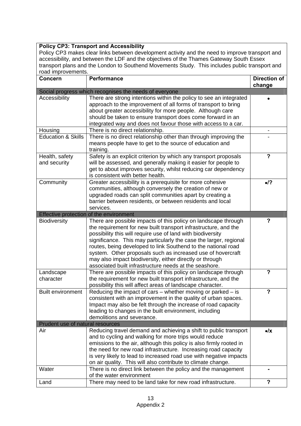## **Policy CP3: Transport and Accessibility**

Policy CP3 makes clear links between development activity and the need to improve transport and accessibility, and between the LDF and the objectives of the Thames Gateway South Essex transport plans and the London to Southend Movements Study. This includes public transport and road improvements.

| road mprovomonto.<br><b>Concern</b> | <b>Performance</b>                                                                                                      | <b>Direction of</b><br>change |
|-------------------------------------|-------------------------------------------------------------------------------------------------------------------------|-------------------------------|
|                                     | Social progress which recognises the needs of everyone                                                                  |                               |
| Accessibility                       | There are strong intentions within the policy to see an integrated                                                      |                               |
|                                     | approach to the improvement of all forms of transport to bring                                                          |                               |
|                                     | about greater accessibility for more people. Although care                                                              |                               |
|                                     | should be taken to ensure transport does come forward in an                                                             |                               |
|                                     | integrated way and does not favour those with access to a car.                                                          |                               |
| Housing                             | There is no direct relationship.                                                                                        |                               |
| <b>Education &amp; Skills</b>       | There is no direct relationship other than through improving the                                                        |                               |
|                                     | means people have to get to the source of education and<br>training.                                                    |                               |
| Health, safety                      | Safety is an explicit criterion by which any transport proposals                                                        | $\overline{\phantom{a}}$      |
| and security                        | will be assessed, and generally making it easier for people to                                                          |                               |
|                                     | get to about improves security, whilst reducing car dependency                                                          |                               |
|                                     | is consistent with better health.                                                                                       |                               |
| Community                           | Greater accessibility is a prerequisite for more cohesive                                                               | $\bullet$ /?                  |
|                                     | communities, although conversely the creation of new or                                                                 |                               |
|                                     | upgraded roads can split communities apart by creating a                                                                |                               |
|                                     | barrier between residents, or between residents and local                                                               |                               |
|                                     | services.                                                                                                               |                               |
|                                     | Effective protection of the environment                                                                                 |                               |
| <b>Biodiversity</b>                 | There are possible impacts of this policy on landscape through                                                          | ?                             |
|                                     | the requirement for new built transport infrastructure, and the                                                         |                               |
|                                     | possibility this will require use of land with biodiversity                                                             |                               |
|                                     | significance. This may particularly the case the larger, regional                                                       |                               |
|                                     | routes, being developed to link Southend to the national road                                                           |                               |
|                                     | system. Other proposals such as increased use of hovercraft<br>may also impact biodiversity, either directly or through |                               |
|                                     | associated built infrastructure needs at the seashore.                                                                  |                               |
| Landscape                           | There are possible impacts of this policy on landscape through                                                          | $\overline{\mathbf{?}}$       |
| character                           | the requirement for new built transport infrastructure, and the                                                         |                               |
|                                     | possibility this will affect areas of landscape character.                                                              |                               |
| <b>Built environment</b>            | Reducing the impact of cars – whether moving or parked – is                                                             | ?                             |
|                                     | consistent with an improvement in the quality of urban spaces.                                                          |                               |
|                                     | Impact may also be felt through the increase of road capacity                                                           |                               |
|                                     | leading to changes in the built environment, including                                                                  |                               |
|                                     | demolitions and severance.                                                                                              |                               |
| Prudent use of natural resources    |                                                                                                                         |                               |
| Air                                 | Reducing travel demand and achieving a shift to public transport                                                        | $\bullet$ /x                  |
|                                     | and to cycling and walking for more trips would reduce                                                                  |                               |
|                                     | emissions to the air, although this policy is also firmly rooted in                                                     |                               |
|                                     | the need for new road infrastructure. Increasing road capacity                                                          |                               |
|                                     | is very likely to lead to increased road use with negative impacts                                                      |                               |
|                                     | on air quality. This will also contribute to climate change.                                                            |                               |
| Water                               | There is no direct link between the policy and the management                                                           | $\blacksquare$                |
|                                     | of the water environment                                                                                                |                               |
| Land                                | There may need to be land take for new road infrastructure.                                                             | $\overline{\phantom{a}}$      |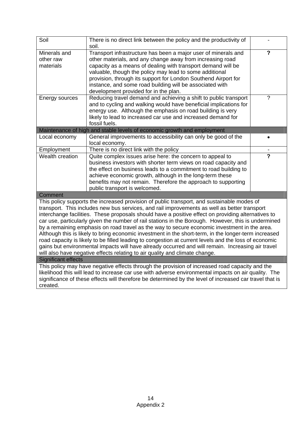| Soil                                                                                                                                                                                                                                                                                                                                                                                                                                                                                                                                                                                                                                                                                                                                                                                                                                                                                                         | There is no direct link between the policy and the productivity of<br>soil.                                                                                                                                                                                                                                                                                                                                                   |                         |
|--------------------------------------------------------------------------------------------------------------------------------------------------------------------------------------------------------------------------------------------------------------------------------------------------------------------------------------------------------------------------------------------------------------------------------------------------------------------------------------------------------------------------------------------------------------------------------------------------------------------------------------------------------------------------------------------------------------------------------------------------------------------------------------------------------------------------------------------------------------------------------------------------------------|-------------------------------------------------------------------------------------------------------------------------------------------------------------------------------------------------------------------------------------------------------------------------------------------------------------------------------------------------------------------------------------------------------------------------------|-------------------------|
| Minerals and<br>other raw<br>materials                                                                                                                                                                                                                                                                                                                                                                                                                                                                                                                                                                                                                                                                                                                                                                                                                                                                       | Transport infrastructure has been a major user of minerals and<br>other materials, and any change away from increasing road<br>capacity as a means of dealing with transport demand will be<br>valuable, though the policy may lead to some additional<br>provision, through its support for London Southend Airport for<br>instance, and some road building will be associated with<br>development provided for in the plan. | $\overline{\mathbf{c}}$ |
| Energy sources                                                                                                                                                                                                                                                                                                                                                                                                                                                                                                                                                                                                                                                                                                                                                                                                                                                                                               | Reducing travel demand and achieving a shift to public transport<br>and to cycling and walking would have beneficial implications for<br>energy use. Although the emphasis on road building is very<br>likely to lead to increased car use and increased demand for<br>fossil fuels.                                                                                                                                          | $\tilde{?}$             |
|                                                                                                                                                                                                                                                                                                                                                                                                                                                                                                                                                                                                                                                                                                                                                                                                                                                                                                              | Maintenance of high and stable levels of economic growth and employment                                                                                                                                                                                                                                                                                                                                                       |                         |
| Local economy                                                                                                                                                                                                                                                                                                                                                                                                                                                                                                                                                                                                                                                                                                                                                                                                                                                                                                | General improvements to accessibility can only be good of the<br>local economy.                                                                                                                                                                                                                                                                                                                                               |                         |
| Employment                                                                                                                                                                                                                                                                                                                                                                                                                                                                                                                                                                                                                                                                                                                                                                                                                                                                                                   | There is no direct link with the policy                                                                                                                                                                                                                                                                                                                                                                                       |                         |
| Wealth creation                                                                                                                                                                                                                                                                                                                                                                                                                                                                                                                                                                                                                                                                                                                                                                                                                                                                                              | Quite complex issues arise here: the concern to appeal to<br>business investors with shorter term views on road capacity and<br>the effect on business leads to a commitment to road building to<br>achieve economic growth, although in the long-term these<br>benefits may not remain. Therefore the approach to supporting<br>public transport is welcomed.                                                                | $\overline{\mathbf{c}}$ |
| Comment                                                                                                                                                                                                                                                                                                                                                                                                                                                                                                                                                                                                                                                                                                                                                                                                                                                                                                      |                                                                                                                                                                                                                                                                                                                                                                                                                               |                         |
| This policy supports the increased provision of public transport, and sustainable modes of<br>transport. This includes new bus services, and rail improvements as well as better transport<br>interchange facilities. These proposals should have a positive effect on providing alternatives to<br>car use, particularly given the number of rail stations in the Borough. However, this is undermined<br>by a remaining emphasis on road travel as the way to secure economic investment in the area.<br>Although this is likely to bring economic investment in the short-term, in the longer-term increased<br>road capacity is likely to be filled leading to congestion at current levels and the loss of economic<br>gains but environmental impacts will have already occurred and will remain. Increasing air travel<br>will also have negative effects relating to air quality and climate change. |                                                                                                                                                                                                                                                                                                                                                                                                                               |                         |
| <b>Significant effects</b>                                                                                                                                                                                                                                                                                                                                                                                                                                                                                                                                                                                                                                                                                                                                                                                                                                                                                   |                                                                                                                                                                                                                                                                                                                                                                                                                               |                         |
| This policy may have negative effects through the provision of increased road capacity and the<br>likelihood this will lead to increase car use with adverse environmental impacts on air quality. The<br>significance of these effects will therefore be determined by the level of increased car travel that is<br>created.                                                                                                                                                                                                                                                                                                                                                                                                                                                                                                                                                                                |                                                                                                                                                                                                                                                                                                                                                                                                                               |                         |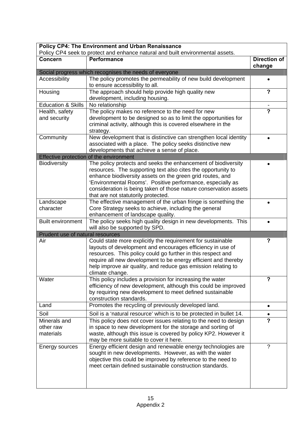| <b>Policy CP4: The Environment and Urban Renaissance</b><br>Policy CP4 seek to protect and enhance natural and built environmental assets. |                                                                                                                                                                                                                                                                                                                                                |                          |
|--------------------------------------------------------------------------------------------------------------------------------------------|------------------------------------------------------------------------------------------------------------------------------------------------------------------------------------------------------------------------------------------------------------------------------------------------------------------------------------------------|--------------------------|
| <b>Concern</b>                                                                                                                             | <b>Performance</b>                                                                                                                                                                                                                                                                                                                             | <b>Direction of</b>      |
|                                                                                                                                            |                                                                                                                                                                                                                                                                                                                                                | change                   |
|                                                                                                                                            | Social progress which recognises the needs of everyone                                                                                                                                                                                                                                                                                         |                          |
| Accessibility                                                                                                                              | The policy promotes the permeability of new build development<br>to ensure accessibility to all.                                                                                                                                                                                                                                               |                          |
| Housing                                                                                                                                    | The approach should help provide high quality new<br>development, including housing.                                                                                                                                                                                                                                                           | $\overline{\mathbf{?}}$  |
| <b>Education &amp; Skills</b>                                                                                                              | No relationship                                                                                                                                                                                                                                                                                                                                |                          |
| Health, safety                                                                                                                             | The policy makes no reference to the need for new                                                                                                                                                                                                                                                                                              | $\overline{\mathbf{c}}$  |
| and security                                                                                                                               | development to be designed so as to limit the opportunities for<br>criminal activity, although this is covered elsewhere in the<br>strategy.                                                                                                                                                                                                   |                          |
| Community                                                                                                                                  | New development that is distinctive can strengthen local identity<br>associated with a place. The policy seeks distinctive new                                                                                                                                                                                                                 |                          |
|                                                                                                                                            | developments that achieve a sense of place.<br>Effective protection of the environment                                                                                                                                                                                                                                                         |                          |
| <b>Biodiversity</b>                                                                                                                        | The policy protects and seeks the enhancement of biodiversity                                                                                                                                                                                                                                                                                  |                          |
|                                                                                                                                            | resources. The supporting text also cites the opportunity to<br>enhance biodiversity assets on the green grid routes, and<br>'Environmental Rooms'. Positive performance, especially as<br>consideration is being taken of those nature conservation assets<br>that are not statutorily protected.                                             |                          |
| Landscape                                                                                                                                  | The effective management of the urban fringe is something the                                                                                                                                                                                                                                                                                  |                          |
| character                                                                                                                                  | Core Strategy seeks to achieve, including the general<br>enhancement of landscape quality.                                                                                                                                                                                                                                                     |                          |
| <b>Built environment</b>                                                                                                                   | The policy seeks high quality design in new developments. This<br>will also be supported by SPD.                                                                                                                                                                                                                                               |                          |
| Prudent use of natural resources                                                                                                           |                                                                                                                                                                                                                                                                                                                                                |                          |
| Air                                                                                                                                        | Could state more explicitly the requirement for sustainable<br>layouts of development and encourages efficiency in use of<br>resources. This policy could go further in this respect and<br>require all new development to be energy efficient and thereby<br>help improve air quality, and reduce gas emission relating to<br>climate change. | ?                        |
| Water                                                                                                                                      | This policy includes a provision for increasing the water<br>efficiency of new development, although this could be improved<br>by requiring new development to meet defined sustainable<br>construction standards.                                                                                                                             | ?                        |
| Land                                                                                                                                       | Promotes the recycling of previously developed land.                                                                                                                                                                                                                                                                                           |                          |
| Soil                                                                                                                                       | Soil is a 'natural resource' which is to be protected in bullet 14.                                                                                                                                                                                                                                                                            |                          |
| Minerals and                                                                                                                               | This policy does not cover issues relating to the need to design                                                                                                                                                                                                                                                                               | $\overline{\mathbf{c}}$  |
| other raw<br>materials                                                                                                                     | in space to new development for the storage and sorting of<br>waste, although this issue is covered by policy KP2. However it<br>may be more suitable to cover it here.                                                                                                                                                                        |                          |
| Energy sources                                                                                                                             | Energy efficient design and renewable energy technologies are<br>sought in new developments. However, as with the water<br>objective this could be improved by reference to the need to<br>meet certain defined sustainable construction standards.                                                                                            | $\overline{\phantom{0}}$ |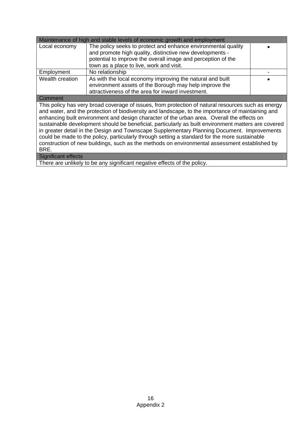| Maintenance of high and stable levels of economic growth and employment                             |                                                                                                    |  |
|-----------------------------------------------------------------------------------------------------|----------------------------------------------------------------------------------------------------|--|
| Local economy                                                                                       | The policy seeks to protect and enhance environmental quality                                      |  |
|                                                                                                     | and promote high quality, distinctive new developments -                                           |  |
|                                                                                                     | potential to improve the overall image and perception of the                                       |  |
|                                                                                                     | town as a place to live, work and visit.                                                           |  |
| Employment                                                                                          | No relationship                                                                                    |  |
| Wealth creation                                                                                     | As with the local economy improving the natural and built                                          |  |
|                                                                                                     | environment assets of the Borough may help improve the                                             |  |
|                                                                                                     | attractiveness of the area for inward investment.                                                  |  |
| Comment                                                                                             |                                                                                                    |  |
|                                                                                                     | This policy has very broad coverage of issues, from protection of natural resources such as energy |  |
| and water, and the protection of biodiversity and landscape, to the importance of maintaining and   |                                                                                                    |  |
| enhancing built environment and design character of the urban area. Overall the effects on          |                                                                                                    |  |
| sustainable development should be beneficial, particularly as built environment matters are covered |                                                                                                    |  |
| in greater detail in the Design and Townscape Supplementary Planning Document. Improvements         |                                                                                                    |  |
|                                                                                                     | could be made to the policy, particularly through setting a standard for the more sustainable      |  |
| construction of new buildings, such as the methods on environmental assessment established by       |                                                                                                    |  |
| BRE.                                                                                                |                                                                                                    |  |
| <b>Significant effects</b>                                                                          |                                                                                                    |  |
|                                                                                                     | There are unlikely to be any significant negative effects of the policy.                           |  |

There are unlikely to be any significant negative effects of the policy.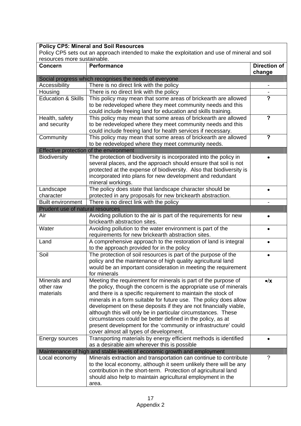### **Policy CP5: Mineral and Soil Resources**

Policy CP5 sets out an approach intended to make the exploitation and use of mineral and soil resources more sustainable.

| <b>Concern</b>                   | <b>Performance</b>                                                                                               | <b>Direction of</b>       |
|----------------------------------|------------------------------------------------------------------------------------------------------------------|---------------------------|
|                                  |                                                                                                                  | change                    |
|                                  | Social progress which recognises the needs of everyone                                                           |                           |
| Accessibility                    | There is no direct link with the policy                                                                          |                           |
| Housing                          | There is no direct link with the policy                                                                          |                           |
| <b>Education &amp; Skills</b>    | This policy may mean that some areas of brickearth are allowed                                                   | $\overline{\mathbf{?}}$   |
|                                  | to be redeveloped where they meet community needs and this                                                       |                           |
|                                  | could include freeing land for education and skills training.                                                    |                           |
| Health, safety                   | This policy may mean that some areas of brickearth are allowed                                                   | $\boldsymbol{\mathsf{?}}$ |
| and security                     | to be redeveloped where they meet community needs and this                                                       |                           |
|                                  | could include freeing land for health services if necessary.                                                     |                           |
| Community                        | This policy may mean that some areas of brickearth are allowed                                                   | $\overline{\mathbf{?}}$   |
|                                  | to be redeveloped where they meet community needs.                                                               |                           |
|                                  | Effective protection of the environment                                                                          |                           |
| <b>Biodiversity</b>              | The protection of biodiversity is incorporated into the policy in                                                |                           |
|                                  | several places, and the approach should ensure that soil is not                                                  |                           |
|                                  | protected at the expense of biodiversity. Also that biodiversity is                                              |                           |
|                                  | incorporated into plans for new development and redundant                                                        |                           |
|                                  | mineral workings.                                                                                                |                           |
| Landscape                        | The policy does state that landscape character should be                                                         |                           |
| character                        | protected in any proposals for new brickearth abstraction.                                                       |                           |
| <b>Built environment</b>         | There is no direct link with the policy                                                                          |                           |
| Prudent use of natural resources |                                                                                                                  |                           |
| Air                              | Avoiding pollution to the air is part of the requirements for new                                                |                           |
|                                  | brickearth abstraction sites.                                                                                    |                           |
| Water                            | Avoiding pollution to the water environment is part of the                                                       |                           |
|                                  | requirements for new brickearth abstraction sites.                                                               |                           |
| Land                             | A comprehensive approach to the restoration of land is integral                                                  |                           |
|                                  | to the approach provided for in the policy                                                                       |                           |
| Soil                             | The protection of soil resources is part of the purpose of the                                                   |                           |
|                                  | policy and the maintenance of high quality agricultural land                                                     |                           |
|                                  | would be an important consideration in meeting the requirement                                                   |                           |
|                                  | for minerals                                                                                                     |                           |
| Minerals and                     | Meeting the requirement for minerals is part of the purpose of                                                   | $\bullet/\mathsf{X}$      |
| other raw                        | the policy, though the concern is the appropriate use of minerals                                                |                           |
| materials                        | and there is a specific requirement to maintain the stock of                                                     |                           |
|                                  | minerals in a form suitable for future use. The policy does allow                                                |                           |
|                                  | development on these deposits if they are not financially viable,                                                |                           |
|                                  | although this will only be in particular circumstances. These                                                    |                           |
|                                  | circumstances could be better defined in the policy, as at                                                       |                           |
|                                  | present development for the 'community or infrastructure' could                                                  |                           |
|                                  | cover almost all types of development.                                                                           |                           |
| Energy sources                   | Transporting materials by energy efficient methods is identified<br>as a desirable aim wherever this is possible |                           |
|                                  | Maintenance of high and stable levels of economic growth and employment                                          |                           |
| Local economy                    | Minerals extraction and transportation can continue to contribute                                                | ?                         |
|                                  | to the local economy, although it seem unlikely there will be any                                                |                           |
|                                  | contribution in the short-term. Protection of agricultural land                                                  |                           |
|                                  | should also help to maintain agricultural employment in the                                                      |                           |
|                                  | area.                                                                                                            |                           |
|                                  |                                                                                                                  |                           |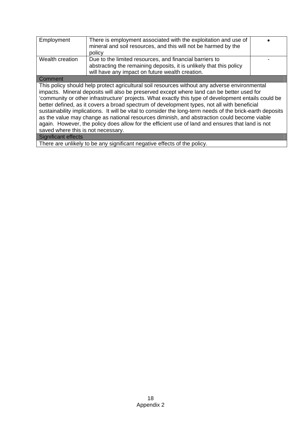| Employment                                                                                                                                                                                                                                                                                                                                                                                                                                                                                                                                                                                                                                                                                                                                                                            | There is employment associated with the exploitation and use of<br>mineral and soil resources, and this will not be harmed by the<br>policy |  |  |  |
|---------------------------------------------------------------------------------------------------------------------------------------------------------------------------------------------------------------------------------------------------------------------------------------------------------------------------------------------------------------------------------------------------------------------------------------------------------------------------------------------------------------------------------------------------------------------------------------------------------------------------------------------------------------------------------------------------------------------------------------------------------------------------------------|---------------------------------------------------------------------------------------------------------------------------------------------|--|--|--|
| Wealth creation                                                                                                                                                                                                                                                                                                                                                                                                                                                                                                                                                                                                                                                                                                                                                                       | Due to the limited resources, and financial barriers to                                                                                     |  |  |  |
|                                                                                                                                                                                                                                                                                                                                                                                                                                                                                                                                                                                                                                                                                                                                                                                       | abstracting the remaining deposits, it is unlikely that this policy                                                                         |  |  |  |
|                                                                                                                                                                                                                                                                                                                                                                                                                                                                                                                                                                                                                                                                                                                                                                                       | will have any impact on future wealth creation.                                                                                             |  |  |  |
| Comment                                                                                                                                                                                                                                                                                                                                                                                                                                                                                                                                                                                                                                                                                                                                                                               |                                                                                                                                             |  |  |  |
| This policy should help protect agricultural soil resources without any adverse environmental<br>impacts. Mineral deposits will also be preserved except where land can be better used for<br>'community or other infrastructure' projects. What exactly this type of development entails could be<br>better defined, as it covers a broad spectrum of development types, not all with beneficial<br>sustainability implications. It will be vital to consider the long-term needs of the brick-earth deposits<br>as the value may change as national resources diminish, and abstraction could become viable<br>again. However, the policy does allow for the efficient use of land and ensures that land is not<br>saved where this is not necessary.<br><b>Significant effects</b> |                                                                                                                                             |  |  |  |
| $\sim$<br>$\mathbf{r}$<br>.                                                                                                                                                                                                                                                                                                                                                                                                                                                                                                                                                                                                                                                                                                                                                           |                                                                                                                                             |  |  |  |

 $\overline{\phantom{a}}$ 

There are unlikely to be any significant negative effects of the policy.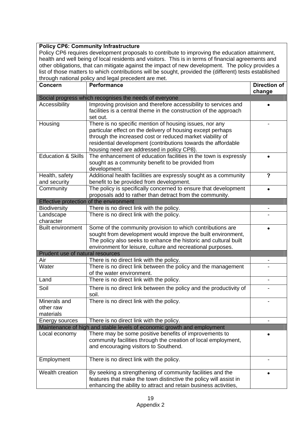## **Policy CP6: Community Infrastructure**

Policy CP6 requires development proposals to contribute to improving the education attainment, health and well being of local residents and visitors. This is in terms of financial agreements and other obligations, that can mitigate against the impact of new development. The policy provides a list of those matters to which contributions will be sought, provided the (different) tests established through national policy and legal precedent are met.

| <b>Concern</b>                         | <b>Performance</b>                                                                                                                                                                                                                                                                                 | <b>Direction of</b>     |
|----------------------------------------|----------------------------------------------------------------------------------------------------------------------------------------------------------------------------------------------------------------------------------------------------------------------------------------------------|-------------------------|
|                                        |                                                                                                                                                                                                                                                                                                    | change                  |
|                                        | Social progress which recognises the needs of everyone                                                                                                                                                                                                                                             |                         |
| Accessibility                          | Improving provision and therefore accessibility to services and<br>facilities is a central theme in the construction of the approach<br>set out.                                                                                                                                                   |                         |
| Housing                                | There is no specific mention of housing issues, nor any<br>particular effect on the delivery of housing except perhaps<br>through the increased cost or reduced market viability of<br>residential development (contributions towards the affordable<br>housing need are addressed in policy CP8). |                         |
| <b>Education &amp; Skills</b>          | The enhancement of education facilities in the town is expressly<br>sought as a community benefit to be provided from<br>development.                                                                                                                                                              |                         |
| Health, safety<br>and security         | Additional health facilities are expressly sought as a community<br>benefit to be provided from development.                                                                                                                                                                                       | $\overline{\mathbf{?}}$ |
| Community                              | The policy is specifically concerned to ensure that development<br>proposals add to rather than detract from the community.                                                                                                                                                                        |                         |
|                                        | Effective protection of the environment                                                                                                                                                                                                                                                            |                         |
| <b>Biodiversity</b>                    | There is no direct link with the policy.                                                                                                                                                                                                                                                           |                         |
| Landscape<br>character                 | There is no direct link with the policy.                                                                                                                                                                                                                                                           |                         |
| <b>Built environment</b>               | Some of the community provision to which contributions are<br>sought from development would improve the built environment,<br>The policy also seeks to enhance the historic and cultural built<br>environment for leisure, culture and recreational purposes.                                      |                         |
| Prudent use of natural resources       |                                                                                                                                                                                                                                                                                                    |                         |
| Air<br>Water                           | There is no direct link with the policy.<br>There is no direct link between the policy and the management<br>of the water environment.                                                                                                                                                             | -                       |
| Land                                   | There is no direct link with the policy.                                                                                                                                                                                                                                                           |                         |
| Soil                                   | There is no direct link between the policy and the productivity of<br>soil.                                                                                                                                                                                                                        |                         |
| Minerals and<br>other raw<br>materials | There is no direct link with the policy.                                                                                                                                                                                                                                                           |                         |
| Energy sources                         | There is no direct link with the policy.                                                                                                                                                                                                                                                           |                         |
|                                        | Maintenance of high and stable levels of economic growth and employment                                                                                                                                                                                                                            |                         |
| Local economy                          | There may be some positive benefits of improvements to<br>community facilities through the creation of local employment,<br>and encouraging visitors to Southend.                                                                                                                                  |                         |
| Employment                             | There is no direct link with the policy.                                                                                                                                                                                                                                                           |                         |
| Wealth creation                        | By seeking a strengthening of community facilities and the<br>features that make the town distinctive the policy will assist in<br>enhancing the ability to attract and retain business activities,                                                                                                | $\bullet$               |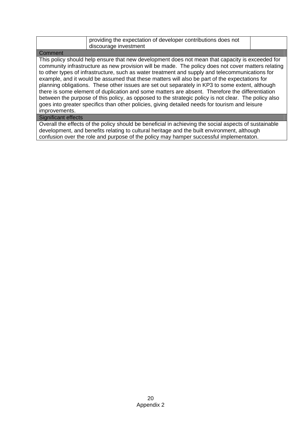|         | providing the expectation of developer contributions does not<br>discourage investment             |  |
|---------|----------------------------------------------------------------------------------------------------|--|
| Comment |                                                                                                    |  |
|         | This policy should help ensure that new development does not mean that capacity is exceeded for    |  |
|         | community infrastructure as new provision will be made. The policy does not cover matters relating |  |

community infrastructure as new provision will be made. The policy does not cover matters relating to other types of infrastructure, such as water treatment and supply and telecommunications for example, and it would be assumed that these matters will also be part of the expectations for planning obligations. These other issues are set out separately in KP3 to some extent, although there is some element of duplication and some matters are absent. Therefore the differentiation between the purpose of this policy, as opposed to the strategic policy is not clear. The policy also goes into greater specifics than other policies, giving detailed needs for tourism and leisure improvements.

## Significant effects

Overall the effects of the policy should be beneficial in achieving the social aspects of sustainable development, and benefits relating to cultural heritage and the built environment, although confusion over the role and purpose of the policy may hamper successful implementaton.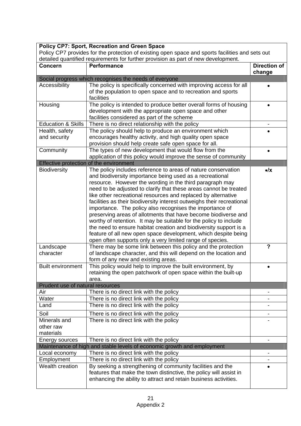|                                                                    | <b>Policy CP7: Sport, Recreation and Green Space</b><br>Policy CP7 provides for the protection of existing open space and sports facilities and sets out                                                                                                                                                                                                                                                                                                                                                                                                                                                                                                                                                                                                                                                                                                                                                                                                                                                                                                                                                                  |                               |
|--------------------------------------------------------------------|---------------------------------------------------------------------------------------------------------------------------------------------------------------------------------------------------------------------------------------------------------------------------------------------------------------------------------------------------------------------------------------------------------------------------------------------------------------------------------------------------------------------------------------------------------------------------------------------------------------------------------------------------------------------------------------------------------------------------------------------------------------------------------------------------------------------------------------------------------------------------------------------------------------------------------------------------------------------------------------------------------------------------------------------------------------------------------------------------------------------------|-------------------------------|
|                                                                    | detailed quantified requirements for further provision as part of new development.                                                                                                                                                                                                                                                                                                                                                                                                                                                                                                                                                                                                                                                                                                                                                                                                                                                                                                                                                                                                                                        |                               |
| Concern                                                            | <b>Performance</b>                                                                                                                                                                                                                                                                                                                                                                                                                                                                                                                                                                                                                                                                                                                                                                                                                                                                                                                                                                                                                                                                                                        | <b>Direction of</b><br>change |
|                                                                    | Social progress which recognises the needs of everyone                                                                                                                                                                                                                                                                                                                                                                                                                                                                                                                                                                                                                                                                                                                                                                                                                                                                                                                                                                                                                                                                    |                               |
| Accessibility                                                      | The policy is specifically concerned with improving access for all<br>of the population to open space and to recreation and sports<br>facilities                                                                                                                                                                                                                                                                                                                                                                                                                                                                                                                                                                                                                                                                                                                                                                                                                                                                                                                                                                          |                               |
| Housing                                                            | The policy is intended to produce better overall forms of housing<br>development with the appropriate open space and other<br>facilities considered as part of the scheme                                                                                                                                                                                                                                                                                                                                                                                                                                                                                                                                                                                                                                                                                                                                                                                                                                                                                                                                                 |                               |
| <b>Education &amp; Skills</b>                                      | There is no direct relationship with the policy                                                                                                                                                                                                                                                                                                                                                                                                                                                                                                                                                                                                                                                                                                                                                                                                                                                                                                                                                                                                                                                                           |                               |
| Health, safety<br>and security                                     | The policy should help to produce an environment which<br>encourages healthy activity, and high quality open space<br>provision should help create safe open space for all.                                                                                                                                                                                                                                                                                                                                                                                                                                                                                                                                                                                                                                                                                                                                                                                                                                                                                                                                               |                               |
| Community                                                          | The types of new development that would flow from the<br>application of this policy would improve the sense of community                                                                                                                                                                                                                                                                                                                                                                                                                                                                                                                                                                                                                                                                                                                                                                                                                                                                                                                                                                                                  |                               |
|                                                                    | Effective protection of the environment                                                                                                                                                                                                                                                                                                                                                                                                                                                                                                                                                                                                                                                                                                                                                                                                                                                                                                                                                                                                                                                                                   |                               |
| Biodiversity<br>Landscape<br>character<br><b>Built environment</b> | The policy includes reference to areas of nature conservation<br>and biodiversity importance being used as a recreational<br>resource. However the wording in the third paragraph may<br>need to be adjusted to clarify that these areas cannot be treated<br>like other recreational resources and replaced by alternative<br>facilities as their biodiversity interest outweighs their recreational<br>importance. The policy also recognises the importance of<br>preserving areas of allotments that have become biodiverse and<br>worthy of retention. It may be suitable for the policy to include<br>the need to ensure habitat creation and biodiversity support is a<br>feature of all new open space development, which despite being<br>open often supports only a very limited range of species.<br>There may be some link between this policy and the protection<br>of landscape character, and this will depend on the location and<br>form of any new and existing areas.<br>This policy would help to improve the built environment, by<br>retaining the open patchwork of open space within the built-up | $\bullet$ / $\times$<br>?     |
| Prudent use of natural resources                                   | area.                                                                                                                                                                                                                                                                                                                                                                                                                                                                                                                                                                                                                                                                                                                                                                                                                                                                                                                                                                                                                                                                                                                     |                               |
| Air                                                                | There is no direct link with the policy                                                                                                                                                                                                                                                                                                                                                                                                                                                                                                                                                                                                                                                                                                                                                                                                                                                                                                                                                                                                                                                                                   |                               |
| Water                                                              | There is no direct link with the policy                                                                                                                                                                                                                                                                                                                                                                                                                                                                                                                                                                                                                                                                                                                                                                                                                                                                                                                                                                                                                                                                                   |                               |
| Land                                                               | There is no direct link with the policy                                                                                                                                                                                                                                                                                                                                                                                                                                                                                                                                                                                                                                                                                                                                                                                                                                                                                                                                                                                                                                                                                   |                               |
| Soil                                                               | There is no direct link with the policy                                                                                                                                                                                                                                                                                                                                                                                                                                                                                                                                                                                                                                                                                                                                                                                                                                                                                                                                                                                                                                                                                   |                               |
| Minerals and                                                       | There is no direct link with the policy                                                                                                                                                                                                                                                                                                                                                                                                                                                                                                                                                                                                                                                                                                                                                                                                                                                                                                                                                                                                                                                                                   |                               |
| other raw<br>materials                                             |                                                                                                                                                                                                                                                                                                                                                                                                                                                                                                                                                                                                                                                                                                                                                                                                                                                                                                                                                                                                                                                                                                                           |                               |
| Energy sources                                                     | There is no direct link with the policy                                                                                                                                                                                                                                                                                                                                                                                                                                                                                                                                                                                                                                                                                                                                                                                                                                                                                                                                                                                                                                                                                   | $\overline{\phantom{a}}$      |
|                                                                    | Maintenance of high and stable levels of economic growth and employment                                                                                                                                                                                                                                                                                                                                                                                                                                                                                                                                                                                                                                                                                                                                                                                                                                                                                                                                                                                                                                                   |                               |
| Local economy                                                      | There is no direct link with the policy                                                                                                                                                                                                                                                                                                                                                                                                                                                                                                                                                                                                                                                                                                                                                                                                                                                                                                                                                                                                                                                                                   |                               |
| Employment                                                         | There is no direct link with the policy                                                                                                                                                                                                                                                                                                                                                                                                                                                                                                                                                                                                                                                                                                                                                                                                                                                                                                                                                                                                                                                                                   |                               |
| Wealth creation                                                    | By seeking a strengthening of community facilities and the<br>features that make the town distinctive, the policy will assist in<br>enhancing the ability to attract and retain business activities.                                                                                                                                                                                                                                                                                                                                                                                                                                                                                                                                                                                                                                                                                                                                                                                                                                                                                                                      |                               |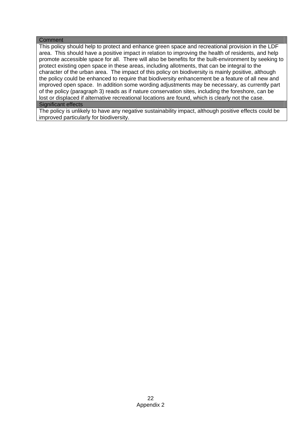#### **Comment**

This policy should help to protect and enhance green space and recreational provision in the LDF area. This should have a positive impact in relation to improving the health of residents, and help promote accessible space for all. There will also be benefits for the built-environment by seeking to protect existing open space in these areas, including allotments, that can be integral to the character of the urban area. The impact of this policy on biodiversity is mainly positive, although the policy could be enhanced to require that biodiversity enhancement be a feature of all new and improved open space. In addition some wording adjustments may be necessary, as currently part of the policy (paragraph 3) reads as if nature conservation sites, including the foreshore, can be lost or displaced if alternative recreational locations are found, which is clearly not the case.

### Significant effects

The policy is unlikely to have any negative sustainability impact, although positive effects could be improved particularly for biodiversity.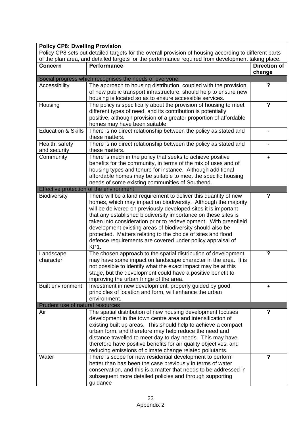| <b>Policy CP8: Dwelling Provision</b>   |                                                                                                                                    |                          |
|-----------------------------------------|------------------------------------------------------------------------------------------------------------------------------------|--------------------------|
|                                         | Policy CP8 sets out detailed targets for the overall provision of housing according to different parts                             |                          |
|                                         | of the plan area, and detailed targets for the performance required from development taking place.                                 |                          |
| <b>Concern</b>                          | <b>Performance</b>                                                                                                                 | <b>Direction of</b>      |
|                                         |                                                                                                                                    | change                   |
|                                         | Social progress which recognises the needs of everyone                                                                             |                          |
| Accessibility                           | The approach to housing distribution, coupled with the provision                                                                   | ?                        |
|                                         | of new public transport infrastructure, should help to ensure new                                                                  |                          |
|                                         | housing is located so as to ensure accessible services.<br>The policy is specifically about the provision of housing to meet       | $\overline{\phantom{a}}$ |
| Housing                                 | different types of need, and its contribution is potentially                                                                       |                          |
|                                         | positive, although provision of a greater proportion of affordable                                                                 |                          |
|                                         | homes may have been suitable.                                                                                                      |                          |
| <b>Education &amp; Skills</b>           | There is no direct relationship between the policy as stated and                                                                   |                          |
|                                         | these matters.                                                                                                                     |                          |
| Health, safety                          | There is no direct relationship between the policy as stated and                                                                   |                          |
| and security                            | these matters.                                                                                                                     |                          |
| Community                               | There is much in the policy that seeks to achieve positive                                                                         |                          |
|                                         | benefits for the community, in terms of the mix of uses and of                                                                     |                          |
|                                         | housing types and tenure for instance. Although additional                                                                         |                          |
|                                         | affordable homes may be suitable to meet the specific housing                                                                      |                          |
|                                         | needs of some existing communities of Southend.                                                                                    |                          |
|                                         | Effective protection of the environment                                                                                            |                          |
| <b>Biodiversity</b>                     | There will be a land requirement to deliver this quantity of new                                                                   | $\overline{\phantom{a}}$ |
|                                         | homes, which may impact on biodiversity. Although the majority                                                                     |                          |
|                                         | will be delivered on previously developed sites it is important                                                                    |                          |
|                                         | that any established biodiversity importance on these sites is<br>taken into consideration prior to redevelopment. With greenfield |                          |
|                                         | development existing areas of biodiversity should also be                                                                          |                          |
|                                         | protected. Matters relating to the choice of sites and flood                                                                       |                          |
|                                         | defence requirements are covered under policy appraisal of                                                                         |                          |
|                                         | KP1.                                                                                                                               |                          |
| Landscape                               | The chosen approach to the spatial distribution of development                                                                     | ?                        |
| character                               | may have some impact on landscape character in the area. It is                                                                     |                          |
|                                         | not possible to identify what the exact impact may be at this                                                                      |                          |
|                                         | stage, but the development could have a positive benefit to                                                                        |                          |
|                                         | improving the urban fringe of the area.                                                                                            |                          |
| <b>Built environment</b>                | Investment in new development, properly guided by good                                                                             |                          |
|                                         | principles of location and form, will enhance the urban                                                                            |                          |
|                                         | environment.                                                                                                                       |                          |
| Prudent use of natural resources<br>Air | The spatial distribution of new housing development focuses                                                                        | ?                        |
|                                         | development in the town centre area and intensification of                                                                         |                          |
|                                         | existing built up areas. This should help to achieve a compact                                                                     |                          |
|                                         | urban form, and therefore may help reduce the need and                                                                             |                          |
|                                         | distance travelled to meet day to day needs. This may have                                                                         |                          |
|                                         | therefore have positive benefits for air quality objectives, and                                                                   |                          |
|                                         | reducing emissions of climate change related pollutants.                                                                           |                          |
| Water                                   | There is scope for new residential development to perform                                                                          | $\overline{\mathbf{?}}$  |
|                                         | better than has been the case previously in terms of water                                                                         |                          |
|                                         | conservation, and this is a matter that needs to be addressed in                                                                   |                          |
|                                         | subsequent more detailed policies and through supporting                                                                           |                          |
|                                         | guidance                                                                                                                           |                          |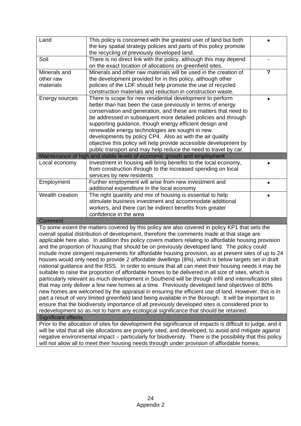| Land            | This policy is concerned with the greatest user of land but both<br>the key spatial strategy policies and parts of this policy promote<br>the recycling of previously developed land.                |                |
|-----------------|------------------------------------------------------------------------------------------------------------------------------------------------------------------------------------------------------|----------------|
| Soil            | There is no direct link with the policy, although this may depend<br>on the exact location of allocations on greenfield sites.                                                                       |                |
| Minerals and    | Minerals and other raw materials will be used in the creation of                                                                                                                                     | $\overline{?}$ |
| other raw       | the development provided for in this policy, although other                                                                                                                                          |                |
| materials       | policies of the LDF should help promote the use of recycled                                                                                                                                          |                |
|                 | construction materials and reduction in construction waste.                                                                                                                                          |                |
| Energy sources  | There is scope for new residential development to perform                                                                                                                                            |                |
|                 | better than has been the case previously in terms of energy                                                                                                                                          |                |
|                 | conservation and generation, and these are matters that need to                                                                                                                                      |                |
|                 | be addressed in subsequent more detailed policies and through                                                                                                                                        |                |
|                 | supporting guidance, though energy efficient design and                                                                                                                                              |                |
|                 | renewable energy technologies are sought in new                                                                                                                                                      |                |
|                 | developments by policy CP4. Also as with the air quality<br>objective this policy will help provide accessible development by                                                                        |                |
|                 | public transport and may help reduce the need to travel by car.                                                                                                                                      |                |
|                 | Maintenance of high and stable levels of economic growth and employment                                                                                                                              |                |
| Local economy   | Investment in housing will bring benefits to the local economy,                                                                                                                                      |                |
|                 | from construction through to the increased spending on local                                                                                                                                         |                |
|                 | services by new residents                                                                                                                                                                            |                |
| Employment      | Further employment will arise from new investment and                                                                                                                                                |                |
|                 | additional expenditure in the local economy                                                                                                                                                          |                |
| Wealth creation | The right quantity and mix of housing is essential to help                                                                                                                                           |                |
|                 | stimulate business investment and accommodate additional                                                                                                                                             |                |
|                 | workers, and there can be indirect benefits from greater                                                                                                                                             |                |
|                 | confidence in the area                                                                                                                                                                               |                |
| Comment         |                                                                                                                                                                                                      |                |
|                 | To some extent the matters covered by this policy are also covered in policy KP1 that sets the                                                                                                       |                |
|                 | overall spatial distribution of development, therefore the comments made at that stage are                                                                                                           |                |
|                 | applicable here also. In addition this policy covers matters relating to affordable housing provision                                                                                                |                |
|                 | and the proportion of housing that should be on previously developed land. The policy could<br>include more stringent requirements for affordable housing provision, as at present sites of up to 24 |                |
|                 | houses would only need to provide 2 affordable dwellings (8%), which is below targets set in draft                                                                                                   |                |
|                 | national guidance and the RSS. In order to ensure that all can meet their housing needs it may be                                                                                                    |                |
|                 | suitable to raise the proportion of affordable homes to be delivered in all size of sites, which is                                                                                                  |                |
|                 | particularly relevant as much development in Southend will be through infill and intensification sites                                                                                               |                |
|                 | that may only deliver a few new homes at a time. Previously developed land objectives of 80%                                                                                                         |                |
|                 | new homes are welcomed by the appraisal in ensuring the efficient use of land. However, this is in                                                                                                   |                |
|                 | part a result of very limited greenfield land being available in the Borough. It will be important to                                                                                                |                |
|                 |                                                                                                                                                                                                      |                |

ensure that the biodiversity importance of all previously developed sites is considered prior to redevelopment so as not to harm any ecological significance that should be retained.

#### Significant effects

Prior to the allocation of sites for development the significance of impacts is difficult to judge, and it will be vital that all site allocations are properly sited, and developed, to avoid and mitigate against negative environmental impact – particularly for biodiversity. There is the possibility that this policy will not allow all to meet their housing needs through under provision of affordable homes.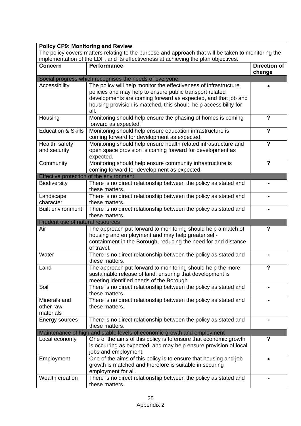| <b>Policy CP9: Monitoring and Review</b> |                                                                                                                                                                                           |                               |
|------------------------------------------|-------------------------------------------------------------------------------------------------------------------------------------------------------------------------------------------|-------------------------------|
|                                          | The policy covers matters relating to the purpose and approach that will be taken to monitoring the<br>implementation of the LDF, and its effectiveness at achieving the plan objectives. |                               |
| <b>Concern</b>                           | <b>Performance</b>                                                                                                                                                                        | <b>Direction of</b><br>change |
|                                          | Social progress which recognises the needs of everyone                                                                                                                                    |                               |
| Accessibility                            | The policy will help monitor the effectiveness of infrastructure                                                                                                                          |                               |
|                                          | policies and may help to ensure public transport related                                                                                                                                  |                               |
|                                          | developments are coming forward as expected, and that job and                                                                                                                             |                               |
|                                          | housing provision is matched, this should help accessibility for                                                                                                                          |                               |
|                                          | all.                                                                                                                                                                                      |                               |
| Housing                                  | Monitoring should help ensure the phasing of homes is coming                                                                                                                              | $\overline{\mathbf{?}}$       |
| <b>Education &amp; Skills</b>            | forward as expected.<br>Monitoring should help ensure education infrastructure is                                                                                                         | $\overline{?}$                |
|                                          | coming forward for development as expected.                                                                                                                                               |                               |
| Health, safety                           | Monitoring should help ensure health related infrastructure and                                                                                                                           | $\overline{\mathbf{?}}$       |
| and security                             | open space provision is coming forward for development as                                                                                                                                 |                               |
|                                          | expected.                                                                                                                                                                                 |                               |
| Community                                | Monitoring should help ensure community infrastructure is                                                                                                                                 | ?                             |
|                                          | coming forward for development as expected.                                                                                                                                               |                               |
|                                          | Effective protection of the environment                                                                                                                                                   |                               |
| <b>Biodiversity</b>                      | There is no direct relationship between the policy as stated and                                                                                                                          |                               |
|                                          | these matters.                                                                                                                                                                            |                               |
| Landscape<br>character                   | There is no direct relationship between the policy as stated and<br>these matters.                                                                                                        |                               |
| <b>Built environment</b>                 | There is no direct relationship between the policy as stated and                                                                                                                          |                               |
|                                          | these matters.                                                                                                                                                                            |                               |
| Prudent use of natural resources         |                                                                                                                                                                                           |                               |
| Air                                      | The approach put forward to monitoring should help a match of                                                                                                                             | ?                             |
|                                          | housing and employment and may help greater self-                                                                                                                                         |                               |
|                                          | containment in the Borough, reducing the need for and distance                                                                                                                            |                               |
|                                          | of travel.                                                                                                                                                                                |                               |
| Water                                    | There is no direct relationship between the policy as stated and                                                                                                                          |                               |
| Land                                     | these matters.<br>The approach put forward to monitoring should help the more                                                                                                             | 7                             |
|                                          | sustainable release of land, ensuring that development is                                                                                                                                 |                               |
|                                          | meeting identified needs of the Borough.                                                                                                                                                  |                               |
| Soil                                     | There is no direct relationship between the policy as stated and                                                                                                                          |                               |
|                                          | these matters.                                                                                                                                                                            |                               |
| Minerals and                             | There is no direct relationship between the policy as stated and                                                                                                                          |                               |
| other raw                                | these matters.                                                                                                                                                                            |                               |
| materials                                |                                                                                                                                                                                           |                               |
| Energy sources                           | There is no direct relationship between the policy as stated and                                                                                                                          |                               |
|                                          | these matters.<br>Maintenance of high and stable levels of economic growth and employment                                                                                                 |                               |
| Local economy                            | One of the aims of this policy is to ensure that economic growth                                                                                                                          | $\boldsymbol{?}$              |
|                                          | is occurring as expected, and may help ensure provision of local                                                                                                                          |                               |
|                                          | jobs and employment.                                                                                                                                                                      |                               |
| Employment                               | One of the aims of this policy is to ensure that housing and job                                                                                                                          |                               |
|                                          | growth is matched and therefore is suitable in securing                                                                                                                                   |                               |
|                                          | employment for all.                                                                                                                                                                       |                               |
| Wealth creation                          | There is no direct relationship between the policy as stated and                                                                                                                          |                               |
|                                          | these matters.                                                                                                                                                                            |                               |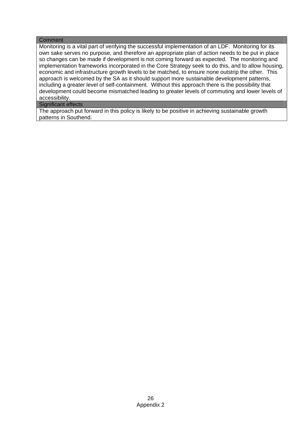#### **Comment**

Monitoring is a vital part of verifying the successful implementation of an LDF. Monitoring for its own sake serves no purpose, and therefore an appropriate plan of action needs to be put in place so changes can be made if development is not coming forward as expected. The monitoring and implementation frameworks incorporated in the Core Strategy seek to do this, and to allow housing, economic and infrastructure growth levels to be matched, to ensure none outstrip the other. This approach is welcomed by the SA as it should support more sustainable development patterns, including a greater level of self-containment. Without this approach there is the possibility that development could become mismatched leading to greater levels of commuting and lower levels of accessibility.

#### Significant effects

The approach put forward in this policy is likely to be positive in achieving sustainable growth patterns in Southend.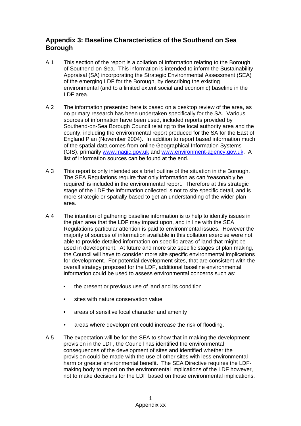# **Appendix 3: Baseline Characteristics of the Southend on Sea Borough**

- A.1 This section of the report is a collation of information relating to the Borough of Southend-on-Sea. This information is intended to inform the Sustainability Appraisal (SA) incorporating the Strategic Environmental Assessment (SEA) of the emerging LDF for the Borough, by describing the existing environmental (and to a limited extent social and economic) baseline in the LDF area.
- A.2 The information presented here is based on a desktop review of the area, as no primary research has been undertaken specifically for the SA. Various sources of information have been used, included reports provided by Southend-on-Sea Borough Council relating to the local authority area and the county, including the environmental report produced for the SA for the East of England Plan (November 2004). In addition to report based information much of the spatial data comes from online Geographical Information Systems (GIS), primarily www.magic.gov.uk and www.environment-agency.gov.uk. A list of information sources can be found at the end.
- A.3 This report is only intended as a brief outline of the situation in the Borough. The SEA Regulations require that only information as can 'reasonably be required' is included in the environmental report. Therefore at this strategic stage of the LDF the information collected is not to site specific detail, and is more strategic or spatially based to get an understanding of the wider plan area.
- A.4 The intention of gathering baseline information is to help to identify issues in the plan area that the LDF may impact upon, and in line with the SEA Regulations particular attention is paid to environmental issues. However the majority of sources of information available in this collation exercise were not able to provide detailed information on specific areas of land that might be used in development. At future and more site specific stages of plan making, the Council will have to consider more site specific environmental implications for development. For potential development sites, that are consistent with the overall strategy proposed for the LDF, additional baseline environmental information could be used to assess environmental concerns such as:
	- the present or previous use of land and its condition
	- sites with nature conservation value
	- areas of sensitive local character and amenity
	- areas where development could increase the risk of flooding.
- A.5 The expectation will be for the SEA to show that in making the development provision in the LDF, the Council has identified the environmental consequences of the development of sites and identified whether the provision could be made with the use of other sites with less environmental harm or greater environmental benefit. The SEA Directive requires the LDFmaking body to report on the environmental implications of the LDF however, not to make decisions for the LDF based on those environmental implications.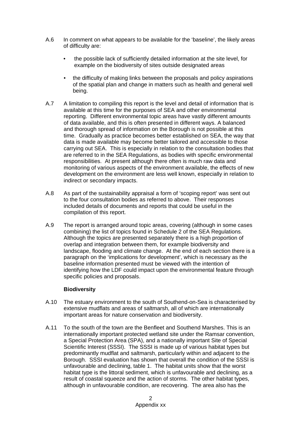- A.6 In comment on what appears to be available for the 'baseline', the likely areas of difficulty are:
	- the possible lack of sufficiently detailed information at the site level, for example on the biodiversity of sites outside designated areas
	- the difficulty of making links between the proposals and policy aspirations of the spatial plan and change in matters such as health and general well being.
- A.7 A limitation to compiling this report is the level and detail of information that is available at this time for the purposes of SEA and other environmental reporting. Different environmental topic areas have vastly different amounts of data available, and this is often presented in different ways. A balanced and thorough spread of information on the Borough is not possible at this time. Gradually as practice becomes better established on SEA, the way that data is made available may become better tailored and accessible to those carrying out SEA. This is especially in relation to the consultation bodies that are referred to in the SEA Regulations, as bodies with specific environmental responsibilities. At present although there often is much raw data and monitoring of various aspects of the environment available, the effects of new development on the environment are less well known, especially in relation to indirect or secondary impacts.
- A.8 As part of the sustainability appraisal a form of 'scoping report' was sent out to the four consultation bodies as referred to above. Their responses included details of documents and reports that could be useful in the compilation of this report.
- A.9 The report is arranged around topic areas, covering (although in some cases combining) the list of topics found in Schedule 2 of the SEA Regulations. Although the topics are presented separately there is a high proportion of overlap and integration between them, for example biodiversity and landscape, flooding and climate change. At the end of each section there is a paragraph on the 'implications for development', which is necessary as the baseline information presented must be viewed with the intention of identifying how the LDF could impact upon the environmental feature through specific policies and proposals.

### **Biodiversity**

- A.10 The estuary environment to the south of Southend-on-Sea is characterised by extensive mudflats and areas of saltmarsh, all of which are internationally important areas for nature conservation and biodiversity.
- A.11 To the south of the town are the Benfleet and Southend Marshes. This is an internationally important protected wetland site under the Ramsar convention, a Special Protection Area (SPA), and a nationally important Site of Special Scientific Interest (SSSI). The SSSI is made up of various habitat types but predominantly mudflat and saltmarsh, particularly within and adjacent to the Borough. SSSI evaluation has shown that overall the condition of the SSSI is unfavourable and declining, table 1. The habitat units show that the worst habitat type is the littoral sediment, which is unfavourable and declining, as a result of coastal squeeze and the action of storms. The other habitat types, although in unfavourable condition, are recovering. The area also has the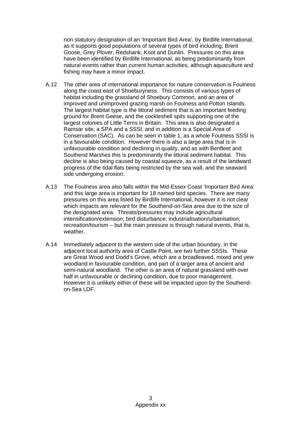non statutory designation of an 'Important Bird Area', by Birdlife International, as it supports good populations of several types of bird including, Brent Goose, Grey Plover, Redshank, Knot and Dunlin. Pressures on this area have been identified by Birdlife International, as being predominantly from natural events rather than current human activities, although aquaculture and fishing may have a minor impact.

- A.12 The other area of international importance for nature conservation is Foulness along the coast east of Shoeburyness. This consists of various types of habitat including the grassland of Shoebury Common, and an area of improved and unimproved grazing marsh on Foulness and Potton Islands. The largest habitat type is the littoral sediment that is an important feeding ground for Brent Geese, and the cockleshell spits supporting one of the largest colonies of Little Terns in Britain. This area is also designated a Ramsar site, a SPA and a SSSI, and in addition is a Special Area of Conservation (SAC). As can be seen in table 1, as a whole Foulness SSSI is in a favourable condition. However there is also a large area that is in unfavourable condition and declining in quality, and as with Benfleet and Southend Marshes this is predominantly the littoral sediment habitat. This decline is also being caused by coastal squeeze, as a result of the landward progress of the tidal flats being restricted by the sea wall, and the seaward side undergoing erosion.
- A.13 The Foulness area also falls within the Mid-Essex Coast 'Important Bird Area' and this large area is important for 18 named bird species. There are many pressures on this area listed by Birdlife International, however it is not clear which impacts are relevant for the Southend-on-Sea area due to the size of the designated area. Threats/pressures may include agricultural intensification/extension; bird disturbance; industrialisation/urbanisation; recreation/tourism – but the main pressure is through natural events, that is, weather.
- A.14 Immediately adjacent to the western side of the urban boundary, in the adjacent local authority area of Castle Point, are two further SSSIs. These are Great Wood and Dodd's Grove, which are a broadleaved, mixed and yew woodland in favourable condition, and part of a larger area of ancient and semi-natural woodland. The other is an area of natural grassland with over half in unfavourable or declining condition, due to poor management. However it is unlikely either of these will be impacted upon by the Southendon-Sea LDF.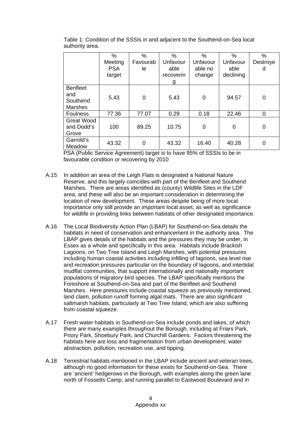Table 1: Condition of the SSSIs in and adjacent to the Southend-on-Sea local authority area.

|                   | $\%$       | $\%$     | $\%$      | $\%$        | $\%$      | $\%$     |
|-------------------|------------|----------|-----------|-------------|-----------|----------|
|                   | Meeting    | Favourab | Unfavour  | Unfavour    | Unfavour  | Destroye |
|                   | <b>PSA</b> | le       | able      | able no     | able      | d        |
|                   | target     |          | recoverin | change      | declining |          |
|                   |            |          | g         |             |           |          |
| <b>Benfleet</b>   |            |          |           |             |           |          |
| and               | 5.43       | 0        | 5.43      | $\mathbf 0$ | 94.57     | 0        |
| Southend          |            |          |           |             |           |          |
| <b>Marshes</b>    |            |          |           |             |           |          |
| <b>Foulness</b>   | 77.36      | 77.07    | 0.29      | 0.18        | 22.46     | $\Omega$ |
| <b>Great Wood</b> |            |          |           |             |           |          |
| and Dodd's        | 100        | 89.25    | 10.75     | 0           | $\Omega$  | 0        |
| Grove             |            |          |           |             |           |          |
| Garrold's         | 43.32      | 0        | 43.32     | 16.40       | 40.28     | 0        |
| Meadow            |            |          |           |             |           |          |

PSA (Public Service Agreement) target is to have 95% of SSSIs to be in favourable condition or recovering by 2010

- A.15 In addition an area of the Leigh Flats is designated a National Nature Reserve, and this largely coincides with part of the Benfleet and Southend Marshes. There are areas identified as (county) Wildlife Sites in the LDF area, and these will also be an important consideration in determining the location of new development. These areas despite being of more local importance only still provide an important local asset, as well as significance for wildlife in providing links between habitats of other designated importance.
- A.16 The Local Biodiversity Action Plan (LBAP) for Southend-on-Sea details the habitats in need of conservation and enhancement in the authority area. The LBAP gives details of the habitats and the pressures they may be under, in Essex as a whole and specifically in this area. Habitats include Brackish Lagoons, on Two Tree Island and Leigh Marshes, with potential pressures including human coastal activities including infilling of lagoons, sea level rise and recreation pressures particular on the boundary of lagoons, and intertidal mudflat communities, that support internationally and nationally important populations of migratory bird species. The LBAP specifically mentions the Foreshore at Southend-on-Sea and part of the Benfleet and Southend Marshes. Here pressures include coastal squeeze as previously mentioned, land claim, pollution runoff forming algal mats. There are also significant saltmarsh habitats, particularly at Two Tree Island, which are also suffering from coastal squeeze.
- A.17 Fresh water habitats in Southend-on-Sea include ponds and lakes, of which there are many examples throughout the Borough, including at Friars Park, Priory Park, Shoebury Park, and Churchill Gardens. Factors threatening the habitats here are loss and fragmentation from urban development, water abstraction, pollution, recreation use, and tipping.
- A.18 Terrestrial habitats mentioned in the LBAP include ancient and veteran trees, although no good information for these exists for Southend-on-Sea. There are 'ancient' hedgerows in the Borough, with examples along the green lane north of Fossetts Camp, and running parallel to Eastwood Boulevard and in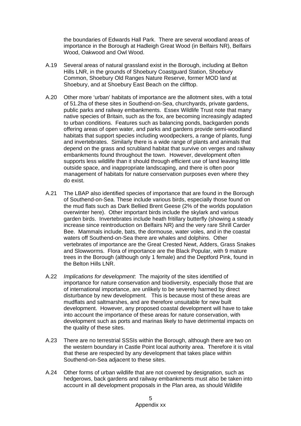the boundaries of Edwards Hall Park. There are several woodland areas of importance in the Borough at Hadleigh Great Wood (in Belfairs NR), Belfairs Wood, Oakwood and Owl Wood.

- A.19 Several areas of natural grassland exist in the Borough, including at Belton Hills LNR, in the grounds of Shoebury Coastguard Station, Shoebury Common, Shoebury Old Ranges Nature Reserve, former MOD land at Shoebury, and at Shoebury East Beach on the clifftop.
- A.20 Other more 'urban' habitats of importance are the allotment sites, with a total of 51.2ha of these sites in Southend-on-Sea, churchyards, private gardens, public parks and railway embankments. Essex Wildlife Trust note that many native species of Britain, such as the fox, are becoming increasingly adapted to urban conditions. Features such as balancing ponds, backgarden ponds offering areas of open water, and parks and gardens provide semi-woodland habitats that support species including woodpeckers, a range of plants, fungi and invertebrates. Similarly there is a wide range of plants and animals that depend on the grass and scrubland habitat that survive on verges and railway embankments found throughout the town. However, development often supports less wildlife than it should through efficient use of land leaving little outside space, and inappropriate landscaping, and there is often poor management of habitats for nature conservation purposes even where they do exist.
- A.21 The LBAP also identified species of importance that are found in the Borough of Southend-on-Sea. These include various birds, especially those found on the mud flats such as Dark Bellied Brent Geese (2% of the worlds population overwinter here). Other important birds include the skylark and various garden birds. Invertebrates include heath fritillary butterfly (showing a steady increase since reintroduction on Belfairs NR) and the very rare Shrill Carder Bee. Mammals include, bats, the dormouse, water voles, and in the coastal waters off Southend-on-Sea there are whales and dolphins. Other vertebrates of importance are the Great Crested Newt, Adders, Grass Snakes and Slowworms. Flora of importance are the Black Popular, with 9 mature trees in the Borough (although only 1 female) and the Deptford Pink, found in the Belton Hills LNR.
- A.22 *Implications for development*: The majority of the sites identified of importance for nature conservation and biodiversity, especially those that are of international importance, are unlikely to be severely harmed by direct disturbance by new development. This is because most of these areas are mudflats and saltmarshes, and are therefore unsuitable for new built development. However, any proposed coastal development will have to take into account the importance of these areas for nature conservation, with development such as ports and marinas likely to have detrimental impacts on the quality of these sites.
- A.23 There are no terrestrial SSSIs within the Borough, although there are two on the western boundary in Castle Point local authority area. Therefore it is vital that these are respected by any development that takes place within Southend-on-Sea adjacent to these sites.
- A.24 Other forms of urban wildlife that are not covered by designation, such as hedgerows, back gardens and railway embankments must also be taken into account in all development proposals in the Plan area, as should Wildlife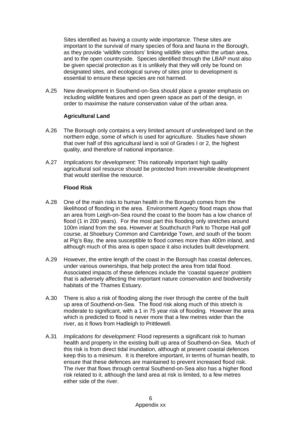Sites identified as having a county wide importance. These sites are important to the survival of many species of flora and fauna in the Borough, as they provide 'wildlife corridors' linking wildlife sites within the urban area, and to the open countryside. Species identified through the LBAP must also be given special protection as it is unlikely that they will only be found on designated sites, and ecological survey of sites prior to development is essential to ensure these species are not harmed.

A.25 New development in Southend-on-Sea should place a greater emphasis on including wildlife features and open green space as part of the design, in order to maximise the nature conservation value of the urban area.

## **Agricultural Land**

- A.26 The Borough only contains a very limited amount of undeveloped land on the northern edge, some of which is used for agriculture. Studies have shown that over half of this agricultural land is soil of Grades I or 2, the highest quality, and therefore of national importance.
- A.27 *Implications for development:* This nationally important high quality agricultural soil resource should be protected from irreversible development that would sterilise the resource.

### **Flood Risk**

- A.28 One of the main risks to human health in the Borough comes from the likelihood of flooding in the area. Environment Agency flood maps show that an area from Leigh-on-Sea round the coast to the boom has a low chance of flood (1 in 200 years). For the most part this flooding only stretches around 100m inland from the sea. However at Southchurch Park to Thorpe Hall golf course, at Shoebury Common and Cambridge Town, and south of the boom at Pig's Bay, the area susceptible to flood comes more than 400m inland, and although much of this area is open space it also includes built development.
- A.29 However, the entire length of the coast in the Borough has coastal defences, under various ownerships, that help protect the area from tidal flood. Associated impacts of these defences include the 'coastal squeeze' problem that is adversely affecting the important nature conservation and biodiversity habitats of the Thames Estuary.
- A.30 There is also a risk of flooding along the river through the centre of the built up area of Southend-on-Sea. The flood risk along much of this stretch is moderate to significant, with a 1 in 75 year risk of flooding. However the area which is predicted to flood is never more that a few metres wider than the river, as it flows from Hadleigh to Prittlewell.
- A.31 *Implications for development:* Flood represents a significant risk to human health and property in the existing built up area of Southend-on-Sea. Much of this risk is from direct tidal inundation, although at present coastal defences keep this to a minimum. It is therefore important, in terms of human health, to ensure that these defences are maintained to prevent increased flood risk. The river that flows through central Southend-on-Sea also has a higher flood risk related to it, although the land area at risk is limited, to a few metres either side of the river.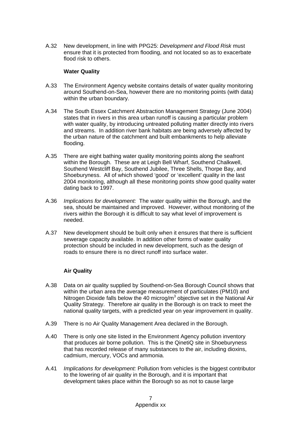A.32 New development, in line with PPG25: *Development and Flood Risk* must ensure that it is protected from flooding, and not located so as to exacerbate flood risk to others.

### **Water Quality**

- A.33 The Environment Agency website contains details of water quality monitoring around Southend-on-Sea, however there are no monitoring points (with data) within the urban boundary.
- A.34 The South Essex Catchment Abstraction Management Strategy (June 2004) states that in rivers in this area urban runoff is causing a particular problem with water quality, by introducing untreated polluting matter directly into rivers and streams. In addition river bank habitats are being adversely affected by the urban nature of the catchment and built embankments to help alleviate flooding.
- A.35 There are eight bathing water quality monitoring points along the seafront within the Borough. These are at Leigh Bell Wharf, Southend Chalkwell, Southend Westcliff Bay, Southend Jubilee, Three Shells, Thorpe Bay, and Shoeburyness. All of which showed 'good' or 'excellent' quality in the last 2004 monitoring, although all these monitoring points show good quality water dating back to 1997.
- A.36 *Implications for development:* The water quality within the Borough, and the sea, should be maintained and improved. However, without monitoring of the rivers within the Borough it is difficult to say what level of improvement is needed.
- A.37 New development should be built only when it ensures that there is sufficient sewerage capacity available. In addition other forms of water quality protection should be included in new development, such as the design of roads to ensure there is no direct runoff into surface water.

### **Air Quality**

- A.38 Data on air quality supplied by Southend-on-Sea Borough Council shows that within the urban area the average measurement of particulates (PM10) and Nitrogen Dioxide falls below the 40 microg/m<sup>3</sup> objective set in the National Air Quality Strategy. Therefore air quality in the Borough is on track to meet the national quality targets, with a predicted year on year improvement in quality.
- A.39 There is no Air Quality Management Area declared in the Borough.
- A.40 There is only one site listed in the Environment Agency pollution inventory that produces air borne pollution. This is the QinetiQ site in Shoeburyness that has recorded release of many substances to the air, including dioxins, cadmium, mercury, VOCs and ammonia.
- A.41 *Implications for development:* Pollution from vehicles is the biggest contributor to the lowering of air quality in the Borough, and it is important that development takes place within the Borough so as not to cause large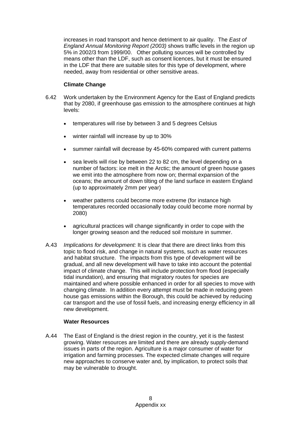increases in road transport and hence detriment to air quality. The *East of England Annual Monitoring Report (2003)* shows traffic levels in the region up 5% in 2002/3 from 1999/00.Other polluting sources will be controlled by means other than the LDF, such as consent licences, but it must be ensured in the LDF that there are suitable sites for this type of development, where needed, away from residential or other sensitive areas.

## **Climate Change**

- 6.42 Work undertaken by the Environment Agency for the East of England predicts that by 2080, if greenhouse gas emission to the atmosphere continues at high levels:
	- temperatures will rise by between 3 and 5 degrees Celsius
	- winter rainfall will increase by up to 30%
	- summer rainfall will decrease by 45-60% compared with current patterns
	- sea levels will rise by between 22 to 82 cm, the level depending on a number of factors: ice melt in the Arctic; the amount of green house gases we emit into the atmosphere from now on; thermal expansion of the oceans; the amount of down tilting of the land surface in eastern England (up to approximately 2mm per year)
	- weather patterns could become more extreme (for instance high temperatures recorded occasionally today could become more normal by 2080)
	- agricultural practices will change significantly in order to cope with the longer growing season and the reduced soil moisture in summer.
- A.43 *Implications for development:* It is clear that there are direct links from this topic to flood risk, and change in natural systems, such as water resources and habitat structure. The impacts from this type of development will be gradual, and all new development will have to take into account the potential impact of climate change. This will include protection from flood (especially tidal inundation), and ensuring that migratory routes for species are maintained and where possible enhanced in order for all species to move with changing climate. In addition every attempt must be made in reducing green house gas emissions within the Borough, this could be achieved by reducing car transport and the use of fossil fuels, and increasing energy efficiency in all new development.

### **Water Resources**

A.44 The East of England is the driest region in the country, yet it is the fastest growing. Water resources are limited and there are already supply-demand issues in parts of the region. Agriculture is a major consumer of water for irrigation and farming processes. The expected climate changes will require new approaches to conserve water and, by implication, to protect soils that may be vulnerable to drought.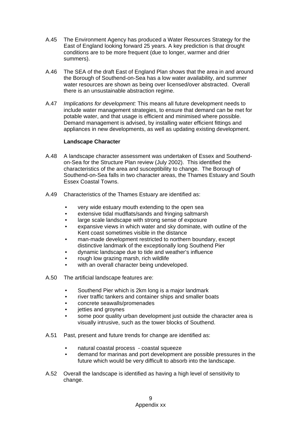- A.45 The Environment Agency has produced a Water Resources Strategy for the East of England looking forward 25 years. A key prediction is that drought conditions are to be more frequent (due to longer, warmer and drier summers).
- A.46 The SEA of the draft East of England Plan shows that the area in and around the Borough of Southend-on-Sea has a low water availability, and summer water resources are shown as being over licensed/over abstracted. Overall there is an unsustainable abstraction regime.
- A.47 *Implications for development:* This means all future development needs to include water management strategies, to ensure that demand can be met for potable water, and that usage is efficient and minimised where possible. Demand management is advised, by installing water efficient fittings and appliances in new developments, as well as updating existing development.

#### **Landscape Character**

- A.48 A landscape character assessment was undertaken of Essex and Southendon-Sea for the Structure Plan review (July 2002). This identified the characteristics of the area and susceptibility to change. The Borough of Southend-on-Sea falls in two character areas, the Thames Estuary and South Essex Coastal Towns.
- A.49 Characteristics of the Thames Estuary are identified as:
	- very wide estuary mouth extending to the open sea
	- extensive tidal mudflats/sands and fringing saltmarsh
	- large scale landscape with strong sense of exposure
	- expansive views in which water and sky dominate, with outline of the Kent coast sometimes visible in the distance
	- man-made development restricted to northern boundary, except distinctive landmark of the exceptionally long Southend Pier
	- dynamic landscape due to tide and weather's influence
	- rough low grazing marsh, rich wildlife
	- with an overall character being undeveloped.
- A.50 The artificial landscape features are:
	- Southend Pier which is 2km long is a major landmark
	- river traffic tankers and container ships and smaller boats
	- concrete seawalls/promenades
	- jetties and groynes
	- some poor quality urban development just outside the character area is visually intrusive, such as the tower blocks of Southend.
- A.51 Past, present and future trends for change are identified as:
	- natural coastal process coastal squeeze
	- demand for marinas and port development are possible pressures in the future which would be very difficult to absorb into the landscape.
- A.52 Overall the landscape is identified as having a high level of sensitivity to change.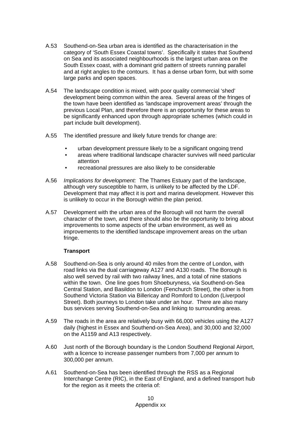- A.53 Southend-on-Sea urban area is identified as the characterisation in the category of 'South Essex Coastal towns'. Specifically it states that Southend on Sea and its associated neighbourhoods is the largest urban area on the South Essex coast, with a dominant grid pattern of streets running parallel and at right angles to the contours. It has a dense urban form, but with some large parks and open spaces.
- A.54 The landscape condition is mixed, with poor quality commercial 'shed' development being common within the area. Several areas of the fringes of the town have been identified as 'landscape improvement areas' through the previous Local Plan, and therefore there is an opportunity for these areas to be significantly enhanced upon through appropriate schemes (which could in part include built development).
- A.55 The identified pressure and likely future trends for change are:
	- urban development pressure likely to be a significant ongoing trend
	- areas where traditional landscape character survives will need particular attention
	- recreational pressures are also likely to be considerable
- A.56 *Implications for development:* The Thames Estuary part of the landscape, although very susceptible to harm, is unlikely to be affected by the LDF. Development that may affect it is port and marina development. However this is unlikely to occur in the Borough within the plan period.
- A.57 Development with the urban area of the Borough will not harm the overall character of the town, and there should also be the opportunity to bring about improvements to some aspects of the urban environment, as well as improvements to the identified landscape improvement areas on the urban fringe.

### **Transport**

- A.58 Southend-on-Sea is only around 40 miles from the centre of London, with road links via the dual carriageway A127 and A130 roads. The Borough is also well served by rail with two railway lines, and a total of nine stations within the town. One line goes from Shoeburyness, via Southend-on-Sea Central Station, and Basildon to London (Fenchurch Street), the other is from Southend Victoria Station via Billericay and Romford to London (Liverpool Street). Both journeys to London take under an hour. There are also many bus services serving Southend-on-Sea and linking to surrounding areas.
- A.59 The roads in the area are relatively busy with 66,000 vehicles using the A127 daily (highest in Essex and Southend-on-Sea Area), and 30,000 and 32,000 on the A1159 and A13 respectively.
- A.60 Just north of the Borough boundary is the London Southend Regional Airport, with a licence to increase passenger numbers from 7,000 per annum to 300,000 per annum.
- A.61 Southend-on-Sea has been identified through the RSS as a Regional Interchange Centre (RIC), in the East of England, and a defined transport hub for the region as it meets the criteria of: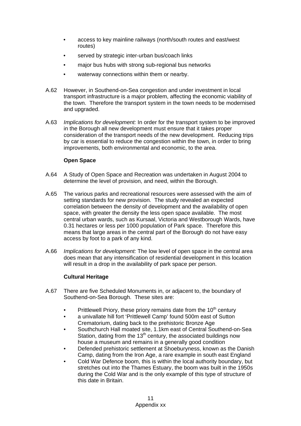- access to key mainline railways (north/south routes and east/west routes)
- served by strategic inter-urban bus/coach links
- major bus hubs with strong sub-regional bus networks
- waterway connections within them or nearby.
- A.62 However, in Southend-on-Sea congestion and under investment in local transport infrastructure is a major problem, affecting the economic viability of the town. Therefore the transport system in the town needs to be modernised and upgraded.
- A.63 *Implications for development:* In order for the transport system to be improved in the Borough all new development must ensure that it takes proper consideration of the transport needs of the new development. Reducing trips by car is essential to reduce the congestion within the town, in order to bring improvements, both environmental and economic, to the area.

## **Open Space**

- A.64 A Study of Open Space and Recreation was undertaken in August 2004 to determine the level of provision, and need, within the Borough.
- A.65 The various parks and recreational resources were assessed with the aim of setting standards for new provision. The study revealed an expected correlation between the density of development and the availability of open space, with greater the density the less open space available. The most central urban wards, such as Kursaal, Victoria and Westborough Wards, have 0.31 hectares or less per 1000 population of Park space. Therefore this means that large areas in the central part of the Borough do not have easy access by foot to a park of any kind.
- A.66 *Implications for development:* The low level of open space in the central area does mean that any intensification of residential development in this location will result in a drop in the availability of park space per person.

### **Cultural Heritage**

- A.67 There are five Scheduled Monuments in, or adjacent to, the boundary of Southend-on-Sea Borough. These sites are:
	- Prittlewell Priory, these priory remains date from the  $10<sup>th</sup>$  century
	- a univallate hill fort 'Prittlewell Camp' found 500m east of Sutton Crematorium, dating back to the prehistoric Bronze Age
	- Southchurch Hall moated site, 1.1km east of Central Southend-on-Sea Station, dating from the  $13<sup>th</sup>$  century, the associated buildings now house a museum and remains in a generally good condition
	- Defended prehistoric settlement at Shoeburyness, known as the Danish Camp, dating from the Iron Age, a rare example in south east England
	- Cold War Defence boom, this is within the local authority boundary, but stretches out into the Thames Estuary, the boom was built in the 1950s during the Cold War and is the only example of this type of structure of this date in Britain.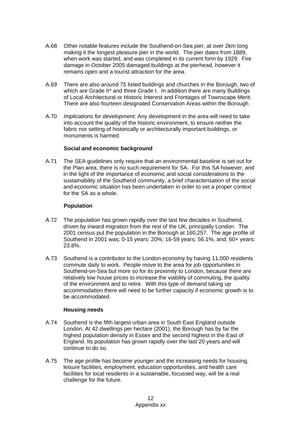- A.68 Other notable features include the Southend-on-Sea pier, at over 2km long making it the longest pleasure pier in the world. The pier dates from 1889, when work was started, and was completed in its current form by 1929. Fire damage in October 2005 damaged buildings at the pierhead, however it remains open and a tourist attraction for the area.
- A.69 There are also around 75 listed buildings and churches in the Borough, two of which are Grade II\* and three Grade I. In addition there are many Buildings of Local Architectural or Historic Interest and Frontages of Townscape Merit. There are also fourteen designated Conservation Areas within the Borough.
- A.70 *Implications for development:* Any development in the area will need to take into account the quality of the historic environment, to ensure neither the fabric nor setting of historically or architecturally important buildings, or monuments is harmed.

## **Social and economic background**

A.71 The SEA guidelines only require that an environmental baseline is set out for the Plan area, there is no such requirement for SA. For this SA however, and in the light of the importance of economic and social considerations to the sustainability of the Southend community, a brief characterisation of the social and economic situation has been undertaken in order to set a proper context for the SA as a whole.

## **Population**

- A.72 The population has grown rapidly over the last few decades in Southend, driven by inward migration from the rest of the UK, principally London. The 2001 census put the population in the Borough at 160,257. The age profile of Southend in 2001 was; 0-15 years: 20%; 16-59 years: 56.1%, and; 60+ years: 23.8%.
- A.73 Southend is a contributor to the London economy by having 11,000 residents commute daily to work. People move to the area for job opportunities in Southend-on-Sea but more so for its proximity to London, because there are relatively low house prices to increase the viability of commuting, the quality of the environment and to retire. With this type of demand taking up accommodation there will need to be further capacity if economic growth is to be accommodated.

## **Housing needs**

- A.74 Southend is the fifth largest urban area in South East England outside London. At 42 dwellings per hectare (2001), the Borough has by far the highest population density in Essex and the second highest in the East of England. Its population has grown rapidly over the last 20 years and will continue to do so.
- A.75 The age profile has become younger and the increasing needs for housing, leisure facilities, employment, education opportunities, and health care facilities for local residents in a sustainable, focussed way, will be a real challenge for the future.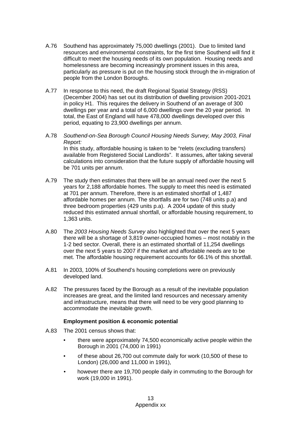- A.76 Southend has approximately 75,000 dwellings (2001). Due to limited land resources and environmental constraints, for the first time Southend will find it difficult to meet the housing needs of its own population. Housing needs and homelessness are becoming increasingly prominent issues in this area, particularly as pressure is put on the housing stock through the in-migration of people from the London Boroughs.
- A.77 In response to this need, the draft Regional Spatial Strategy (RSS) (December 2004) has set out its distribution of dwelling provision 2001-2021 in policy H1. This requires the delivery in Southend of an average of 300 dwellings per year and a total of 6,000 dwellings over the 20 year period. In total, the East of England will have 478,000 dwellings developed over this period, equating to 23,900 dwellings per annum.
- A.78 *Southend-on-Sea Borough Council Housing Needs Survey, May 2003, Final Report:*  In this study, affordable housing is taken to be "relets (excluding transfers) available from Registered Social Landlords". It assumes, after taking several calculations into consideration that the future supply of affordable housing will be 701 units per annum.
- A.79 The study then estimates that there will be an annual need over the next 5 years for 2,188 affordable homes. The supply to meet this need is estimated at 701 per annum. Therefore, there is an estimated shortfall of 1,487 affordable homes per annum. The shortfalls are for two (748 units p.a) and three bedroom properties (429 units p.a). A 2004 update of this study reduced this estimated annual shortfall, or affordable housing requirement, to 1,363 units.
- A.80 The *2003 Housing Needs Survey* also highlighted that over the next 5 years there will be a shortage of 3,819 owner-occupied homes – most notably in the 1-2 bed sector. Overall, there is an estimated shortfall of 11,254 dwellings over the next 5 years to 2007 if the market and affordable needs are to be met. The affordable housing requirement accounts for 66.1% of this shortfall.
- A.81 In 2003, 100% of Southend's housing completions were on previously developed land.
- A.82 The pressures faced by the Borough as a result of the inevitable population increases are great, and the limited land resources and necessary amenity and infrastructure, means that there will need to be very good planning to accommodate the inevitable growth.

## **Employment position & economic potential**

- A.83The 2001 census shows that:
	- there were approximately 74,500 economically active people within the Borough in 2001 (74,000 in 1991)
	- of these about 26,700 out commute daily for work (10,500 of these to London) (26,000 and 11,000 in 1991),
	- however there are 19,700 people daily in commuting to the Borough for work (19,000 in 1991).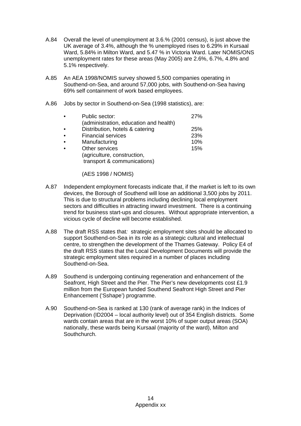- A.84 Overall the level of unemployment at 3.6.% (2001 census), is just above the UK average of 3.4%, although the % unemployed rises to 6.29% in Kursaal Ward, 5.84% in Milton Ward, and 5.47 % in Victoria Ward. Later NOMIS/ONS unemployment rates for these areas (May 2005) are 2.6%, 6.7%, 4.8% and 5.1% respectively.
- A.85 An AEA 1998/NOMIS survey showed 5,500 companies operating in Southend-on-Sea, and around 57,000 jobs, with Southend-on-Sea having 69% self containment of work based employees.
- A.86 Jobs by sector in Southend-on-Sea (1998 statistics), are:

| $\bullet$ | Public sector:                         | 27% |
|-----------|----------------------------------------|-----|
|           | (administration, education and health) |     |
| $\bullet$ | Distribution, hotels & catering        | 25% |
| $\bullet$ | <b>Financial services</b>              | 23% |
| $\bullet$ | Manufacturing                          | 10% |
| $\bullet$ | Other services                         | 15% |
|           | (agriculture, construction,            |     |
|           | transport & communications)            |     |

(AES 1998 / NOMIS)

- A.87 Independent employment forecasts indicate that, if the market is left to its own devices, the Borough of Southend will lose an additional 3,500 jobs by 2011. This is due to structural problems including declining local employment sectors and difficulties in attracting inward investment. There is a continuing trend for business start-ups and closures. Without appropriate intervention, a vicious cycle of decline will become established.
- A.88 The draft RSS states that*:* strategic employment sites should be allocated to support Southend-on-Sea in its role as a strategic cultural and intellectual centre, to strengthen the development of the Thames Gateway. Policy E4 of the draft RSS states that the Local Development Documents will provide the strategic employment sites required in a number of places including Southend-on-Sea.
- A.89 Southend is undergoing continuing regeneration and enhancement of the Seafront, High Street and the Pier. The Pier's new developments cost £1.9 million from the European funded Southend Seafront High Street and Pier Enhancement ('Sshape') programme.
- A.90 Southend-on-Sea is ranked at 130 (rank of average rank) in the Indices of Deprivation (ID2004 – local authority level) out of 354 English districts. Some wards contain areas that are in the worst 10% of super output areas (SOA) nationally, these wards being Kursaal (majority of the ward), Milton and Southchurch.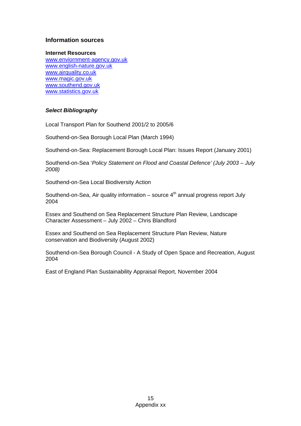## **Information sources**

#### **Internet Resources**

www.enviornment-agency.gov.uk www.english-nature.gov.uk www.airquality.co.uk www.magic.gov.uk www.southend.gov.uk www.statistics.gov.uk

## *Select Bibliography*

Local Transport Plan for Southend 2001/2 to 2005/6

Southend-on-Sea Borough Local Plan (March 1994)

Southend-on-Sea: Replacement Borough Local Plan: Issues Report (January 2001)

Southend-on-Sea '*Policy Statement on Flood and Coastal Defence' (July 2003 – July 2008)*

Southend-on-Sea Local Biodiversity Action

Southend-on-Sea, Air quality information – source  $4<sup>th</sup>$  annual progress report July 2004

Essex and Southend on Sea Replacement Structure Plan Review, Landscape Character Assessment – July 2002 – Chris Blandford

Essex and Southend on Sea Replacement Structure Plan Review, Nature conservation and Biodiversity (August 2002)

Southend-on-Sea Borough Council - A Study of Open Space and Recreation, August 2004

East of England Plan Sustainability Appraisal Report, November 2004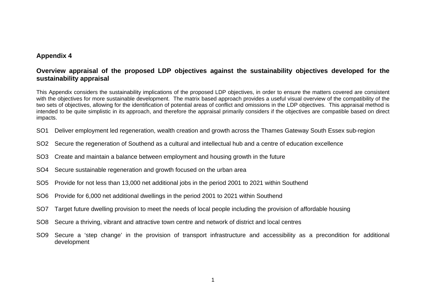# **Appendix 4**

# **Overview appraisal of the proposed LDP objectives against the sustainability objectives developed for the sustainability appraisal**

This Appendix considers the sustainability implications of the proposed LDP objectives, in order to ensure the matters covered are consistent with the objectives for more sustainable development. The matrix based approach provides a useful visual overview of the compatibility of the two sets of objectives, allowing for the identification of potential areas of conflict and omissions in the LDP objectives. This appraisal method is intended to be quite simplistic in its approach, and therefore the appraisal primarily considers if the objectives are compatible based on direct impacts.

- SO1 Deliver employment led regeneration, wealth creation and growth across the Thames Gateway South Essex sub-region
- SO2 Secure the regeneration of Southend as a cultural and intellectual hub and a centre of education excellence
- SO3 Create and maintain a balance between employment and housing growth in the future
- SO4 Secure sustainable regeneration and growth focused on the urban area
- SO5 Provide for not less than 13,000 net additional jobs in the period 2001 to 2021 within Southend
- SO6 Provide for 6,000 net additional dwellings in the period 2001 to 2021 within Southend
- SO7 Target future dwelling provision to meet the needs of local people including the provision of affordable housing
- SO8 Secure a thriving, vibrant and attractive town centre and network of district and local centres
- SO9 Secure a 'step change' in the provision of transport infrastructure and accessibility as a precondition for additional development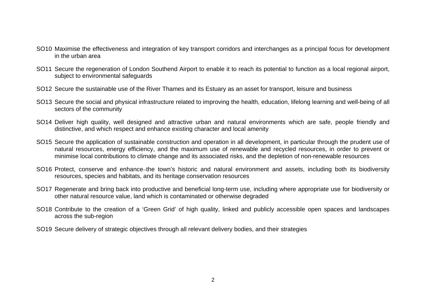- SO10 Maximise the effectiveness and integration of key transport corridors and interchanges as a principal focus for development in the urban area
- SO11 Secure the regeneration of London Southend Airport to enable it to reach its potential to function as a local regional airport, subject to environmental safeguards
- SO12 Secure the sustainable use of the River Thames and its Estuary as an asset for transport, leisure and business
- SO13 Secure the social and physical infrastructure related to improving the health, education, lifelong learning and well-being of all sectors of the community
- SO14 Deliver high quality, well designed and attractive urban and natural environments which are safe, people friendly and distinctive, and which respect and enhance existing character and local amenity
- SO15 Secure the application of sustainable construction and operation in all development, in particular through the prudent use of natural resources, energy efficiency, and the maximum use of renewable and recycled resources, in order to prevent or minimise local contributions to climate change and its associated risks, and the depletion of non-renewable resources
- SO16 Protect, conserve and enhance–the town's historic and natural environment and assets, including both its biodiversity resources, species and habitats, and its heritage conservation resources
- SO17 Regenerate and bring back into productive and beneficial long-term use, including where appropriate use for biodiversity or other natural resource value, land which is contaminated or otherwise degraded
- SO18 Contribute to the creation of a 'Green Grid' of high quality, linked and publicly accessible open spaces and landscapes across the sub-region
- SO19 Secure delivery of strategic objectives through all relevant delivery bodies, and their strategies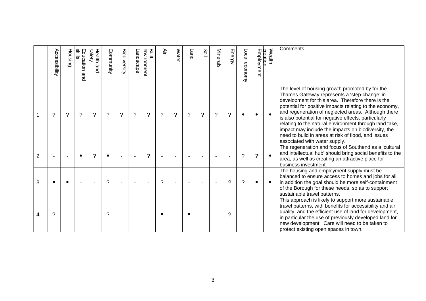|                | Accessibility | Housing | slilis<br>Education<br>and | safety<br>Health<br>and | Community     | Biodiversity | Landscape | environment<br>Built | ∛ir      | Water | Land | Soil     | Minerals | Energy | Local economy | Employment | Wealth<br>creation | Comments                                                                                                                                                                                                                                                                                                                                                                                                                                                                                                                                |
|----------------|---------------|---------|----------------------------|-------------------------|---------------|--------------|-----------|----------------------|----------|-------|------|----------|----------|--------|---------------|------------|--------------------|-----------------------------------------------------------------------------------------------------------------------------------------------------------------------------------------------------------------------------------------------------------------------------------------------------------------------------------------------------------------------------------------------------------------------------------------------------------------------------------------------------------------------------------------|
|                | ?             | ?       | ?                          | ?                       | $\gamma$      | $\tilde{?}$  | ?         | $\gamma$             | $\gamma$ | ?     | ?    | $\gamma$ | ?        | ?      | $\bullet$     |            |                    | The level of housing growth promoted by for the<br>Thames Gateway represents a 'step-change' in<br>development for this area. Therefore there is the<br>potential for positive impacts relating to the economy,<br>and regeneration of neglected areas. Although there<br>is also potential for negative effects, particularly<br>relating to the natural environment through land take,<br>impact may include the impacts on biodiversity, the<br>need to build in areas at risk of flood, and issues<br>associated with water supply. |
| $\overline{2}$ |               |         |                            | ?                       |               |              |           | $\gamma$             |          |       |      |          |          |        | ?             | $\gamma$   |                    | The regeneration and focus of Southend as a 'cultural<br>and intellectual hub' should bring social benefits to the<br>area, as well as creating an attractive place for<br>business investment.                                                                                                                                                                                                                                                                                                                                         |
| 3              |               |         |                            |                         | $\mathcal{P}$ |              |           |                      | ?        |       |      |          |          | ?      | ?             |            |                    | The housing and employment supply must be<br>balanced to ensure access to homes and jobs for all,<br>in addition the goal should be more self-containment<br>of the Borough for these needs, so as to support<br>sustainable travel patterns.                                                                                                                                                                                                                                                                                           |
| 4              | ?             |         |                            |                         | ?             |              |           |                      |          |       |      |          |          | ?      |               |            |                    | This approach is likely to support more sustainable<br>travel patterns, with benefits for accessibility and air<br>quality, and the efficient use of land for development,<br>in particular the use of previously developed land for<br>new development. Care will need to be taken to<br>protect existing open spaces in town.                                                                                                                                                                                                         |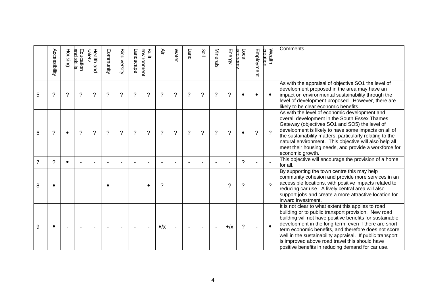|   | Accessibility | Housing                  | and skills<br>Education | safetv<br>Health<br>and | Community      | Biodiversity   | Landscape | Built<br>environment     | ₹.             | <b>Water</b> | <b>Land</b> | Soil           | Minerals                 | Energy                | Local<br>economy | Employment | Wealth<br>creation | Comments                                                                                                                                                                                                                                                                                                                                                                                                                                                    |
|---|---------------|--------------------------|-------------------------|-------------------------|----------------|----------------|-----------|--------------------------|----------------|--------------|-------------|----------------|--------------------------|-----------------------|------------------|------------|--------------------|-------------------------------------------------------------------------------------------------------------------------------------------------------------------------------------------------------------------------------------------------------------------------------------------------------------------------------------------------------------------------------------------------------------------------------------------------------------|
| 5 | $\gamma$      | $\overline{\mathcal{C}}$ | $\gamma$                | $\gamma$                | $\overline{?}$ | $\tilde{?}$    | $\gamma$  | $\tilde{?}$              | $\tilde{?}$    | $\gamma$     | $\gamma$    | $\overline{?}$ | $\overline{\phantom{0}}$ | $\boldsymbol{\gamma}$ | $\bullet$        |            |                    | As with the appraisal of objective SO1 the level of<br>development proposed in the area may have an<br>impact on environmental sustainability through the<br>level of development proposed. However, there are<br>likely to be clear economic benefits.                                                                                                                                                                                                     |
| 6 | $\gamma$      | $\bullet$                | ?                       | $\gamma$                | $\gamma$       | $\overline{?}$ | $\gamma$  | $\overline{\phantom{0}}$ | $\gamma$       | $\gamma$     | $\gamma$    | $\overline{?}$ | ?                        | $\gamma$              | $\bullet$        | $\gamma$   | $\mathcal{P}$      | As with the level of economic development and<br>overall development in the South Essex Thames<br>Gateway (objectives SO1 and SO5) the level of<br>development is likely to have some impacts on all of<br>the sustainability matters, particularly relating to the<br>natural environment. This objective will also help all<br>meet their housing needs, and provide a workforce for<br>economic growth.                                                  |
| 7 | ?             |                          |                         |                         |                |                |           |                          |                |              |             | $\blacksquare$ |                          |                       | ?                |            |                    | This objective will encourage the provision of a home<br>for all.                                                                                                                                                                                                                                                                                                                                                                                           |
| 8 | $\bullet$     |                          |                         |                         |                |                |           | $\bullet$                | $\gamma$       |              |             |                |                          | ?                     | ?                |            | $\mathcal{P}$      | By supporting the town centre this may help<br>community cohesion and provide more services in an<br>accessible locations, with positive impacts related to<br>reducing car use. A lively central area will also<br>support jobs and create a more attractive location for<br>inward investment.                                                                                                                                                            |
| 9 |               |                          |                         |                         |                |                |           |                          | $\bullet/\chi$ |              |             |                |                          | $\bullet/\chi$        | ?                |            |                    | It is not clear to what extent this applies to road<br>building or to public transport provision. New road<br>building will not have positive benefits for sustainable<br>development in the long-term, even if there are short<br>term economic benefits, and therefore does not score<br>well in the sustainability appraisal. If public transport<br>is improved above road travel this should have<br>positive benefits in reducing demand for car use. |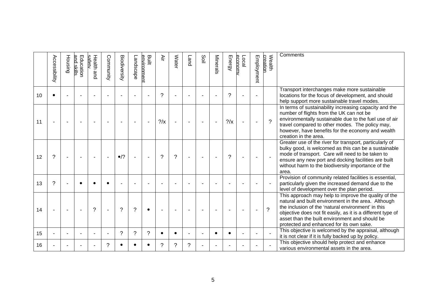|    | Accessibility | Housing | and skills<br>Education | safetv<br>Health and | Community | Biodiversity | Landscape | Built<br>environment     | ₹Ē            | <b>Wate</b> | Land | Soil | Minerals | Energy         | economy<br><b>Local</b> | Employment     | Wealth<br>creation       | Comments                                                                                                                                                                                                                                                                                                                       |
|----|---------------|---------|-------------------------|----------------------|-----------|--------------|-----------|--------------------------|---------------|-------------|------|------|----------|----------------|-------------------------|----------------|--------------------------|--------------------------------------------------------------------------------------------------------------------------------------------------------------------------------------------------------------------------------------------------------------------------------------------------------------------------------|
| 10 |               |         |                         |                      |           |              |           |                          | ?             |             |      |      |          | ?              |                         |                |                          | Transport interchanges make more sustainable<br>locations for the focus of development, and should<br>help support more sustainable travel modes.                                                                                                                                                                              |
| 11 |               |         |                         |                      |           |              |           | $\blacksquare$           | $\frac{2}{x}$ |             |      |      |          | $?$ / $\times$ |                         |                | $\mathcal{P}$            | In terms of sustainability increasing capacity and the<br>number of flights from the UK can not be<br>environmentally sustainable due to the fuel use of air<br>travel compared to other modes. The policy may,<br>however, have benefits for the economy and wealth<br>creation in the area.                                  |
| 12 | ?             |         |                         |                      |           | $\bullet$ /? |           | $\overline{\phantom{a}}$ | ?             | $\gamma$    | ٠    |      |          | ?              | $\blacksquare$          | $\blacksquare$ |                          | Greater use of the river for transport, particularly of<br>bulky good, is welcomed as this can be a sustainable<br>mode of transport. Care will need to be taken to<br>ensure any new port and docking facilities are built<br>without harm to the biodiversity importance of the<br>area.                                     |
| 13 | $\gamma$      |         |                         |                      |           |              |           |                          |               |             |      |      |          |                |                         |                |                          | Provision of community related facilities is essential,<br>particularly given the increased demand due to the<br>level of development over the plan period.                                                                                                                                                                    |
| 14 |               |         |                         | $\gamma$             |           | ?            | ?         | $\bullet$                |               |             |      |      |          |                |                         |                | $\overline{\mathcal{L}}$ | This approach may help to improve the quality of the<br>natural and built environment in the area. Although<br>the inclusion of the 'natural environment' in this<br>objective does not fit easily, as it is a different type of<br>asset than the built environment and should be<br>protected and enhanced for its own sake. |
| 15 |               |         |                         |                      |           | ?            | ?         | $\tilde{?}$              |               |             |      |      |          |                |                         |                |                          | This objective is welcomed by the appraisal, although<br>it is not clear if it is fully backed up by policy.                                                                                                                                                                                                                   |
| 16 |               |         |                         |                      | ?         |              |           |                          | ?             | 2           | ?    |      |          |                |                         |                |                          | This objective should help protect and enhance<br>various environmental assets in the area.                                                                                                                                                                                                                                    |